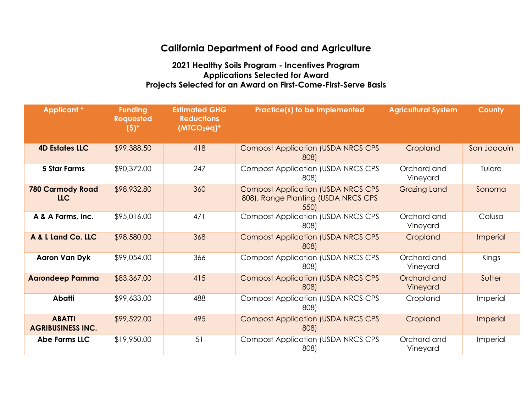## **California Department of Food and Agriculture**

## **2021 Healthy Soils Program - Incentives Program Applications Selected for Award Projects Selected for an Award on First-Come-First-Serve Basis**

| <b>Applicant *</b>                        | <b>Funding</b><br><b>Requested</b><br>$(5)^*$ | <b>Estimated GHG</b><br><b>Reductions</b><br>$(MICO2eq)*$ | <b>Practice(s) to be Implemented</b>                                                     | <b>Agricultural System</b> | <b>County</b>   |
|-------------------------------------------|-----------------------------------------------|-----------------------------------------------------------|------------------------------------------------------------------------------------------|----------------------------|-----------------|
| <b>4D Estates LLC</b>                     | \$99,388.50                                   | 418                                                       | <b>Compost Application (USDA NRCS CPS</b><br>808)                                        | Cropland                   | San Joaquin     |
| <b>5 Star Farms</b>                       | \$90,372.00                                   | 247                                                       | <b>Compost Application (USDA NRCS CPS</b><br>808)                                        | Orchard and<br>Vineyard    | Tulare          |
| <b>780 Carmody Road</b><br><b>LLC</b>     | \$98,932.80                                   | 360                                                       | <b>Compost Application (USDA NRCS CPS</b><br>808), Range Planting (USDA NRCS CPS<br>550) | <b>Grazing Land</b>        | Sonoma          |
| A & A Farms, Inc.                         | \$95,016.00                                   | 471                                                       | <b>Compost Application (USDA NRCS CPS)</b><br>808)                                       | Orchard and<br>Vineyard    | Colusa          |
| A & L Land Co. LLC                        | \$98,580.00                                   | 368                                                       | <b>Compost Application (USDA NRCS CPS</b><br>808)                                        | Cropland                   | <b>Imperial</b> |
| Aaron Van Dyk                             | \$99,054.00                                   | 366                                                       | <b>Compost Application (USDA NRCS CPS</b><br>808)                                        | Orchard and<br>Vineyard    | Kings           |
| <b>Aarondeep Pamma</b>                    | \$83,367.00                                   | 415                                                       | <b>Compost Application (USDA NRCS CPS</b><br>808)                                        | Orchard and<br>Vineyard    | Sutter          |
| <b>Abatti</b>                             | \$99,633.00                                   | 488                                                       | <b>Compost Application (USDA NRCS CPS</b><br>808)                                        | Cropland                   | Imperial        |
| <b>ABATTI</b><br><b>AGRIBUSINESS INC.</b> | \$99,522.00                                   | 495                                                       | <b>Compost Application (USDA NRCS CPS</b><br>808)                                        | Cropland                   | Imperial        |
| <b>Abe Farms LLC</b>                      | \$19,950.00                                   | 51                                                        | <b>Compost Application (USDA NRCS CPS</b><br>808)                                        | Orchard and<br>Vineyard    | Imperial        |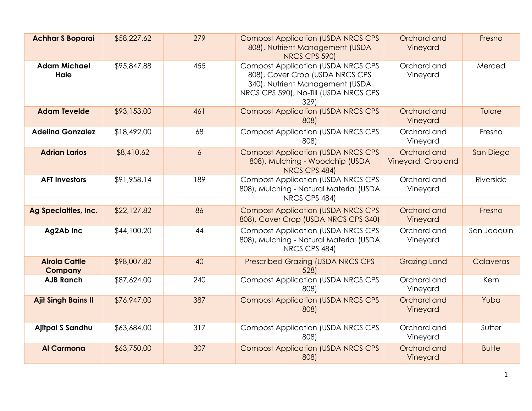| <b>Achhar S Boparai</b>                | \$58,227.62 | 279            | <b>Compost Application (USDA NRCS CPS</b><br>808), Nutrient Management (USDA<br>NRCS CPS 590)                                                                    | Orchard and<br>Vineyard           | Fresno       |
|----------------------------------------|-------------|----------------|------------------------------------------------------------------------------------------------------------------------------------------------------------------|-----------------------------------|--------------|
| <b>Adam Michael</b><br>Hale            | \$95,847.88 | 455            | <b>Compost Application (USDA NRCS CPS</b><br>808), Cover Crop (USDA NRCS CPS<br>340), Nutrient Management (USDA<br>NRCS CPS 590), No-Till (USDA NRCS CPS<br>329) | Orchard and<br>Vineyard           | Merced       |
| <b>Adam Tevelde</b>                    | \$93,153.00 | 461            | <b>Compost Application (USDA NRCS CPS</b><br>808)                                                                                                                | Orchard and<br>Vineyard           | Tulare       |
| <b>Adelina Gonzalez</b>                | \$18,492.00 | 68             | <b>Compost Application (USDA NRCS CPS</b><br>808)                                                                                                                | Orchard and<br>Vineyard           | Fresno       |
| <b>Adrian Larios</b>                   | \$8,410.62  | $\overline{6}$ | <b>Compost Application (USDA NRCS CPS)</b><br>808), Mulching - Woodchip (USDA<br>NRCS CPS 484)                                                                   | Orchard and<br>Vineyard, Cropland | San Diego    |
| <b>AFT Investors</b>                   | \$91,958.14 | 189            | <b>Compost Application (USDA NRCS CPS</b><br>808), Mulching - Natural Material (USDA<br>NRCS CPS 484)                                                            | Orchard and<br>Vineyard           | Riverside    |
| Ag Specialties, Inc.                   | \$22,127.82 | 86             | <b>Compost Application (USDA NRCS CPS</b><br>808), Cover Crop (USDA NRCS CPS 340)                                                                                | Orchard and<br>Vineyard           | Fresno       |
| Ag2Ab Inc                              | \$44,100.20 | 44             | <b>Compost Application (USDA NRCS CPS)</b><br>808), Mulching - Natural Material (USDA<br>NRCS CPS 484)                                                           | Orchard and<br>Vineyard           | San Joaquin  |
| <b>Airola Cattle</b><br><b>Company</b> | \$98,007.82 | 40             | <b>Prescribed Grazing (USDA NRCS CPS</b><br>528                                                                                                                  | <b>Grazing Land</b>               | Calaveras    |
| <b>AJB Ranch</b>                       | \$87,624.00 | 240            | <b>Compost Application (USDA NRCS CPS</b><br>808)                                                                                                                | Orchard and<br>Vineyard           | Kern         |
| <b>Ajit Singh Bains II</b>             | \$76,947.00 | 387            | <b>Compost Application (USDA NRCS CPS</b><br>808)                                                                                                                | Orchard and<br>Vineyard           | Yuba         |
| Ajitpal S Sandhu                       | \$63,684.00 | 317            | <b>Compost Application (USDA NRCS CPS</b><br>808)                                                                                                                | Orchard and<br>Vineyard           | Sutter       |
| <b>Al Carmona</b>                      | \$63,750.00 | 307            | <b>Compost Application (USDA NRCS CPS</b><br>808)                                                                                                                | Orchard and<br>Vineyard           | <b>Butte</b> |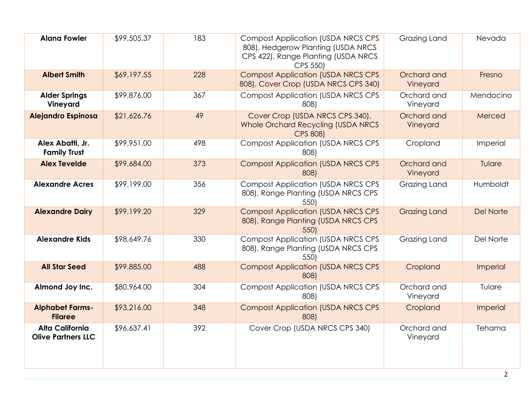| <b>Alana Fowler</b>                                 | \$99,505.37 | 183 | <b>Compost Application (USDA NRCS CPS</b><br>808), Hedgerow Planting (USDA NRCS<br>CPS 422), Range Planting (USDA NRCS<br>CPS 550) | Grazing Land            | Nevada           |
|-----------------------------------------------------|-------------|-----|------------------------------------------------------------------------------------------------------------------------------------|-------------------------|------------------|
| <b>Albert Smith</b>                                 | \$69,197.55 | 228 | <b>Compost Application (USDA NRCS CPS</b><br>808), Cover Crop (USDA NRCS CPS 340)                                                  | Orchard and<br>Vineyard | Fresno           |
| <b>Alder Springs</b><br>Vineyard                    | \$99,876.00 | 367 | <b>Compost Application (USDA NRCS CPS)</b><br>808)                                                                                 | Orchard and<br>Vineyard | Mendocino        |
| <b>Alejandro Espinosa</b>                           | \$21,626.76 | 49  | Cover Crop (USDA NRCS CPS 340),<br><b>Whole Orchard Recycling (USDA NRCS</b><br><b>CPS 808)</b>                                    | Orchard and<br>Vineyard | Merced           |
| Alex Abatti, Jr.<br><b>Family Trust</b>             | \$99,951.00 | 498 | <b>Compost Application (USDA NRCS CPS</b><br>808)                                                                                  | Cropland                | Imperial         |
| <b>Alex Tevelde</b>                                 | \$99,684.00 | 373 | <b>Compost Application (USDA NRCS CPS</b><br>808)                                                                                  | Orchard and<br>Vineyard | Tulare           |
| <b>Alexandre Acres</b>                              | \$99,199.00 | 356 | <b>Compost Application (USDA NRCS CPS</b><br>808), Range Planting (USDA NRCS CPS<br>550)                                           | Grazing Land            | Humboldt         |
| <b>Alexandre Dairy</b>                              | \$99,199.20 | 329 | <b>Compost Application (USDA NRCS CPS</b><br>808), Range Planting (USDA NRCS CPS<br>550)                                           | <b>Grazing Land</b>     | <b>Del Norte</b> |
| <b>Alexandre Kids</b>                               | \$98,649.76 | 330 | <b>Compost Application (USDA NRCS CPS</b><br>808), Range Planting (USDA NRCS CPS<br>550)                                           | Grazing Land            | Del Norte        |
| <b>All Star Seed</b>                                | \$99,885.00 | 488 | <b>Compost Application (USDA NRCS CPS</b><br>808)                                                                                  | Cropland                | Imperial         |
| Almond Joy Inc.                                     | \$80,964.00 | 304 | <b>Compost Application (USDA NRCS CPS</b><br>808)                                                                                  | Orchard and<br>Vineyard | Tulare           |
| <b>Alphabet Farms-</b><br><b>Filaree</b>            | \$93,216.00 | 348 | <b>Compost Application (USDA NRCS CPS</b><br>808)                                                                                  | Cropland                | Imperial         |
| <b>Alta California</b><br><b>Olive Partners LLC</b> | \$96,637.41 | 392 | Cover Crop (USDA NRCS CPS 340)                                                                                                     | Orchard and<br>Vineyard | Tehama           |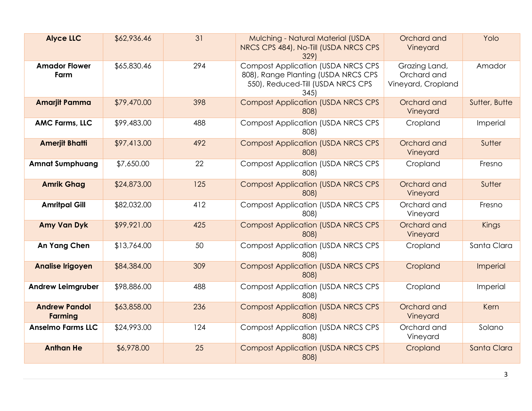| <b>Alyce LLC</b>                       | \$62,936.46 | 31  | Mulching - Natural Material (USDA<br>NRCS CPS 484), No-Till (USDA NRCS CPS<br>329)                                           | Orchard and<br>Vineyard                            | Yolo          |
|----------------------------------------|-------------|-----|------------------------------------------------------------------------------------------------------------------------------|----------------------------------------------------|---------------|
| <b>Amador Flower</b><br>Farm           | \$65,830.46 | 294 | <b>Compost Application (USDA NRCS CPS</b><br>808), Range Planting (USDA NRCS CPS<br>550), Reduced-Till (USDA NRCS CPS<br>345 | Grazing Land,<br>Orchard and<br>Vineyard, Cropland | Amador        |
| <b>Amarjit Pamma</b>                   | \$79,470.00 | 398 | <b>Compost Application (USDA NRCS CPS</b><br>808)                                                                            | Orchard and<br>Vineyard                            | Sutter, Butte |
| <b>AMC Farms, LLC</b>                  | \$99,483.00 | 488 | <b>Compost Application (USDA NRCS CPS</b><br>808)                                                                            | Cropland                                           | Imperial      |
| <b>Amerjit Bhatti</b>                  | \$97,413.00 | 492 | <b>Compost Application (USDA NRCS CPS</b><br>808)                                                                            | Orchard and<br>Vineyard                            | Sutter        |
| <b>Amnat Sumphuang</b>                 | \$7,650.00  | 22  | <b>Compost Application (USDA NRCS CPS</b><br>808)                                                                            | Cropland                                           | Fresno        |
| <b>Amrik Ghag</b>                      | \$24,873.00 | 125 | <b>Compost Application (USDA NRCS CPS</b><br>808)                                                                            | Orchard and<br>Vineyard                            | Sutter        |
| <b>Amritpal Gill</b>                   | \$82,032.00 | 412 | <b>Compost Application (USDA NRCS CPS</b><br>808)                                                                            | Orchard and<br>Vineyard                            | Fresno        |
| <b>Amy Van Dyk</b>                     | \$99,921.00 | 425 | <b>Compost Application (USDA NRCS CPS</b><br>808)                                                                            | Orchard and<br>Vineyard                            | Kings         |
| An Yang Chen                           | \$13,764.00 | 50  | <b>Compost Application (USDA NRCS CPS</b><br>808)                                                                            | Cropland                                           | Santa Clara   |
| <b>Analise Irigoyen</b>                | \$84,384.00 | 309 | <b>Compost Application (USDA NRCS CPS</b><br>808)                                                                            | Cropland                                           | Imperial      |
| <b>Andrew Leimgruber</b>               | \$98,886.00 | 488 | <b>Compost Application (USDA NRCS CPS</b><br>808)                                                                            | Cropland                                           | Imperial      |
| <b>Andrew Pandol</b><br><b>Farming</b> | \$63,858.00 | 236 | <b>Compost Application (USDA NRCS CPS</b><br>808)                                                                            | Orchard and<br>Vineyard                            | Kern          |
| <b>Anselmo Farms LLC</b>               | \$24,993.00 | 124 | <b>Compost Application (USDA NRCS CPS</b><br>808)                                                                            | Orchard and<br>Vineyard                            | Solano        |
| <b>Anthan He</b>                       | \$6,978.00  | 25  | <b>Compost Application (USDA NRCS CPS</b><br>808)                                                                            | Cropland                                           | Santa Clara   |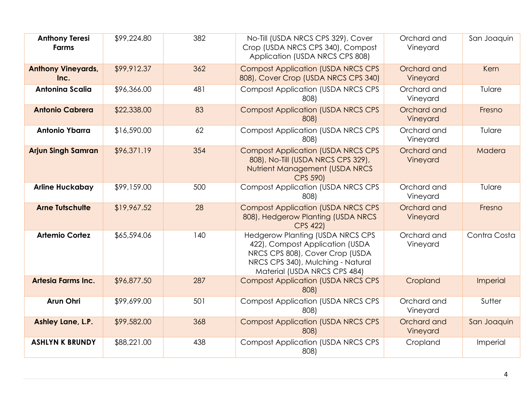| <b>Anthony Teresi</b><br><b>Farms</b> | \$99,224.80 | 382 | No-Till (USDA NRCS CPS 329), Cover<br>Crop (USDA NRCS CPS 340), Compost<br>Application (USDA NRCS CPS 808)                                                                         | Orchard and<br>Vineyard | San Joaquin  |
|---------------------------------------|-------------|-----|------------------------------------------------------------------------------------------------------------------------------------------------------------------------------------|-------------------------|--------------|
| <b>Anthony Vineyards,</b><br>Inc.     | \$99,912.37 | 362 | <b>Compost Application (USDA NRCS CPS</b><br>808), Cover Crop (USDA NRCS CPS 340)                                                                                                  | Orchard and<br>Vineyard | Kern         |
| <b>Antoning Scalia</b>                | \$96,366.00 | 481 | <b>Compost Application (USDA NRCS CPS)</b><br>808)                                                                                                                                 | Orchard and<br>Vineyard | Tulare       |
| <b>Antonio Cabrera</b>                | \$22,338.00 | 83  | <b>Compost Application (USDA NRCS CPS</b><br>808)                                                                                                                                  | Orchard and<br>Vineyard | Fresno       |
| <b>Antonio Ybarra</b>                 | \$16,590.00 | 62  | <b>Compost Application (USDA NRCS CPS</b><br>808)                                                                                                                                  | Orchard and<br>Vineyard | Tulare       |
| <b>Arjun Singh Samran</b>             | \$96,371.19 | 354 | <b>Compost Application (USDA NRCS CPS</b><br>808), No-Till (USDA NRCS CPS 329),<br>Nutrient Management (USDA NRCS<br>CPS 590)                                                      | Orchard and<br>Vineyard | Madera       |
| <b>Arline Huckabay</b>                | \$99,159.00 | 500 | <b>Compost Application (USDA NRCS CPS</b><br>808)                                                                                                                                  | Orchard and<br>Vineyard | Tulare       |
| <b>Arne Tutschulte</b>                | \$19,967.52 | 28  | <b>Compost Application (USDA NRCS CPS)</b><br>808), Hedgerow Planting (USDA NRCS<br>CPS 422)                                                                                       | Orchard and<br>Vineyard | Fresno       |
| <b>Artemio Cortez</b>                 | \$65,594.06 | 140 | <b>Hedgerow Planting (USDA NRCS CPS</b><br>422), Compost Application (USDA<br>NRCS CPS 808), Cover Crop (USDA<br>NRCS CPS 340), Mulching - Natural<br>Material (USDA NRCS CPS 484) | Orchard and<br>Vineyard | Contra Costa |
| <b>Artesia Farms Inc.</b>             | \$96,877.50 | 287 | <b>Compost Application (USDA NRCS CPS</b><br>808)                                                                                                                                  | Cropland                | Imperial     |
| <b>Arun Ohri</b>                      | \$99,699.00 | 501 | <b>Compost Application (USDA NRCS CPS</b><br>808)                                                                                                                                  | Orchard and<br>Vineyard | Sutter       |
| Ashley Lane, L.P.                     | \$99,582.00 | 368 | <b>Compost Application (USDA NRCS CPS</b><br>808)                                                                                                                                  | Orchard and<br>Vineyard | San Joaquin  |
| <b>ASHLYN K BRUNDY</b>                | \$88,221.00 | 438 | <b>Compost Application (USDA NRCS CPS</b><br>808)                                                                                                                                  | Cropland                | Imperial     |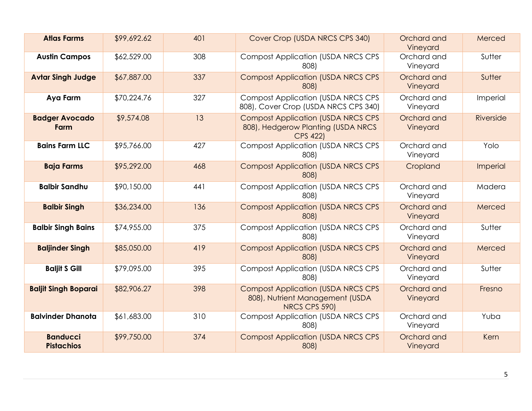| <b>Atlas Farms</b>                   | \$99,692.62 | 401 | Cover Crop (USDA NRCS CPS 340)                                                                      | Orchard and<br>Vineyard | Merced    |
|--------------------------------------|-------------|-----|-----------------------------------------------------------------------------------------------------|-------------------------|-----------|
| <b>Austin Campos</b>                 | \$62,529.00 | 308 | <b>Compost Application (USDA NRCS CPS)</b><br>808)                                                  | Orchard and<br>Vineyard | Sutter    |
| <b>Avtar Singh Judge</b>             | \$67,887.00 | 337 | <b>Compost Application (USDA NRCS CPS)</b><br>808)                                                  | Orchard and<br>Vineyard | Sutter    |
| Aya Farm                             | \$70,224.76 | 327 | <b>Compost Application (USDA NRCS CPS</b><br>808), Cover Crop (USDA NRCS CPS 340)                   | Orchard and<br>Vineyard | Imperial  |
| <b>Badger Avocado</b><br>Farm        | \$9,574.08  | 13  | <b>Compost Application (USDA NRCS CPS)</b><br>808), Hedgerow Planting (USDA NRCS<br><b>CPS 422)</b> | Orchard and<br>Vineyard | Riverside |
| <b>Bains Farm LLC</b>                | \$95,766.00 | 427 | <b>Compost Application (USDA NRCS CPS</b><br>808)                                                   | Orchard and<br>Vineyard | Yolo      |
| <b>Baja Farms</b>                    | \$95,292.00 | 468 | <b>Compost Application (USDA NRCS CPS)</b><br>808)                                                  | Cropland                | Imperial  |
| <b>Balbir Sandhu</b>                 | \$90,150.00 | 441 | <b>Compost Application (USDA NRCS CPS)</b><br>808)                                                  | Orchard and<br>Vineyard | Madera    |
| <b>Balbir Singh</b>                  | \$36,234.00 | 136 | <b>Compost Application (USDA NRCS CPS)</b><br>808)                                                  | Orchard and<br>Vineyard | Merced    |
| <b>Balbir Singh Bains</b>            | \$74,955.00 | 375 | <b>Compost Application (USDA NRCS CPS</b><br>808)                                                   | Orchard and<br>Vineyard | Sutter    |
| <b>Baljinder Singh</b>               | \$85,050.00 | 419 | <b>Compost Application (USDA NRCS CPS</b><br>808)                                                   | Orchard and<br>Vineyard | Merced    |
| <b>Baljit S Gill</b>                 | \$79,095.00 | 395 | <b>Compost Application (USDA NRCS CPS</b><br>808)                                                   | Orchard and<br>Vineyard | Sutter    |
| <b>Baljit Singh Boparai</b>          | \$82,906.27 | 398 | <b>Compost Application (USDA NRCS CPS</b><br>808), Nutrient Management (USDA<br>NRCS CPS 590)       | Orchard and<br>Vineyard | Fresno    |
| <b>Balvinder Dhanota</b>             | \$61,683.00 | 310 | <b>Compost Application (USDA NRCS CPS</b><br>808)                                                   | Orchard and<br>Vineyard | Yuba      |
| <b>Banducci</b><br><b>Pistachios</b> | \$99,750.00 | 374 | <b>Compost Application (USDA NRCS CPS</b><br>808)                                                   | Orchard and<br>Vineyard | Kern      |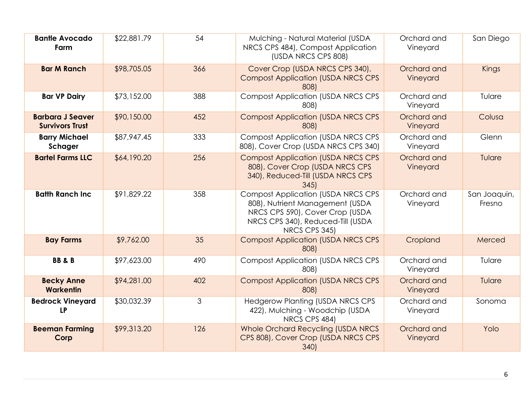| <b>Bantle Avocado</b><br>Farm                     | \$22,881.79 | 54  | Mulching - Natural Material (USDA<br>NRCS CPS 484), Compost Application<br>(USDA NRCS CPS 808)                                                                        | Orchard and<br>Vineyard | San Diego              |
|---------------------------------------------------|-------------|-----|-----------------------------------------------------------------------------------------------------------------------------------------------------------------------|-------------------------|------------------------|
| <b>Bar M Ranch</b>                                | \$98,705.05 | 366 | Cover Crop (USDA NRCS CPS 340),<br><b>Compost Application (USDA NRCS CPS</b><br>808)                                                                                  | Orchard and<br>Vineyard | Kings                  |
| <b>Bar VP Dairy</b>                               | \$73,152.00 | 388 | <b>Compost Application (USDA NRCS CPS</b><br>808)                                                                                                                     | Orchard and<br>Vineyard | Tulare                 |
| <b>Barbara J Seaver</b><br><b>Survivors Trust</b> | \$90,150.00 | 452 | <b>Compost Application (USDA NRCS CPS</b><br>808)                                                                                                                     | Orchard and<br>Vineyard | Colusa                 |
| <b>Barry Michael</b><br>Schager                   | \$87,947.45 | 333 | <b>Compost Application (USDA NRCS CPS)</b><br>808), Cover Crop (USDA NRCS CPS 340)                                                                                    | Orchard and<br>Vineyard | Glenn                  |
| <b>Bartel Farms LLC</b>                           | \$64,190.20 | 256 | <b>Compost Application (USDA NRCS CPS</b><br>808), Cover Crop (USDA NRCS CPS<br>340), Reduced-Till (USDA NRCS CPS<br>345                                              | Orchard and<br>Vineyard | Tulare                 |
| <b>Batth Ranch Inc</b>                            | \$91,829.22 | 358 | <b>Compost Application (USDA NRCS CPS</b><br>808), Nutrient Management (USDA<br>NRCS CPS 590), Cover Crop (USDA<br>NRCS CPS 340), Reduced-Till (USDA<br>NRCS CPS 345) | Orchard and<br>Vineyard | San Joaquin,<br>Fresno |
| <b>Bay Farms</b>                                  | \$9,762.00  | 35  | <b>Compost Application (USDA NRCS CPS</b><br>808)                                                                                                                     | Cropland                | Merced                 |
| <b>BB&amp;B</b>                                   | \$97,623.00 | 490 | <b>Compost Application (USDA NRCS CPS</b><br>808)                                                                                                                     | Orchard and<br>Vineyard | Tulare                 |
| <b>Becky Anne</b><br><b>Warkentin</b>             | \$94,281.00 | 402 | <b>Compost Application (USDA NRCS CPS</b><br>808)                                                                                                                     | Orchard and<br>Vineyard | Tulare                 |
| <b>Bedrock Vineyard</b><br><b>LP</b>              | \$30,032.39 | 3   | <b>Hedgerow Planting (USDA NRCS CPS</b><br>422), Mulching - Woodchip (USDA<br>NRCS CPS 484)                                                                           | Orchard and<br>Vineyard | Sonoma                 |
| <b>Beeman Farming</b><br>Corp                     | \$99,313.20 | 126 | Whole Orchard Recycling (USDA NRCS<br>CPS 808), Cover Crop (USDA NRCS CPS<br>340)                                                                                     | Orchard and<br>Vineyard | Yolo                   |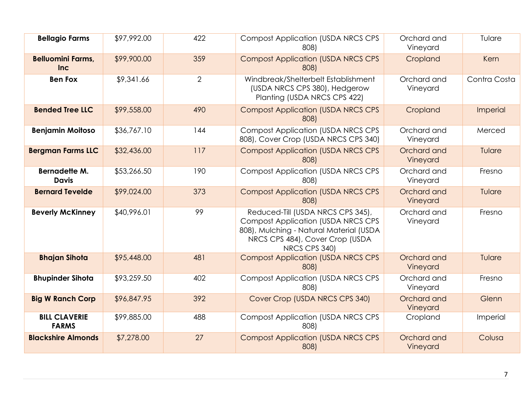| <b>Bellagio Farms</b>                  | \$97,992.00 | 422            | <b>Compost Application (USDA NRCS CPS</b><br>808)                                                                                                                              | Orchard and<br>Vineyard | Tulare       |
|----------------------------------------|-------------|----------------|--------------------------------------------------------------------------------------------------------------------------------------------------------------------------------|-------------------------|--------------|
| <b>Belluomini Farms,</b><br><b>Inc</b> | \$99,900.00 | 359            | <b>Compost Application (USDA NRCS CPS</b><br>808)                                                                                                                              | Cropland                | Kern         |
| <b>Ben Fox</b>                         | \$9,341.66  | $\overline{2}$ | Windbreak/Shelterbelt Establishment<br>(USDA NRCS CPS 380), Hedgerow<br>Planting (USDA NRCS CPS 422)                                                                           | Orchard and<br>Vineyard | Contra Costa |
| <b>Bended Tree LLC</b>                 | \$99,558.00 | 490            | <b>Compost Application (USDA NRCS CPS)</b><br>808)                                                                                                                             | Cropland                | Imperial     |
| <b>Benjamin Moitoso</b>                | \$36,767.10 | 144            | <b>Compost Application (USDA NRCS CPS)</b><br>808), Cover Crop (USDA NRCS CPS 340)                                                                                             | Orchard and<br>Vineyard | Merced       |
| <b>Bergman Farms LLC</b>               | \$32,436.00 | 117            | <b>Compost Application (USDA NRCS CPS</b><br>808)                                                                                                                              | Orchard and<br>Vineyard | Tulare       |
| <b>Bernadette M.</b><br><b>Davis</b>   | \$53,266.50 | 190            | <b>Compost Application (USDA NRCS CPS</b><br>808)                                                                                                                              | Orchard and<br>Vineyard | Fresno       |
| <b>Bernard Tevelde</b>                 | \$99,024.00 | 373            | <b>Compost Application (USDA NRCS CPS)</b><br>808)                                                                                                                             | Orchard and<br>Vineyard | Tulare       |
| <b>Beverly McKinney</b>                | \$40,996.01 | 99             | Reduced-Till (USDA NRCS CPS 345),<br><b>Compost Application (USDA NRCS CPS)</b><br>808), Mulching - Natural Material (USDA<br>NRCS CPS 484), Cover Crop (USDA<br>NRCS CPS 340) | Orchard and<br>Vineyard | Fresno       |
| <b>Bhajan Sihota</b>                   | \$95,448.00 | 481            | <b>Compost Application (USDA NRCS CPS</b><br>808)                                                                                                                              | Orchard and<br>Vineyard | Tulare       |
| <b>Bhupinder Sihota</b>                | \$93,259.50 | 402            | <b>Compost Application (USDA NRCS CPS</b><br>808)                                                                                                                              | Orchard and<br>Vineyard | Fresno       |
| <b>Big W Ranch Corp</b>                | \$96,847.95 | 392            | Cover Crop (USDA NRCS CPS 340)                                                                                                                                                 | Orchard and<br>Vineyard | Glenn        |
| <b>BILL CLAVERIE</b><br><b>FARMS</b>   | \$99,885.00 | 488            | <b>Compost Application (USDA NRCS CPS</b><br>808)                                                                                                                              | Cropland                | Imperial     |
| <b>Blackshire Almonds</b>              | \$7,278.00  | 27             | <b>Compost Application (USDA NRCS CPS</b><br>808)                                                                                                                              | Orchard and<br>Vineyard | Colusa       |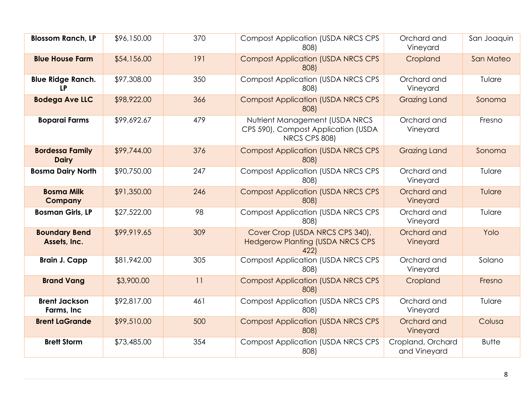| <b>Blossom Ranch, LP</b>               | \$96,150.00 | 370 | <b>Compost Application (USDA NRCS CPS</b><br>808)                                      | Orchard and<br>Vineyard           | San Joaquin  |
|----------------------------------------|-------------|-----|----------------------------------------------------------------------------------------|-----------------------------------|--------------|
| <b>Blue House Farm</b>                 | \$54,156.00 | 191 | <b>Compost Application (USDA NRCS CPS</b><br>808)                                      | Cropland                          | San Mateo    |
| <b>Blue Ridge Ranch.</b><br><b>LP</b>  | \$97,308.00 | 350 | <b>Compost Application (USDA NRCS CPS</b><br>808)                                      | Orchard and<br>Vineyard           | Tulare       |
| <b>Bodega Ave LLC</b>                  | \$98,922.00 | 366 | <b>Compost Application (USDA NRCS CPS</b><br>808)                                      | <b>Grazing Land</b>               | Sonoma       |
| <b>Boparai Farms</b>                   | \$99,692.67 | 479 | Nutrient Management (USDA NRCS<br>CPS 590), Compost Application (USDA<br>NRCS CPS 808) | Orchard and<br>Vineyard           | Fresno       |
| <b>Bordessa Family</b><br><b>Dairy</b> | \$99,744.00 | 376 | <b>Compost Application (USDA NRCS CPS</b><br>808)                                      | <b>Grazing Land</b>               | Sonoma       |
| <b>Bosma Dairy North</b>               | \$90,750.00 | 247 | <b>Compost Application (USDA NRCS CPS</b><br>808)                                      | Orchard and<br>Vineyard           | Tulare       |
| <b>Bosma Milk</b><br><b>Company</b>    | \$91,350.00 | 246 | <b>Compost Application (USDA NRCS CPS</b><br>808)                                      | Orchard and<br>Vineyard           | Tulare       |
| <b>Bosman Girls, LP</b>                | \$27,522.00 | 98  | <b>Compost Application (USDA NRCS CPS</b><br>808)                                      | Orchard and<br>Vineyard           | Tulare       |
| <b>Boundary Bend</b><br>Assets, Inc.   | \$99,919.65 | 309 | Cover Crop (USDA NRCS CPS 340),<br><b>Hedgerow Planting (USDA NRCS CPS</b><br>422)     | Orchard and<br>Vineyard           | Yolo         |
| <b>Brain J. Capp</b>                   | \$81,942.00 | 305 | <b>Compost Application (USDA NRCS CPS</b><br>808)                                      | Orchard and<br>Vineyard           | Solano       |
| <b>Brand Vang</b>                      | \$3,900.00  | 11  | <b>Compost Application (USDA NRCS CPS</b><br>808)                                      | Cropland                          | Fresno       |
| <b>Brent Jackson</b><br>Farms, Inc     | \$92,817.00 | 461 | <b>Compost Application (USDA NRCS CPS</b><br>808)                                      | Orchard and<br>Vineyard           | Tulare       |
| <b>Brent LaGrande</b>                  | \$99,510.00 | 500 | <b>Compost Application (USDA NRCS CPS</b><br>808)                                      | Orchard and<br>Vineyard           | Colusa       |
| <b>Brett Storm</b>                     | \$73,485.00 | 354 | <b>Compost Application (USDA NRCS CPS</b><br>808)                                      | Cropland, Orchard<br>and Vineyard | <b>Butte</b> |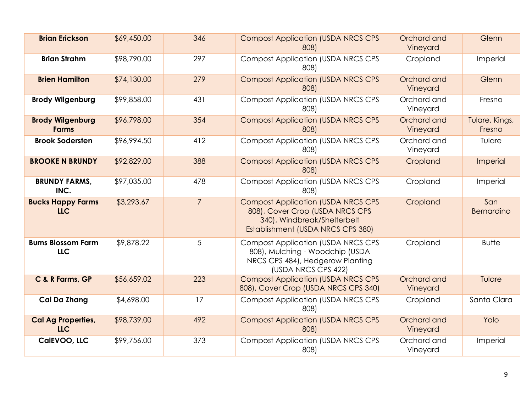| <b>Brian Erickson</b>                   | \$69,450.00 | 346            | <b>Compost Application (USDA NRCS CPS</b><br>808)                                                                                                | Orchard and<br>Vineyard | Glenn                    |
|-----------------------------------------|-------------|----------------|--------------------------------------------------------------------------------------------------------------------------------------------------|-------------------------|--------------------------|
| <b>Brian Strahm</b>                     | \$98,790.00 | 297            | <b>Compost Application (USDA NRCS CPS</b><br>808)                                                                                                | Cropland                | Imperial                 |
| <b>Brien Hamilton</b>                   | \$74,130.00 | 279            | <b>Compost Application (USDA NRCS CPS</b><br>808)                                                                                                | Orchard and<br>Vineyard | Glenn                    |
| <b>Brody Wilgenburg</b>                 | \$99,858.00 | 431            | <b>Compost Application (USDA NRCS CPS</b><br>808)                                                                                                | Orchard and<br>Vineyard | Fresno                   |
| <b>Brody Wilgenburg</b><br><b>Farms</b> | \$96,798.00 | 354            | <b>Compost Application (USDA NRCS CPS</b><br>808)                                                                                                | Orchard and<br>Vineyard | Tulare, Kings,<br>Fresno |
| <b>Brook Sodersten</b>                  | \$96,994.50 | 412            | <b>Compost Application (USDA NRCS CPS</b><br>808)                                                                                                | Orchard and<br>Vineyard | Tulare                   |
| <b>BROOKE N BRUNDY</b>                  | \$92,829.00 | 388            | <b>Compost Application (USDA NRCS CPS</b><br>808)                                                                                                | Cropland                | Imperial                 |
| <b>BRUNDY FARMS,</b><br>INC.            | \$97,035.00 | 478            | <b>Compost Application (USDA NRCS CPS)</b><br>808)                                                                                               | Cropland                | Imperial                 |
| <b>Bucks Happy Farms</b><br><b>LLC</b>  | \$3,293.67  | $\overline{7}$ | <b>Compost Application (USDA NRCS CPS</b><br>808), Cover Crop (USDA NRCS CPS<br>340), Windbreak/Shelterbelt<br>Establishment (USDA NRCS CPS 380) | Cropland                | San<br><b>Bernardino</b> |
| <b>Burns Blossom Farm</b><br><b>LLC</b> | \$9,878.22  | 5              | <b>Compost Application (USDA NRCS CPS)</b><br>808), Mulching - Woodchip (USDA<br>NRCS CPS 484), Hedgerow Planting<br>(USDA NRCS CPS 422)         | Cropland                | <b>Butte</b>             |
| C & R Farms, GP                         | \$56,659.02 | 223            | <b>Compost Application (USDA NRCS CPS)</b><br>808), Cover Crop (USDA NRCS CPS 340)                                                               | Orchard and<br>Vineyard | Tulare                   |
| Cai Da Zhang                            | \$4,698.00  | 17             | <b>Compost Application (USDA NRCS CPS)</b><br>808)                                                                                               | Cropland                | Santa Clara              |
| <b>Cal Ag Properties,</b><br><b>LLC</b> | \$98,739.00 | 492            | <b>Compost Application (USDA NRCS CPS</b><br>808)                                                                                                | Orchard and<br>Vineyard | Yolo                     |
| CalEVOO, LLC                            | \$99,756.00 | 373            | <b>Compost Application (USDA NRCS CPS)</b><br>808)                                                                                               | Orchard and<br>Vineyard | Imperial                 |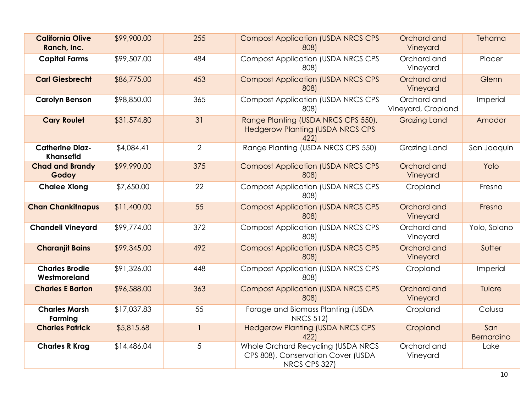| <b>California Olive</b><br>Ranch, Inc.     | \$99,900.00 | 255            | <b>Compost Application (USDA NRCS CPS</b><br>808)                                         | Orchard and<br>Vineyard           | Tehama            |
|--------------------------------------------|-------------|----------------|-------------------------------------------------------------------------------------------|-----------------------------------|-------------------|
| <b>Capital Farms</b>                       | \$99,507.00 | 484            | <b>Compost Application (USDA NRCS CPS</b><br>808)                                         | Orchard and<br>Vineyard           | Placer            |
| <b>Carl Giesbrecht</b>                     | \$86,775.00 | 453            | <b>Compost Application (USDA NRCS CPS</b><br>808)                                         | Orchard and<br>Vineyard           | Glenn             |
| <b>Carolyn Benson</b>                      | \$98,850.00 | 365            | <b>Compost Application (USDA NRCS CPS</b><br>808)                                         | Orchard and<br>Vineyard, Cropland | Imperial          |
| <b>Cary Roulet</b>                         | \$31,574.80 | 31             | Range Planting (USDA NRCS CPS 550),<br><b>Hedgerow Planting (USDA NRCS CPS</b><br>422)    | <b>Grazing Land</b>               | Amador            |
| <b>Catherine Diaz-</b><br><b>Khansefid</b> | \$4,084.4]  | $\overline{2}$ | Range Planting (USDA NRCS CPS 550)                                                        | Grazing Land                      | San Joaquin       |
| <b>Chad and Brandy</b><br>Godoy            | \$99,990.00 | 375            | <b>Compost Application (USDA NRCS CPS</b><br>808)                                         | Orchard and<br>Vineyard           | Yolo              |
| <b>Chalee Xiong</b>                        | \$7,650.00  | 22             | <b>Compost Application (USDA NRCS CPS</b><br>808)                                         | Cropland                          | Fresno            |
| <b>Chan Chankitnapus</b>                   | \$11,400.00 | 55             | <b>Compost Application (USDA NRCS CPS</b><br>808)                                         | Orchard and<br>Vineyard           | Fresno            |
| <b>Chandeli Vineyard</b>                   | \$99,774.00 | 372            | <b>Compost Application (USDA NRCS CPS</b><br>808)                                         | Orchard and<br>Vineyard           | Yolo, Solano      |
| <b>Charanjit Bains</b>                     | \$99,345.00 | 492            | <b>Compost Application (USDA NRCS CPS</b><br>808)                                         | Orchard and<br>Vineyard           | Sutter            |
| <b>Charles Brodie</b><br>Westmoreland      | \$91,326.00 | 448            | <b>Compost Application (USDA NRCS CPS</b><br>808)                                         | Cropland                          | Imperial          |
| <b>Charles E Barton</b>                    | \$96,588.00 | 363            | <b>Compost Application (USDA NRCS CPS</b><br>808)                                         | Orchard and<br>Vineyard           | Tulare            |
| <b>Charles Marsh</b><br>Farming            | \$17,037.83 | 55             | Forage and Biomass Planting (USDA<br><b>NRCS 512)</b>                                     | Cropland                          | Colusa            |
| <b>Charles Patrick</b>                     | \$5,815.68  | $\mathbf{1}$   | <b>Hedgerow Planting (USDA NRCS CPS</b><br>422                                            | Cropland                          | San<br>Bernardino |
| <b>Charles R Krag</b>                      | \$14,486.04 | 5              | Whole Orchard Recycling (USDA NRCS<br>CPS 808), Conservation Cover (USDA<br>NRCS CPS 327) | Orchard and<br>Vineyard           | Lake              |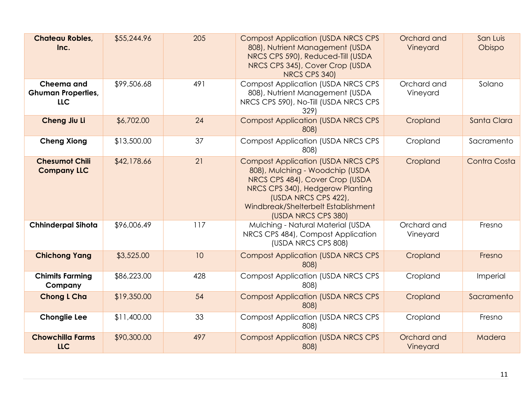| <b>Chateau Robles,</b><br>Inc.                        | \$55,244.96 | 205 | <b>Compost Application (USDA NRCS CPS</b><br>808), Nutrient Management (USDA<br>NRCS CPS 590), Reduced-Till (USDA<br>NRCS CPS 345), Cover Crop (USDA<br>NRCS CPS 340)                                                                     | Orchard and<br>Vineyard | San Luis<br>Obispo |
|-------------------------------------------------------|-------------|-----|-------------------------------------------------------------------------------------------------------------------------------------------------------------------------------------------------------------------------------------------|-------------------------|--------------------|
| Cheema and<br><b>Ghuman Properties,</b><br><b>LLC</b> | \$99,506.68 | 491 | <b>Compost Application (USDA NRCS CPS</b><br>808), Nutrient Management (USDA<br>NRCS CPS 590), No-Till (USDA NRCS CPS<br>329)                                                                                                             | Orchard and<br>Vineyard | Solano             |
| Cheng Jiu Li                                          | \$6,702.00  | 24  | <b>Compost Application (USDA NRCS CPS</b><br>808)                                                                                                                                                                                         | Cropland                | Santa Clara        |
| <b>Cheng Xiong</b>                                    | \$13,500.00 | 37  | <b>Compost Application (USDA NRCS CPS</b><br>808)                                                                                                                                                                                         | Cropland                | Sacramento         |
| <b>Chesumot Chili</b><br><b>Company LLC</b>           | \$42,178.66 | 21  | <b>Compost Application (USDA NRCS CPS</b><br>808), Mulching - Woodchip (USDA<br>NRCS CPS 484), Cover Crop (USDA<br>NRCS CPS 340), Hedgerow Planting<br>(USDA NRCS CPS 422),<br>Windbreak/Shelterbelt Establishment<br>(USDA NRCS CPS 380) | Cropland                | Contra Costa       |
| <b>Chhinderpal Sihota</b>                             | \$96,006.49 | 117 | Mulching - Natural Material (USDA<br>NRCS CPS 484), Compost Application<br>(USDA NRCS CPS 808)                                                                                                                                            | Orchard and<br>Vineyard | Fresno             |
| <b>Chichong Yang</b>                                  | \$3,525.00  | 10  | <b>Compost Application (USDA NRCS CPS</b><br>808)                                                                                                                                                                                         | Cropland                | Fresno             |
| <b>Chimits Farming</b><br>Company                     | \$86,223.00 | 428 | <b>Compost Application (USDA NRCS CPS</b><br>808)                                                                                                                                                                                         | Cropland                | Imperial           |
| <b>Chong L Cha</b>                                    | \$19,350.00 | 54  | <b>Compost Application (USDA NRCS CPS</b><br>808)                                                                                                                                                                                         | Cropland                | Sacramento         |
| <b>Chonglie Lee</b>                                   | \$11,400.00 | 33  | <b>Compost Application (USDA NRCS CPS</b><br>808)                                                                                                                                                                                         | Cropland                | Fresno             |
| <b>Chowchilla Farms</b><br><b>LLC</b>                 | \$90,300.00 | 497 | <b>Compost Application (USDA NRCS CPS</b><br>808)                                                                                                                                                                                         | Orchard and<br>Vineyard | Madera             |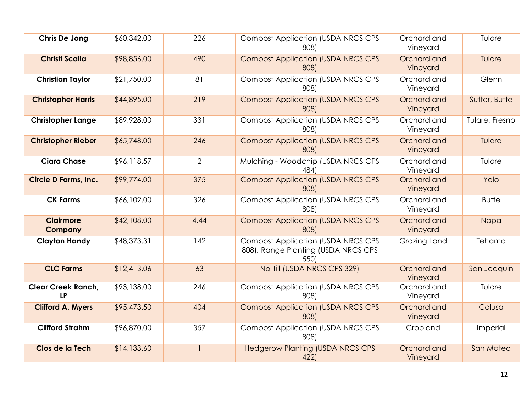| Chris De Jong                          | \$60,342.00 | 226                      | <b>Compost Application (USDA NRCS CPS</b><br>808)                                         | Orchard and<br>Vineyard | Tulare         |
|----------------------------------------|-------------|--------------------------|-------------------------------------------------------------------------------------------|-------------------------|----------------|
| <b>Christi Scalia</b>                  | \$98,856.00 | 490                      | <b>Compost Application (USDA NRCS CPS</b><br>808)                                         | Orchard and<br>Vineyard | Tulare         |
| <b>Christian Taylor</b>                | \$21,750.00 | 81                       | <b>Compost Application (USDA NRCS CPS)</b><br>808)                                        | Orchard and<br>Vineyard | Glenn          |
| <b>Christopher Harris</b>              | \$44,895.00 | 219                      | <b>Compost Application (USDA NRCS CPS</b><br>808)                                         | Orchard and<br>Vineyard | Sutter, Butte  |
| <b>Christopher Lange</b>               | \$89,928.00 | 331                      | <b>Compost Application (USDA NRCS CPS</b><br>808)                                         | Orchard and<br>Vineyard | Tulare, Fresno |
| <b>Christopher Rieber</b>              | \$65,748.00 | 246                      | <b>Compost Application (USDA NRCS CPS</b><br>808)                                         | Orchard and<br>Vineyard | Tulare         |
| <b>Ciara Chase</b>                     | \$96,118.57 | $\overline{2}$           | Mulching - Woodchip (USDA NRCS CPS<br>484)                                                | Orchard and<br>Vineyard | Tulare         |
| <b>Circle D Farms, Inc.</b>            | \$99,774.00 | 375                      | <b>Compost Application (USDA NRCS CPS</b><br>808)                                         | Orchard and<br>Vineyard | Yolo           |
| <b>CK Farms</b>                        | \$66,102.00 | 326                      | <b>Compost Application (USDA NRCS CPS</b><br>808)                                         | Orchard and<br>Vineyard | <b>Butte</b>   |
| <b>Clairmore</b><br><b>Company</b>     | \$42,108.00 | 4.44                     | <b>Compost Application (USDA NRCS CPS</b><br>808)                                         | Orchard and<br>Vineyard | Napa           |
| <b>Clayton Handy</b>                   | \$48,373.31 | 142                      | <b>Compost Application (USDA NRCS CPS)</b><br>808), Range Planting (USDA NRCS CPS<br>550) | Grazing Land            | Tehama         |
| <b>CLC Farms</b>                       | \$12,413.06 | 63                       | No-Till (USDA NRCS CPS 329)                                                               | Orchard and<br>Vineyard | San Joaquin    |
| <b>Clear Creek Ranch,</b><br><b>LP</b> | \$93,138.00 | 246                      | <b>Compost Application (USDA NRCS CPS</b><br>808)                                         | Orchard and<br>Vineyard | Tulare         |
| <b>Clifford A. Myers</b>               | \$95,473.50 | 404                      | <b>Compost Application (USDA NRCS CPS</b><br>808)                                         | Orchard and<br>Vineyard | Colusa         |
| <b>Clifford Strahm</b>                 | \$96,870.00 | 357                      | <b>Compost Application (USDA NRCS CPS</b><br>808)                                         | Cropland                | Imperial       |
| Clos de la Tech                        | \$14,133.60 | $\overline{\phantom{a}}$ | <b>Hedgerow Planting (USDA NRCS CPS</b><br>422)                                           | Orchard and<br>Vineyard | San Mateo      |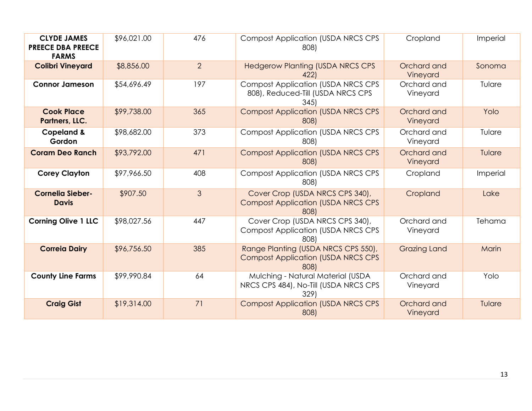| <b>CLYDE JAMES</b><br><b>PREECE DBA PREECE</b><br><b>FARMS</b> | \$96,021.00 | 476            | <b>Compost Application (USDA NRCS CPS)</b><br>808)                                       | Cropland                | Imperial |
|----------------------------------------------------------------|-------------|----------------|------------------------------------------------------------------------------------------|-------------------------|----------|
| <b>Colibri Vineyard</b>                                        | \$8,856.00  | $\overline{2}$ | <b>Hedgerow Planting (USDA NRCS CPS</b><br>422                                           | Orchard and<br>Vineyard | Sonoma   |
| <b>Connor Jameson</b>                                          | \$54,696.49 | 197            | <b>Compost Application (USDA NRCS CPS)</b><br>808), Reduced-Till (USDA NRCS CPS<br>345   | Orchard and<br>Vineyard | Tulare   |
| <b>Cook Place</b><br>Partners, LLC.                            | \$99,738.00 | 365            | <b>Compost Application (USDA NRCS CPS</b><br>808)                                        | Orchard and<br>Vineyard | Yolo     |
| <b>Copeland &amp;</b><br>Gordon                                | \$98,682.00 | 373            | <b>Compost Application (USDA NRCS CPS</b><br>808)                                        | Orchard and<br>Vineyard | Tulare   |
| <b>Coram Deo Ranch</b>                                         | \$93,792.00 | 471            | <b>Compost Application (USDA NRCS CPS</b><br>808)                                        | Orchard and<br>Vineyard | Tulare   |
| <b>Corey Clayton</b>                                           | \$97,966.50 | 408            | <b>Compost Application (USDA NRCS CPS)</b><br>808)                                       | Cropland                | Imperial |
| <b>Cornelia Sieber-</b><br><b>Davis</b>                        | \$907.50    | $\mathfrak{Z}$ | Cover Crop (USDA NRCS CPS 340),<br><b>Compost Application (USDA NRCS CPS)</b><br>808)    | Cropland                | Lake     |
| <b>Corning Olive 1 LLC</b>                                     | \$98,027.56 | 447            | Cover Crop (USDA NRCS CPS 340),<br><b>Compost Application (USDA NRCS CPS)</b><br>808)    | Orchard and<br>Vineyard | Tehama   |
| <b>Correia Dairy</b>                                           | \$96,756.50 | 385            | Range Planting (USDA NRCS CPS 550),<br><b>Compost Application (USDA NRCS CPS</b><br>808) | <b>Grazing Land</b>     | Marin    |
| <b>County Line Farms</b>                                       | \$99,990.84 | 64             | Mulching - Natural Material (USDA<br>NRCS CPS 484), No-Till (USDA NRCS CPS<br>329)       | Orchard and<br>Vineyard | Yolo     |
| <b>Craig Gist</b>                                              | \$19,314.00 | 71             | <b>Compost Application (USDA NRCS CPS</b><br>808)                                        | Orchard and<br>Vineyard | Tulare   |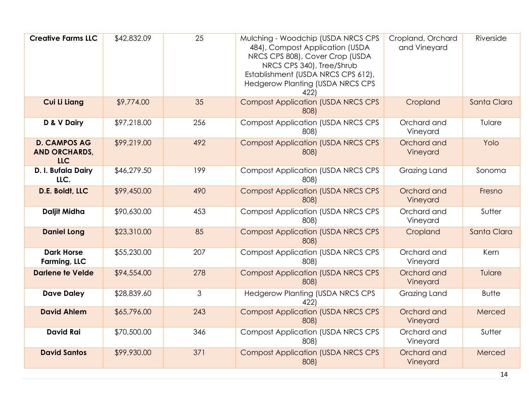| <b>Creative Farms LLC</b>                                 | \$42,832.09 | 25  | Mulching - Woodchip (USDA NRCS CPS<br>484), Compost Application (USDA<br>NRCS CPS 808), Cover Crop (USDA<br>NRCS CPS 340), Tree/Shrub<br>Establishment (USDA NRCS CPS 612),<br><b>Hedgerow Planting (USDA NRCS CPS</b><br>422) | Cropland, Orchard<br>and Vineyard | Riverside    |
|-----------------------------------------------------------|-------------|-----|--------------------------------------------------------------------------------------------------------------------------------------------------------------------------------------------------------------------------------|-----------------------------------|--------------|
| <b>Cui Li Liang</b>                                       | \$9,774.00  | 35  | <b>Compost Application (USDA NRCS CPS</b><br>808)                                                                                                                                                                              | Cropland                          | Santa Clara  |
| D & V Dairy                                               | \$97,218.00 | 256 | <b>Compost Application (USDA NRCS CPS</b><br>808)                                                                                                                                                                              | Orchard and<br>Vineyard           | Tulare       |
| <b>D. CAMPOS AG</b><br><b>AND ORCHARDS,</b><br><b>LLC</b> | \$99,219.00 | 492 | <b>Compost Application (USDA NRCS CPS</b><br>808)                                                                                                                                                                              | Orchard and<br>Vineyard           | Yolo         |
| D. I. Bufala Dairy<br>LLC.                                | \$46,279.50 | 199 | <b>Compost Application (USDA NRCS CPS</b><br>808)                                                                                                                                                                              | Grazing Land                      | Sonoma       |
| D.E. Boldt, LLC                                           | \$99,450.00 | 490 | <b>Compost Application (USDA NRCS CPS</b><br>808)                                                                                                                                                                              | Orchard and<br>Vineyard           | Fresno       |
| <b>Daljit Midha</b>                                       | \$90,630.00 | 453 | <b>Compost Application (USDA NRCS CPS</b><br>808)                                                                                                                                                                              | Orchard and<br>Vineyard           | Sutter       |
| <b>Daniel Long</b>                                        | \$23,310.00 | 85  | <b>Compost Application (USDA NRCS CPS</b><br>808)                                                                                                                                                                              | Cropland                          | Santa Clara  |
| <b>Dark Horse</b><br>Farming, LLC                         | \$55,230.00 | 207 | <b>Compost Application (USDA NRCS CPS</b><br>808)                                                                                                                                                                              | Orchard and<br>Vineyard           | Kern         |
| <b>Darlene te Velde</b>                                   | \$94,554.00 | 278 | <b>Compost Application (USDA NRCS CPS</b><br>808)                                                                                                                                                                              | Orchard and<br>Vineyard           | Tulare       |
| <b>Dave Daley</b>                                         | \$28,839.60 | 3   | <b>Hedgerow Planting (USDA NRCS CPS</b><br>422)                                                                                                                                                                                | Grazing Land                      | <b>Butte</b> |
| <b>David Ahlem</b>                                        | \$65,796.00 | 243 | <b>Compost Application (USDA NRCS CPS</b><br>808)                                                                                                                                                                              | Orchard and<br>Vineyard           | Merced       |
| <b>David Rai</b>                                          | \$70,500.00 | 346 | <b>Compost Application (USDA NRCS CPS</b><br>808)                                                                                                                                                                              | Orchard and<br>Vineyard           | Sutter       |
| <b>David Santos</b>                                       | \$99,930.00 | 371 | <b>Compost Application (USDA NRCS CPS</b><br>808)                                                                                                                                                                              | Orchard and<br>Vineyard           | Merced       |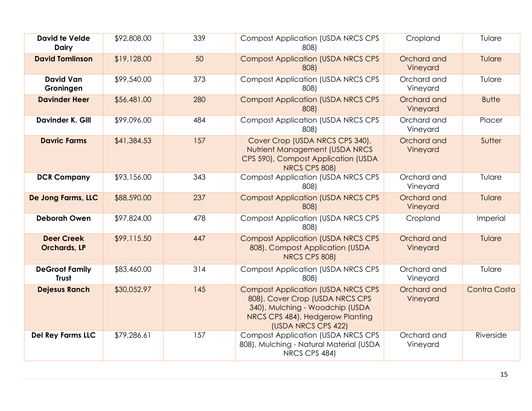| <b>David te Velde</b><br><b>Dairy</b>    | \$92,808.00 | 339 | <b>Compost Application (USDA NRCS CPS</b><br>808)                                                                                                                           | Cropland                | Tulare       |
|------------------------------------------|-------------|-----|-----------------------------------------------------------------------------------------------------------------------------------------------------------------------------|-------------------------|--------------|
| <b>David Tomlinson</b>                   | \$19,128.00 | 50  | <b>Compost Application (USDA NRCS CPS</b><br>808)                                                                                                                           | Orchard and<br>Vineyard | Tulare       |
| <b>David Van</b><br>Groningen            | \$99,540.00 | 373 | <b>Compost Application (USDA NRCS CPS)</b><br>808)                                                                                                                          | Orchard and<br>Vineyard | Tulare       |
| <b>Davinder Heer</b>                     | \$56,481.00 | 280 | <b>Compost Application (USDA NRCS CPS</b><br>808)                                                                                                                           | Orchard and<br>Vineyard | <b>Butte</b> |
| <b>Davinder K. Gill</b>                  | \$99,096.00 | 484 | <b>Compost Application (USDA NRCS CPS</b><br>808)                                                                                                                           | Orchard and<br>Vineyard | Placer       |
| <b>Davric Farms</b>                      | \$41,384.53 | 157 | Cover Crop (USDA NRCS CPS 340),<br>Nutrient Management (USDA NRCS<br>CPS 590), Compost Application (USDA<br>NRCS CPS 808)                                                   | Orchard and<br>Vineyard | Sutter       |
| <b>DCR Company</b>                       | \$93,156.00 | 343 | <b>Compost Application (USDA NRCS CPS</b><br>808)                                                                                                                           | Orchard and<br>Vineyard | Tulare       |
| De Jong Farms, LLC                       | \$88,590.00 | 237 | <b>Compost Application (USDA NRCS CPS</b><br>808)                                                                                                                           | Orchard and<br>Vineyard | Tulare       |
| <b>Deborah Owen</b>                      | \$97,824.00 | 478 | <b>Compost Application (USDA NRCS CPS</b><br>808)                                                                                                                           | Cropland                | Imperial     |
| <b>Deer Creek</b><br><b>Orchards, LP</b> | \$99,115.50 | 447 | <b>Compost Application (USDA NRCS CPS</b><br>808), Compost Application (USDA<br>NRCS CPS 808)                                                                               | Orchard and<br>Vineyard | Tulare       |
| <b>DeGroot Family</b><br><b>Trust</b>    | \$83,460.00 | 314 | <b>Compost Application (USDA NRCS CPS</b><br>808)                                                                                                                           | Orchard and<br>Vineyard | Tulare       |
| <b>Dejesus Ranch</b>                     | \$30,052.97 | 145 | <b>Compost Application (USDA NRCS CPS)</b><br>808), Cover Crop (USDA NRCS CPS<br>340), Mulching - Woodchip (USDA<br>NRCS CPS 484), Hedgerow Planting<br>(USDA NRCS CPS 422) | Orchard and<br>Vineyard | Contra Costa |
| <b>Del Rey Farms LLC</b>                 | \$79,286.61 | 157 | <b>Compost Application (USDA NRCS CPS)</b><br>808), Mulching - Natural Material (USDA<br>NRCS CPS 484)                                                                      | Orchard and<br>Vineyard | Riverside    |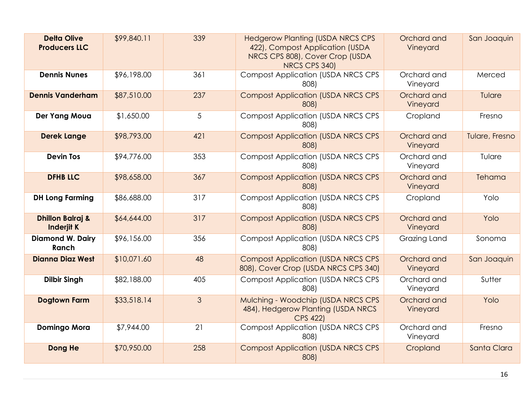| <b>Delta Olive</b><br><b>Producers LLC</b>       | \$99,840.11 | 339            | <b>Hedgerow Planting (USDA NRCS CPS</b><br>422), Compost Application (USDA<br>NRCS CPS 808), Cover Crop (USDA<br>NRCS CPS 340) | Orchard and<br>Vineyard | San Joaquin    |
|--------------------------------------------------|-------------|----------------|--------------------------------------------------------------------------------------------------------------------------------|-------------------------|----------------|
| <b>Dennis Nunes</b>                              | \$96,198.00 | 361            | <b>Compost Application (USDA NRCS CPS</b><br>808)                                                                              | Orchard and<br>Vineyard | Merced         |
| <b>Dennis Vanderham</b>                          | \$87,510.00 | 237            | <b>Compost Application (USDA NRCS CPS</b><br>808)                                                                              | Orchard and<br>Vineyard | Tulare         |
| Der Yang Moua                                    | \$1,650.00  | 5              | <b>Compost Application (USDA NRCS CPS</b><br>808)                                                                              | Cropland                | Fresno         |
| <b>Derek Lange</b>                               | \$98,793.00 | 421            | <b>Compost Application (USDA NRCS CPS)</b><br>808)                                                                             | Orchard and<br>Vineyard | Tulare, Fresno |
| <b>Devin Tos</b>                                 | \$94,776.00 | 353            | <b>Compost Application (USDA NRCS CPS</b><br>808)                                                                              | Orchard and<br>Vineyard | Tulare         |
| <b>DFHB LLC</b>                                  | \$98,658.00 | 367            | <b>Compost Application (USDA NRCS CPS</b><br>808)                                                                              | Orchard and<br>Vineyard | Tehama         |
| <b>DH Long Farming</b>                           | \$86,688.00 | 317            | <b>Compost Application (USDA NRCS CPS)</b><br>808)                                                                             | Cropland                | Yolo           |
| <b>Dhillon Balraj &amp;</b><br><b>Inderjit K</b> | \$64,644.00 | 317            | <b>Compost Application (USDA NRCS CPS</b><br>808)                                                                              | Orchard and<br>Vineyard | Yolo           |
| <b>Diamond W. Dairy</b><br>Ranch                 | \$96,156.00 | 356            | <b>Compost Application (USDA NRCS CPS</b><br>808)                                                                              | <b>Grazing Land</b>     | Sonoma         |
| <b>Dianna Diaz West</b>                          | \$10,071.60 | 48             | <b>Compost Application (USDA NRCS CPS)</b><br>808), Cover Crop (USDA NRCS CPS 340)                                             | Orchard and<br>Vineyard | San Joaquin    |
| <b>Dilbir Singh</b>                              | \$82,188.00 | 405            | <b>Compost Application (USDA NRCS CPS</b><br>808)                                                                              | Orchard and<br>Vineyard | Sutter         |
| <b>Dogtown Farm</b>                              | \$33,518.14 | $\mathfrak{S}$ | Mulching - Woodchip (USDA NRCS CPS<br>484), Hedgerow Planting (USDA NRCS<br><b>CPS 422)</b>                                    | Orchard and<br>Vineyard | Yolo           |
| <b>Domingo Mora</b>                              | \$7,944.00  | 21             | <b>Compost Application (USDA NRCS CPS</b><br>808)                                                                              | Orchard and<br>Vineyard | Fresno         |
| Dong He                                          | \$70,950.00 | 258            | <b>Compost Application (USDA NRCS CPS</b><br>808)                                                                              | Cropland                | Santa Clara    |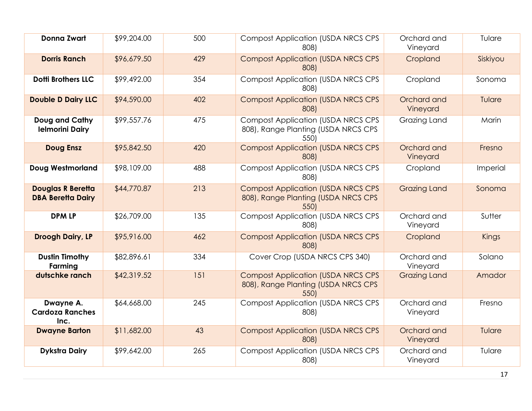| <b>Donna Zwart</b>                                   | \$99,204.00 | 500 | <b>Compost Application (USDA NRCS CPS)</b><br>808)                                       | Orchard and<br>Vineyard | Tulare   |
|------------------------------------------------------|-------------|-----|------------------------------------------------------------------------------------------|-------------------------|----------|
| <b>Dorris Ranch</b>                                  | \$96,679.50 | 429 | <b>Compost Application (USDA NRCS CPS</b><br>808)                                        | Cropland                | Siskiyou |
| <b>Dotti Brothers LLC</b>                            | \$99,492.00 | 354 | <b>Compost Application (USDA NRCS CPS</b><br>808)                                        | Cropland                | Sonoma   |
| <b>Double D Dairy LLC</b>                            | \$94,590.00 | 402 | <b>Compost Application (USDA NRCS CPS)</b><br>808)                                       | Orchard and<br>Vineyard | Tulare   |
| Doug and Cathy<br><b>Ielmorini Dairy</b>             | \$99,557.76 | 475 | <b>Compost Application (USDA NRCS CPS</b><br>808), Range Planting (USDA NRCS CPS<br>550) | Grazing Land            | Marin    |
| <b>Doug Ensz</b>                                     | \$95,842.50 | 420 | <b>Compost Application (USDA NRCS CPS</b><br>808)                                        | Orchard and<br>Vineyard | Fresno   |
| <b>Doug Westmorland</b>                              | \$98,109.00 | 488 | <b>Compost Application (USDA NRCS CPS)</b><br>808)                                       | Cropland                | Imperial |
| <b>Douglas R Beretta</b><br><b>DBA Beretta Dairy</b> | \$44,770.87 | 213 | <b>Compost Application (USDA NRCS CPS</b><br>808), Range Planting (USDA NRCS CPS<br>550) | <b>Grazing Land</b>     | Sonoma   |
| <b>DPM LP</b>                                        | \$26,709.00 | 135 | <b>Compost Application (USDA NRCS CPS</b><br>808)                                        | Orchard and<br>Vineyard | Sutter   |
| Droogh Dairy, LP                                     | \$95,916.00 | 462 | <b>Compost Application (USDA NRCS CPS</b><br>808)                                        | Cropland                | Kings    |
| <b>Dustin Timothy</b><br>Farming                     | \$82,896.61 | 334 | Cover Crop (USDA NRCS CPS 340)                                                           | Orchard and<br>Vineyard | Solano   |
| dutschke ranch                                       | \$42,319.52 | 151 | <b>Compost Application (USDA NRCS CPS)</b><br>808), Range Planting (USDA NRCS CPS<br>550 | <b>Grazing Land</b>     | Amador   |
| Dwayne A.<br><b>Cardoza Ranches</b><br>Inc.          | \$64,668.00 | 245 | <b>Compost Application (USDA NRCS CPS</b><br>808)                                        | Orchard and<br>Vineyard | Fresno   |
| <b>Dwayne Barton</b>                                 | \$11,682.00 | 43  | <b>Compost Application (USDA NRCS CPS</b><br>808)                                        | Orchard and<br>Vineyard | Tulare   |
| <b>Dykstra Dairy</b>                                 | \$99,642.00 | 265 | <b>Compost Application (USDA NRCS CPS</b><br>808)                                        | Orchard and<br>Vineyard | Tulare   |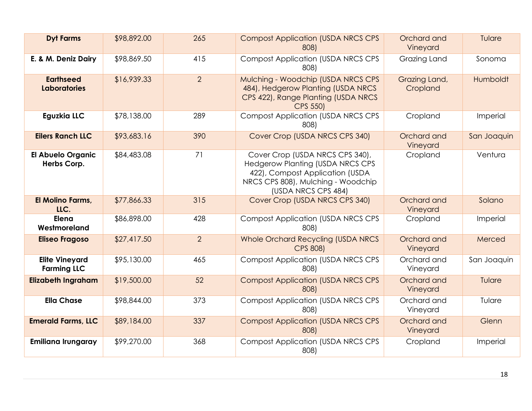| <b>Dyt Farms</b>                            | \$98,892.00 | 265            | <b>Compost Application (USDA NRCS CPS</b><br>808)                                                                                                                          | Orchard and<br>Vineyard   | Tulare      |
|---------------------------------------------|-------------|----------------|----------------------------------------------------------------------------------------------------------------------------------------------------------------------------|---------------------------|-------------|
| E. & M. Deniz Dairy                         | \$98,869.50 | 415            | <b>Compost Application (USDA NRCS CPS)</b><br>808)                                                                                                                         | Grazing Land              | Sonoma      |
| <b>Earthseed</b><br><b>Laboratories</b>     | \$16,939.33 | $\overline{2}$ | Mulching - Woodchip (USDA NRCS CPS<br>484), Hedgerow Planting (USDA NRCS<br>CPS 422), Range Planting (USDA NRCS<br><b>CPS 550)</b>                                         | Grazing Land,<br>Cropland | Humboldt    |
| <b>Eguzkia LLC</b>                          | \$78,138.00 | 289            | <b>Compost Application (USDA NRCS CPS</b><br>808)                                                                                                                          | Cropland                  | Imperial    |
| <b>Eilers Ranch LLC</b>                     | \$93,683.16 | 390            | Cover Crop (USDA NRCS CPS 340)                                                                                                                                             | Orchard and<br>Vineyard   | San Joaquin |
| <b>El Abuelo Organic</b><br>Herbs Corp.     | \$84,483.08 | 71             | Cover Crop (USDA NRCS CPS 340),<br><b>Hedgerow Planting (USDA NRCS CPS</b><br>422), Compost Application (USDA<br>NRCS CPS 808), Mulching - Woodchip<br>(USDA NRCS CPS 484) | Cropland                  | Ventura     |
| El Molino Farms,<br>LLC.                    | \$77,866.33 | 315            | Cover Crop (USDA NRCS CPS 340)                                                                                                                                             | Orchard and<br>Vineyard   | Solano      |
| Elena<br>Westmoreland                       | \$86,898.00 | 428            | <b>Compost Application (USDA NRCS CPS</b><br>808)                                                                                                                          | Cropland                  | Imperial    |
| <b>Eliseo Fragoso</b>                       | \$27,417.50 | $\overline{2}$ | Whole Orchard Recycling (USDA NRCS<br><b>CPS 808)</b>                                                                                                                      | Orchard and<br>Vineyard   | Merced      |
| <b>Elite Vineyard</b><br><b>Farming LLC</b> | \$95,130.00 | 465            | <b>Compost Application (USDA NRCS CPS</b><br>808)                                                                                                                          | Orchard and<br>Vineyard   | San Joaquin |
| <b>Elizabeth Ingraham</b>                   | \$19,500.00 | 52             | <b>Compost Application (USDA NRCS CPS</b><br>808)                                                                                                                          | Orchard and<br>Vineyard   | Tulare      |
| <b>Ella Chase</b>                           | \$98,844.00 | 373            | <b>Compost Application (USDA NRCS CPS</b><br>808)                                                                                                                          | Orchard and<br>Vineyard   | Tulare      |
| <b>Emerald Farms, LLC</b>                   | \$89,184.00 | 337            | <b>Compost Application (USDA NRCS CPS</b><br>808)                                                                                                                          | Orchard and<br>Vineyard   | Glenn       |
| <b>Emiliana Irungaray</b>                   | \$99,270.00 | 368            | <b>Compost Application (USDA NRCS CPS</b><br>808)                                                                                                                          | Cropland                  | Imperial    |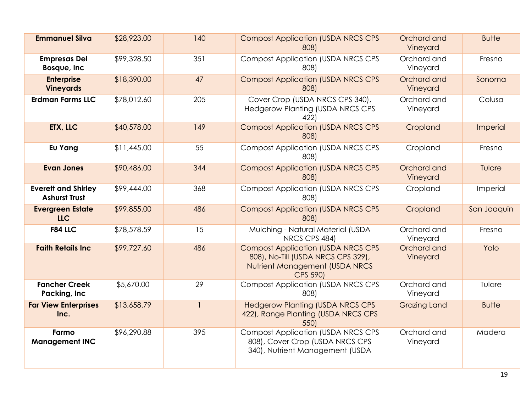| <b>Emmanuel Silva</b>                              | \$28,923.00 | 140          | <b>Compost Application (USDA NRCS CPS</b><br>808)                                                                                    | Orchard and<br>Vineyard | <b>Butte</b> |
|----------------------------------------------------|-------------|--------------|--------------------------------------------------------------------------------------------------------------------------------------|-------------------------|--------------|
| <b>Empresas Del</b><br>Bosque, Inc                 | \$99,328.50 | 351          | <b>Compost Application (USDA NRCS CPS</b><br>808)                                                                                    | Orchard and<br>Vineyard | Fresno       |
| <b>Enterprise</b><br><b>Vineyards</b>              | \$18,390.00 | 47           | <b>Compost Application (USDA NRCS CPS</b><br>808)                                                                                    | Orchard and<br>Vineyard | Sonoma       |
| <b>Erdman Farms LLC</b>                            | \$78,012.60 | 205          | Cover Crop (USDA NRCS CPS 340),<br><b>Hedgerow Planting (USDA NRCS CPS</b><br>422)                                                   | Orchard and<br>Vineyard | Colusa       |
| <b>ETX, LLC</b>                                    | \$40,578.00 | 149          | <b>Compost Application (USDA NRCS CPS</b><br>808)                                                                                    | Cropland                | Imperial     |
| Eu Yang                                            | \$11,445.00 | 55           | <b>Compost Application (USDA NRCS CPS</b><br>808)                                                                                    | Cropland                | Fresno       |
| <b>Evan Jones</b>                                  | \$90,486.00 | 344          | <b>Compost Application (USDA NRCS CPS)</b><br>808)                                                                                   | Orchard and<br>Vineyard | Tulare       |
| <b>Everett and Shirley</b><br><b>Ashurst Trust</b> | \$99,444.00 | 368          | <b>Compost Application (USDA NRCS CPS)</b><br>808)                                                                                   | Cropland                | Imperial     |
| <b>Evergreen Estate</b><br><b>LLC</b>              | \$99,855.00 | 486          | <b>Compost Application (USDA NRCS CPS</b><br>808)                                                                                    | Cropland                | San Joaquin  |
| <b>F84 LLC</b>                                     | \$78,578.59 | 15           | Mulching - Natural Material (USDA<br>NRCS CPS 484)                                                                                   | Orchard and<br>Vineyard | Fresno       |
| <b>Faith Retails Inc</b>                           | \$99,727.60 | 486          | <b>Compost Application (USDA NRCS CPS</b><br>808), No-Till (USDA NRCS CPS 329),<br>Nutrient Management (USDA NRCS<br><b>CPS 590)</b> | Orchard and<br>Vineyard | Yolo         |
| <b>Fancher Creek</b><br>Packing, Inc               | \$5,670.00  | 29           | <b>Compost Application (USDA NRCS CPS</b><br>808)                                                                                    | Orchard and<br>Vineyard | Tulare       |
| <b>Far View Enterprises</b><br>Inc.                | \$13,658.79 | $\mathbf{1}$ | <b>Hedgerow Planting (USDA NRCS CPS</b><br>422), Range Planting (USDA NRCS CPS<br>550)                                               | <b>Grazing Land</b>     | <b>Butte</b> |
| Farmo<br><b>Management INC</b>                     | \$96,290.88 | 395          | <b>Compost Application (USDA NRCS CPS</b><br>808), Cover Crop (USDA NRCS CPS<br>340), Nutrient Management (USDA                      | Orchard and<br>Vineyard | Madera       |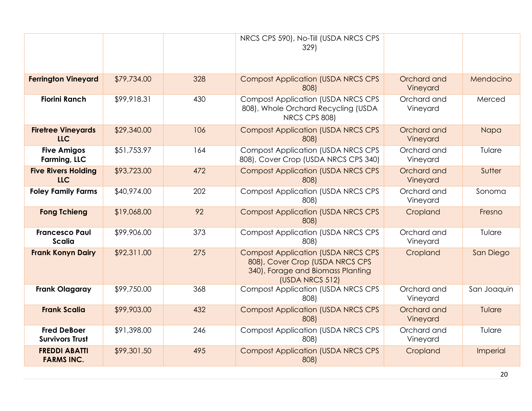|                                              |             |     | NRCS CPS 590), No-Till (USDA NRCS CPS<br>329)                                                                                        |                         |                 |
|----------------------------------------------|-------------|-----|--------------------------------------------------------------------------------------------------------------------------------------|-------------------------|-----------------|
| <b>Ferrington Vineyard</b>                   | \$79,734.00 | 328 | <b>Compost Application (USDA NRCS CPS</b><br>808)                                                                                    | Orchard and<br>Vineyard | Mendocino       |
| <b>Fiorini Ranch</b>                         | \$99,918.31 | 430 | <b>Compost Application (USDA NRCS CPS</b><br>808), Whole Orchard Recycling (USDA<br>NRCS CPS 808)                                    | Orchard and<br>Vineyard | Merced          |
| <b>Firetree Vineyards</b><br><b>LLC</b>      | \$29,340.00 | 106 | <b>Compost Application (USDA NRCS CPS</b><br>808)                                                                                    | Orchard and<br>Vineyard | Napa            |
| <b>Five Amigos</b><br>Farming, LLC           | \$51,753.97 | 164 | <b>Compost Application (USDA NRCS CPS</b><br>808), Cover Crop (USDA NRCS CPS 340)                                                    | Orchard and<br>Vineyard | Tulare          |
| <b>Five Rivers Holding</b><br><b>LLC</b>     | \$93,723.00 | 472 | <b>Compost Application (USDA NRCS CPS</b><br>808)                                                                                    | Orchard and<br>Vineyard | Sutter          |
| <b>Foley Family Farms</b>                    | \$40,974.00 | 202 | <b>Compost Application (USDA NRCS CPS</b><br>808)                                                                                    | Orchard and<br>Vineyard | Sonoma          |
| <b>Fong Tchieng</b>                          | \$19,068.00 | 92  | <b>Compost Application (USDA NRCS CPS</b><br>808)                                                                                    | Cropland                | Fresno          |
| <b>Francesco Paul</b><br><b>Scalia</b>       | \$99,906.00 | 373 | <b>Compost Application (USDA NRCS CPS</b><br>808)                                                                                    | Orchard and<br>Vineyard | Tulare          |
| <b>Frank Konyn Dairy</b>                     | \$92,311.00 | 275 | <b>Compost Application (USDA NRCS CPS</b><br>808), Cover Crop (USDA NRCS CPS<br>340), Forage and Biomass Planting<br>(USDA NRCS 512) | Cropland                | San Diego       |
| <b>Frank Olagaray</b>                        | \$99,750.00 | 368 | <b>Compost Application (USDA NRCS CPS</b><br>808)                                                                                    | Orchard and<br>Vineyard | San Joaquin     |
| <b>Frank Scalia</b>                          | \$99,903.00 | 432 | <b>Compost Application (USDA NRCS CPS</b><br>808)                                                                                    | Orchard and<br>Vineyard | Tulare          |
| <b>Fred DeBoer</b><br><b>Survivors Trust</b> | \$91,398.00 | 246 | <b>Compost Application (USDA NRCS CPS</b><br>808)                                                                                    | Orchard and<br>Vineyard | Tulare          |
| <b>FREDDI ABATTI</b><br><b>FARMS INC.</b>    | \$99,301.50 | 495 | <b>Compost Application (USDA NRCS CPS</b><br>808)                                                                                    | Cropland                | <b>Imperial</b> |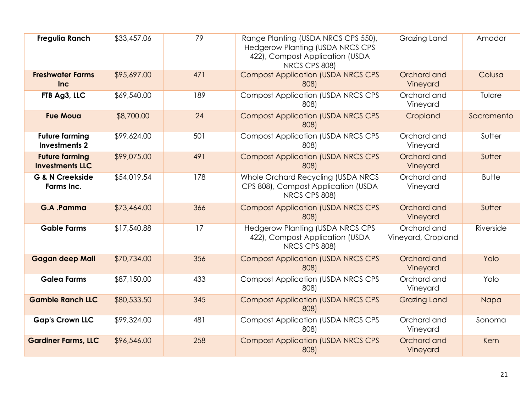| <b>Fregulia Ranch</b>                           | \$33,457.06 | 79  | Range Planting (USDA NRCS CPS 550),<br><b>Hedgerow Planting (USDA NRCS CPS</b><br>422), Compost Application (USDA<br>NRCS CPS 808) | Grazing Land                      | Amador       |
|-------------------------------------------------|-------------|-----|------------------------------------------------------------------------------------------------------------------------------------|-----------------------------------|--------------|
| <b>Freshwater Farms</b><br>Inc                  | \$95,697.00 | 471 | <b>Compost Application (USDA NRCS CPS</b><br>808)                                                                                  | Orchard and<br>Vineyard           | Colusa       |
| FTB Ag3, LLC                                    | \$69,540.00 | 189 | <b>Compost Application (USDA NRCS CPS)</b><br>808)                                                                                 | Orchard and<br>Vineyard           | Tulare       |
| <b>Fue Moua</b>                                 | \$8,700.00  | 24  | <b>Compost Application (USDA NRCS CPS</b><br>808)                                                                                  | Cropland                          | Sacramento   |
| <b>Future farming</b><br><b>Investments 2</b>   | \$99,624.00 | 501 | <b>Compost Application (USDA NRCS CPS</b><br>808)                                                                                  | Orchard and<br>Vineyard           | Sutter       |
| <b>Future farming</b><br><b>Investments LLC</b> | \$99,075.00 | 491 | <b>Compost Application (USDA NRCS CPS</b><br>808)                                                                                  | Orchard and<br>Vineyard           | Sutter       |
| <b>G &amp; N Creekside</b><br>Farms Inc.        | \$54,019.54 | 178 | Whole Orchard Recycling (USDA NRCS<br>CPS 808), Compost Application (USDA<br>NRCS CPS 808)                                         | Orchard and<br>Vineyard           | <b>Butte</b> |
| G.A.Pamma                                       | \$73,464.00 | 366 | <b>Compost Application (USDA NRCS CPS</b><br>808)                                                                                  | Orchard and<br>Vineyard           | Sutter       |
| <b>Gable Farms</b>                              | \$17,540.88 | 17  | <b>Hedgerow Planting (USDA NRCS CPS</b><br>422), Compost Application (USDA<br>NRCS CPS 808)                                        | Orchard and<br>Vineyard, Cropland | Riverside    |
| <b>Gagan deep Mall</b>                          | \$70,734.00 | 356 | <b>Compost Application (USDA NRCS CPS</b><br>808)                                                                                  | Orchard and<br>Vineyard           | Yolo         |
| <b>Galea Farms</b>                              | \$87,150.00 | 433 | <b>Compost Application (USDA NRCS CPS</b><br>808)                                                                                  | Orchard and<br>Vineyard           | Yolo         |
| <b>Gamble Ranch LLC</b>                         | \$80,533.50 | 345 | <b>Compost Application (USDA NRCS CPS</b><br>808)                                                                                  | <b>Grazing Land</b>               | Napa         |
| <b>Gap's Crown LLC</b>                          | \$99,324.00 | 481 | <b>Compost Application (USDA NRCS CPS</b><br>808)                                                                                  | Orchard and<br>Vineyard           | Sonoma       |
| <b>Gardiner Farms, LLC</b>                      | \$96,546.00 | 258 | <b>Compost Application (USDA NRCS CPS</b><br>808)                                                                                  | Orchard and<br>Vineyard           | Kern         |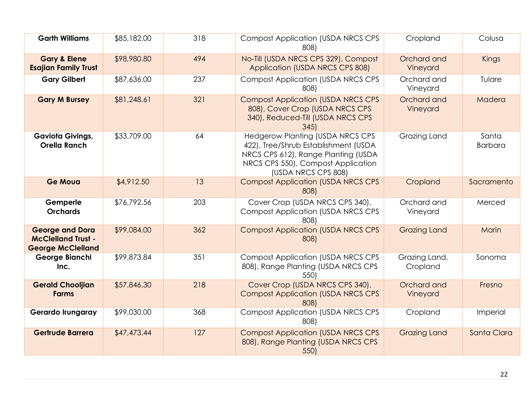| <b>Garth Williams</b>                                                           | \$85,182.00 | 318 | <b>Compost Application (USDA NRCS CPS</b><br>808)                                                                                                                                   | Cropland                  | Colusa                  |
|---------------------------------------------------------------------------------|-------------|-----|-------------------------------------------------------------------------------------------------------------------------------------------------------------------------------------|---------------------------|-------------------------|
| <b>Gary &amp; Elene</b><br><b>Esajian Family Trust</b>                          | \$98,980.80 | 494 | No-Till (USDA NRCS CPS 329), Compost<br>Application (USDA NRCS CPS 808)                                                                                                             | Orchard and<br>Vineyard   | Kings                   |
| <b>Gary Gilbert</b>                                                             | \$87,636.00 | 237 | <b>Compost Application (USDA NRCS CPS</b><br>808)                                                                                                                                   | Orchard and<br>Vineyard   | Tulare                  |
| <b>Gary M Bursey</b>                                                            | \$81,248.61 | 321 | <b>Compost Application (USDA NRCS CPS</b><br>808), Cover Crop (USDA NRCS CPS<br>340), Reduced-Till (USDA NRCS CPS<br>345                                                            | Orchard and<br>Vineyard   | Madera                  |
| <b>Gaviota Givings,</b><br><b>Orella Ranch</b>                                  | \$33,709.00 | 64  | <b>Hedgerow Planting (USDA NRCS CPS</b><br>422), Tree/Shrub Establishment (USDA<br>NRCS CPS 612), Range Planting (USDA<br>NRCS CPS 550), Compost Application<br>(USDA NRCS CPS 808) | Grazing Land              | Santa<br><b>Barbara</b> |
| <b>Ge Moua</b>                                                                  | \$4,912.50  | 13  | <b>Compost Application (USDA NRCS CPS</b><br>808)                                                                                                                                   | Cropland                  | Sacramento              |
| Gemperle<br><b>Orchards</b>                                                     | \$76,792.56 | 203 | Cover Crop (USDA NRCS CPS 340),<br><b>Compost Application (USDA NRCS CPS</b><br>808)                                                                                                | Orchard and<br>Vineyard   | Merced                  |
| <b>George and Dora</b><br><b>McClelland Trust -</b><br><b>George McClelland</b> | \$99,084.00 | 362 | <b>Compost Application (USDA NRCS CPS</b><br>808)                                                                                                                                   | <b>Grazing Land</b>       | Marin                   |
| George Bianchi<br>Inc.                                                          | \$99,873.84 | 351 | <b>Compost Application (USDA NRCS CPS</b><br>808), Range Planting (USDA NRCS CPS<br>550)                                                                                            | Grazing Land,<br>Cropland | Sonoma                  |
| <b>Gerald Chooljian</b><br><b>Farms</b>                                         | \$57,846.30 | 218 | Cover Crop (USDA NRCS CPS 340),<br><b>Compost Application (USDA NRCS CPS</b><br>808)                                                                                                | Orchard and<br>Vineyard   | Fresno                  |
| Gerardo Irungaray                                                               | \$99,030.00 | 368 | <b>Compost Application (USDA NRCS CPS</b><br>808)                                                                                                                                   | Cropland                  | Imperial                |
| <b>Gertrude Barrera</b>                                                         | \$47,473.44 | 127 | <b>Compost Application (USDA NRCS CPS</b><br>808), Range Planting (USDA NRCS CPS<br>550)                                                                                            | <b>Grazing Land</b>       | Santa Clara             |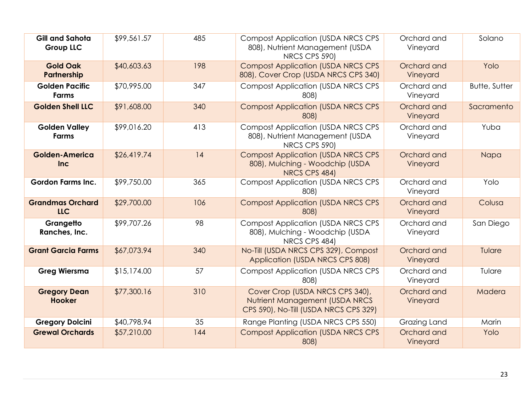| <b>Gill and Sahota</b><br><b>Group LLC</b> | \$99,561.57 | 485 | <b>Compost Application (USDA NRCS CPS</b><br>808), Nutrient Management (USDA<br>NRCS CPS 590)              | Orchard and<br>Vineyard | Solano               |
|--------------------------------------------|-------------|-----|------------------------------------------------------------------------------------------------------------|-------------------------|----------------------|
| <b>Gold Oak</b><br>Partnership             | \$40,603.63 | 198 | <b>Compost Application (USDA NRCS CPS</b><br>808), Cover Crop (USDA NRCS CPS 340)                          | Orchard and<br>Vineyard | Yolo                 |
| <b>Golden Pacific</b><br><b>Farms</b>      | \$70,995.00 | 347 | <b>Compost Application (USDA NRCS CPS</b><br>808)                                                          | Orchard and<br>Vineyard | <b>Butte, Sutter</b> |
| <b>Golden Shell LLC</b>                    | \$91,608.00 | 340 | <b>Compost Application (USDA NRCS CPS</b><br>808)                                                          | Orchard and<br>Vineyard | Sacramento           |
| <b>Golden Valley</b><br><b>Farms</b>       | \$99,016.20 | 413 | <b>Compost Application (USDA NRCS CPS</b><br>808), Nutrient Management (USDA<br>NRCS CPS 590)              | Orchard and<br>Vineyard | Yuba                 |
| <b>Golden-America</b><br>Inc               | \$26,419.74 | 14  | <b>Compost Application (USDA NRCS CPS</b><br>808), Mulching - Woodchip (USDA<br>NRCS CPS 484)              | Orchard and<br>Vineyard | Napa                 |
| <b>Gordon Farms Inc.</b>                   | \$99,750.00 | 365 | <b>Compost Application (USDA NRCS CPS</b><br>808)                                                          | Orchard and<br>Vineyard | Yolo                 |
| <b>Grandmas Orchard</b><br><b>LLC</b>      | \$29,700.00 | 106 | <b>Compost Application (USDA NRCS CPS</b><br>808)                                                          | Orchard and<br>Vineyard | Colusa               |
| Grangetto<br>Ranches, Inc.                 | \$99,707.26 | 98  | <b>Compost Application (USDA NRCS CPS</b><br>808), Mulching - Woodchip (USDA<br>NRCS CPS 484)              | Orchard and<br>Vineyard | San Diego            |
| <b>Grant Garcia Farms</b>                  | \$67,073.94 | 340 | No-Till (USDA NRCS CPS 329), Compost<br>Application (USDA NRCS CPS 808)                                    | Orchard and<br>Vineyard | Tulare               |
| <b>Greg Wiersma</b>                        | \$15,174.00 | 57  | <b>Compost Application (USDA NRCS CPS</b><br>808)                                                          | Orchard and<br>Vineyard | Tulare               |
| <b>Gregory Dean</b><br><b>Hooker</b>       | \$77,300.16 | 310 | Cover Crop (USDA NRCS CPS 340),<br>Nutrient Management (USDA NRCS<br>CPS 590), No-Till (USDA NRCS CPS 329) | Orchard and<br>Vineyard | Madera               |
| <b>Gregory Dolcini</b>                     | \$40,798.94 | 35  | Range Planting (USDA NRCS CPS 550)                                                                         | Grazing Land            | Marin                |
| <b>Grewal Orchards</b>                     | \$57,210.00 | 144 | <b>Compost Application (USDA NRCS CPS</b><br>808)                                                          | Orchard and<br>Vineyard | Yolo                 |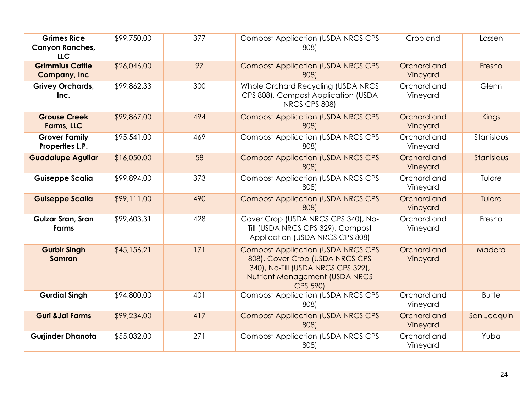| <b>Grimes Rice</b><br><b>Canyon Ranches,</b><br><b>LLC</b> | \$99,750.00 | 377 | <b>Compost Application (USDA NRCS CPS</b><br>808)                                                                                                                        | Cropland                | Lassen       |
|------------------------------------------------------------|-------------|-----|--------------------------------------------------------------------------------------------------------------------------------------------------------------------------|-------------------------|--------------|
| <b>Grimmius Cattle</b><br><b>Company, Inc.</b>             | \$26,046.00 | 97  | <b>Compost Application (USDA NRCS CPS</b><br>808)                                                                                                                        | Orchard and<br>Vineyard | Fresno       |
| <b>Grivey Orchards,</b><br>Inc.                            | \$99,862.33 | 300 | Whole Orchard Recycling (USDA NRCS<br>CPS 808), Compost Application (USDA<br>NRCS CPS 808)                                                                               | Orchard and<br>Vineyard | Glenn        |
| <b>Grouse Creek</b><br>Farms, LLC                          | \$99,867.00 | 494 | <b>Compost Application (USDA NRCS CPS</b><br>808)                                                                                                                        | Orchard and<br>Vineyard | <b>Kings</b> |
| <b>Grover Family</b><br>Properties L.P.                    | \$95,541.00 | 469 | <b>Compost Application (USDA NRCS CPS)</b><br>808)                                                                                                                       | Orchard and<br>Vineyard | Stanislaus   |
| <b>Guadalupe Aguilar</b>                                   | \$16,050.00 | 58  | <b>Compost Application (USDA NRCS CPS</b><br>808)                                                                                                                        | Orchard and<br>Vineyard | Stanislaus   |
| <b>Guiseppe Scalia</b>                                     | \$99,894.00 | 373 | <b>Compost Application (USDA NRCS CPS)</b><br>808)                                                                                                                       | Orchard and<br>Vineyard | Tulare       |
| <b>Guiseppe Scalia</b>                                     | \$99,111.00 | 490 | <b>Compost Application (USDA NRCS CPS</b><br>808)                                                                                                                        | Orchard and<br>Vineyard | Tulare       |
| Gulzar Sran, Sran<br><b>Farms</b>                          | \$99,603.31 | 428 | Cover Crop (USDA NRCS CPS 340), No-<br>Till (USDA NRCS CPS 329), Compost<br>Application (USDA NRCS CPS 808)                                                              | Orchard and<br>Vineyard | Fresno       |
| <b>Gurbir Singh</b><br><b>Samran</b>                       | \$45,156.21 | 171 | <b>Compost Application (USDA NRCS CPS)</b><br>808), Cover Crop (USDA NRCS CPS<br>340), No-Till (USDA NRCS CPS 329),<br>Nutrient Management (USDA NRCS<br><b>CPS 590)</b> | Orchard and<br>Vineyard | Madera       |
| <b>Gurdial Singh</b>                                       | \$94,800.00 | 401 | <b>Compost Application (USDA NRCS CPS</b><br>808)                                                                                                                        | Orchard and<br>Vineyard | <b>Butte</b> |
| <b>Guri &amp; Jai Farms</b>                                | \$99,234.00 | 417 | <b>Compost Application (USDA NRCS CPS</b><br>808)                                                                                                                        | Orchard and<br>Vineyard | San Joaquin  |
| <b>Gurjinder Dhanota</b>                                   | \$55,032.00 | 271 | <b>Compost Application (USDA NRCS CPS</b><br>808)                                                                                                                        | Orchard and<br>Vineyard | Yuba         |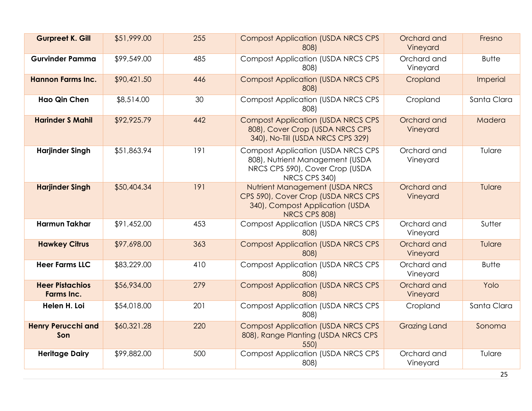| <b>Gurpreet K. Gill</b>                     | \$51,999.00 | 255 | <b>Compost Application (USDA NRCS CPS)</b><br>808)                                                                                | Orchard and<br>Vineyard | Fresno       |
|---------------------------------------------|-------------|-----|-----------------------------------------------------------------------------------------------------------------------------------|-------------------------|--------------|
| <b>Gurvinder Pamma</b>                      | \$99,549.00 | 485 | <b>Compost Application (USDA NRCS CPS</b><br>808)                                                                                 | Orchard and<br>Vineyard | <b>Butte</b> |
| <b>Hannon Farms Inc.</b>                    | \$90,421.50 | 446 | <b>Compost Application (USDA NRCS CPS</b><br>808)                                                                                 | Cropland                | Imperial     |
| <b>Hao Qin Chen</b>                         | \$8,514.00  | 30  | <b>Compost Application (USDA NRCS CPS)</b><br>808)                                                                                | Cropland                | Santa Clara  |
| <b>Harinder S Mahil</b>                     | \$92,925.79 | 442 | <b>Compost Application (USDA NRCS CPS)</b><br>808), Cover Crop (USDA NRCS CPS<br>340), No-Till (USDA NRCS CPS 329)                | Orchard and<br>Vineyard | Madera       |
| <b>Harjinder Singh</b>                      | \$51,863.94 | 191 | <b>Compost Application (USDA NRCS CPS)</b><br>808), Nutrient Management (USDA<br>NRCS CPS 590), Cover Crop (USDA<br>NRCS CPS 340) | Orchard and<br>Vineyard | Tulare       |
| <b>Harjinder Singh</b>                      | \$50,404.34 | 191 | Nutrient Management (USDA NRCS<br>CPS 590), Cover Crop (USDA NRCS CPS<br>340), Compost Application (USDA<br>NRCS CPS 808)         | Orchard and<br>Vineyard | Tulare       |
| <b>Harmun Takhar</b>                        | \$91,452.00 | 453 | <b>Compost Application (USDA NRCS CPS</b><br>808)                                                                                 | Orchard and<br>Vineyard | Sutter       |
| <b>Hawkey Citrus</b>                        | \$97,698.00 | 363 | <b>Compost Application (USDA NRCS CPS</b><br>808)                                                                                 | Orchard and<br>Vineyard | Tulare       |
| <b>Heer Farms LLC</b>                       | \$83,229.00 | 410 | <b>Compost Application (USDA NRCS CPS</b><br>808)                                                                                 | Orchard and<br>Vineyard | <b>Butte</b> |
| <b>Heer Pistachios</b><br><b>Farms Inc.</b> | \$56,934.00 | 279 | <b>Compost Application (USDA NRCS CPS</b><br>808)                                                                                 | Orchard and<br>Vineyard | Yolo         |
| Helen H. Loi                                | \$54,018.00 | 201 | <b>Compost Application (USDA NRCS CPS</b><br>808)                                                                                 | Cropland                | Santa Clara  |
| <b>Henry Perucchi and</b><br>Son            | \$60,321.28 | 220 | <b>Compost Application (USDA NRCS CPS</b><br>808), Range Planting (USDA NRCS CPS<br>550)                                          | <b>Grazing Land</b>     | Sonoma       |
| <b>Heritage Dairy</b>                       | \$99,882.00 | 500 | <b>Compost Application (USDA NRCS CPS</b><br>808)                                                                                 | Orchard and<br>Vineyard | Tulare       |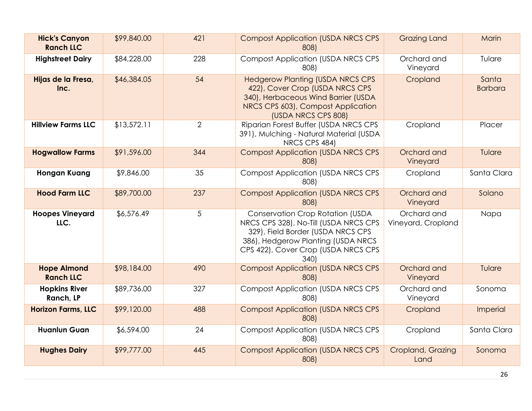| <b>Hick's Canyon</b><br><b>Ranch LLC</b> | \$99,840.00 | 421            | <b>Compost Application (USDA NRCS CPS</b><br>808)                                                                                                                                                         | <b>Grazing Land</b>               | Marin                   |
|------------------------------------------|-------------|----------------|-----------------------------------------------------------------------------------------------------------------------------------------------------------------------------------------------------------|-----------------------------------|-------------------------|
| <b>Highstreet Dairy</b>                  | \$84,228.00 | 228            | <b>Compost Application (USDA NRCS CPS</b><br>808)                                                                                                                                                         | Orchard and<br>Vineyard           | Tulare                  |
| Hijas de la Fresa,<br>Inc.               | \$46,384.05 | 54             | <b>Hedgerow Planting (USDA NRCS CPS</b><br>422), Cover Crop (USDA NRCS CPS<br>340), Herbaceous Wind Barrier (USDA<br>NRCS CPS 603), Compost Application<br>(USDA NRCS CPS 808)                            | Cropland                          | Santa<br><b>Barbara</b> |
| <b>Hillview Farms LLC</b>                | \$13,572.11 | $\overline{2}$ | Riparian Forest Buffer (USDA NRCS CPS<br>391), Mulching - Natural Material (USDA<br>NRCS CPS 484)                                                                                                         | Cropland                          | Placer                  |
| <b>Hogwallow Farms</b>                   | \$91,596.00 | 344            | <b>Compost Application (USDA NRCS CPS</b><br>808)                                                                                                                                                         | Orchard and<br>Vineyard           | Tulare                  |
| <b>Hongan Kuang</b>                      | \$9,846.00  | 35             | <b>Compost Application (USDA NRCS CPS</b><br>808)                                                                                                                                                         | Cropland                          | Santa Clara             |
| <b>Hood Farm LLC</b>                     | \$89,700.00 | 237            | <b>Compost Application (USDA NRCS CPS</b><br>808)                                                                                                                                                         | Orchard and<br>Vineyard           | Solano                  |
| <b>Hoopes Vineyard</b><br>LLC.           | \$6,576.49  | 5              | <b>Conservation Crop Rotation (USDA</b><br>NRCS CPS 328), No-Till (USDA NRCS CPS<br>329), Field Border (USDA NRCS CPS<br>386), Hedgerow Planting (USDA NRCS<br>CPS 422), Cover Crop (USDA NRCS CPS<br>340 | Orchard and<br>Vineyard, Cropland | Napa                    |
| <b>Hope Almond</b><br><b>Ranch LLC</b>   | \$98,184.00 | 490            | <b>Compost Application (USDA NRCS CPS</b><br>808)                                                                                                                                                         | Orchard and<br>Vineyard           | Tulare                  |
| <b>Hopkins River</b><br>Ranch, LP        | \$89,736.00 | 327            | <b>Compost Application (USDA NRCS CPS</b><br>808)                                                                                                                                                         | Orchard and<br>Vineyard           | Sonoma                  |
| <b>Horizon Farms, LLC</b>                | \$99,120.00 | 488            | <b>Compost Application (USDA NRCS CPS</b><br>808)                                                                                                                                                         | Cropland                          | Imperial                |
| <b>Huanlun Guan</b>                      | \$6,594.00  | 24             | <b>Compost Application (USDA NRCS CPS</b><br>808)                                                                                                                                                         | Cropland                          | Santa Clara             |
| <b>Hughes Dairy</b>                      | \$99,777.00 | 445            | <b>Compost Application (USDA NRCS CPS</b><br>808)                                                                                                                                                         | Cropland, Grazing<br>Land         | Sonoma                  |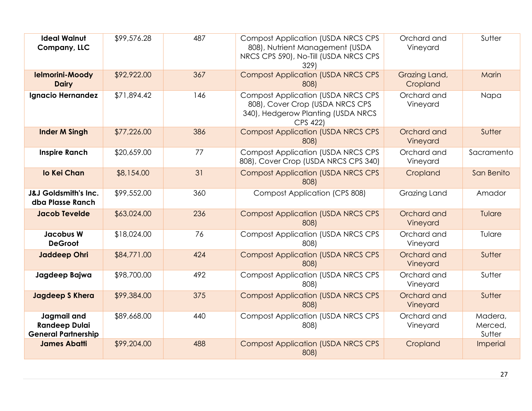| <b>Ideal Walnut</b><br>Company, LLC                               | \$99,576.28 | 487 | <b>Compost Application (USDA NRCS CPS</b><br>808), Nutrient Management (USDA<br>NRCS CPS 590), No-Till (USDA NRCS CPS<br>329)  | Orchard and<br>Vineyard   | Sutter                       |
|-------------------------------------------------------------------|-------------|-----|--------------------------------------------------------------------------------------------------------------------------------|---------------------------|------------------------------|
| <b>Ielmorini-Moody</b><br><b>Dairy</b>                            | \$92,922.00 | 367 | <b>Compost Application (USDA NRCS CPS</b><br>808)                                                                              | Grazing Land,<br>Cropland | Marin                        |
| Ignacio Hernandez                                                 | \$71,894.42 | 146 | <b>Compost Application (USDA NRCS CPS</b><br>808), Cover Crop (USDA NRCS CPS<br>340), Hedgerow Planting (USDA NRCS<br>CPS 422) | Orchard and<br>Vineyard   | Napa                         |
| <b>Inder M Singh</b>                                              | \$77,226.00 | 386 | <b>Compost Application (USDA NRCS CPS</b><br>808)                                                                              | Orchard and<br>Vineyard   | Sutter                       |
| <b>Inspire Ranch</b>                                              | \$20,659.00 | 77  | <b>Compost Application (USDA NRCS CPS</b><br>808), Cover Crop (USDA NRCS CPS 340)                                              | Orchard and<br>Vineyard   | Sacramento                   |
| lo Kei Chan                                                       | \$8,154.00  | 31  | <b>Compost Application (USDA NRCS CPS</b><br>808)                                                                              | Cropland                  | San Benito                   |
| <b>J&amp;J Goldsmith's Inc.</b><br>dba Plasse Ranch               | \$99,552.00 | 360 | <b>Compost Application (CPS 808)</b>                                                                                           | Grazing Land              | Amador                       |
| <b>Jacob Tevelde</b>                                              | \$63,024.00 | 236 | <b>Compost Application (USDA NRCS CPS</b><br>808)                                                                              | Orchard and<br>Vineyard   | Tulare                       |
| <b>Jacobus W</b><br><b>DeGroot</b>                                | \$18,024.00 | 76  | <b>Compost Application (USDA NRCS CPS</b><br>808)                                                                              | Orchard and<br>Vineyard   | Tulare                       |
| <b>Jaddeep Ohri</b>                                               | \$84,771.00 | 424 | <b>Compost Application (USDA NRCS CPS</b><br>808)                                                                              | Orchard and<br>Vineyard   | Sutter                       |
| Jagdeep Bajwa                                                     | \$98,700.00 | 492 | <b>Compost Application (USDA NRCS CPS</b><br>808)                                                                              | Orchard and<br>Vineyard   | Sutter                       |
| <b>Jagdeep S Khera</b>                                            | \$99,384.00 | 375 | <b>Compost Application (USDA NRCS CPS</b><br>808)                                                                              | Orchard and<br>Vineyard   | Sutter                       |
| Jagmail and<br><b>Randeep Dulai</b><br><b>General Partnership</b> | \$89,668.00 | 440 | <b>Compost Application (USDA NRCS CPS</b><br>808)                                                                              | Orchard and<br>Vineyard   | Madera,<br>Merced,<br>Sutter |
| <b>James Abatti</b>                                               | \$99,204.00 | 488 | <b>Compost Application (USDA NRCS CPS</b><br>808)                                                                              | Cropland                  | Imperial                     |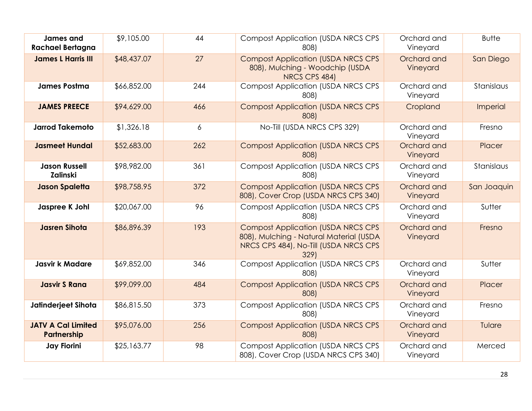| <b>James and</b><br><b>Rachael Bertagna</b> | \$9,105.00  | 44  | <b>Compost Application (USDA NRCS CPS)</b><br>808)                                                                                    | Orchard and<br>Vineyard | <b>Butte</b> |
|---------------------------------------------|-------------|-----|---------------------------------------------------------------------------------------------------------------------------------------|-------------------------|--------------|
| <b>James L Harris III</b>                   | \$48,437.07 | 27  | <b>Compost Application (USDA NRCS CPS)</b><br>808), Mulching - Woodchip (USDA<br>NRCS CPS 484)                                        | Orchard and<br>Vineyard | San Diego    |
| <b>James Postma</b>                         | \$66,852.00 | 244 | <b>Compost Application (USDA NRCS CPS</b><br>808)                                                                                     | Orchard and<br>Vineyard | Stanislaus   |
| <b>JAMES PREECE</b>                         | \$94,629.00 | 466 | <b>Compost Application (USDA NRCS CPS</b><br>808)                                                                                     | Cropland                | Imperial     |
| <b>Jarrod Takemoto</b>                      | \$1,326.18  | 6   | No-Till (USDA NRCS CPS 329)                                                                                                           | Orchard and<br>Vineyard | Fresno       |
| <b>Jasmeet Hundal</b>                       | \$52,683.00 | 262 | <b>Compost Application (USDA NRCS CPS</b><br>808)                                                                                     | Orchard and<br>Vineyard | Placer       |
| <b>Jason Russell</b><br><b>Zalinski</b>     | \$98,982.00 | 361 | <b>Compost Application (USDA NRCS CPS)</b><br>808)                                                                                    | Orchard and<br>Vineyard | Stanislaus   |
| <b>Jason Spaletta</b>                       | \$98,758.95 | 372 | <b>Compost Application (USDA NRCS CPS</b><br>808), Cover Crop (USDA NRCS CPS 340)                                                     | Orchard and<br>Vineyard | San Joaquin  |
| Jaspree K Johl                              | \$20,067.00 | 96  | <b>Compost Application (USDA NRCS CPS)</b><br>808)                                                                                    | Orchard and<br>Vineyard | Sutter       |
| <b>Jasren Sihota</b>                        | \$86,896.39 | 193 | <b>Compost Application (USDA NRCS CPS</b><br>808), Mulching - Natural Material (USDA<br>NRCS CPS 484), No-Till (USDA NRCS CPS<br>329) | Orchard and<br>Vineyard | Fresno       |
| <b>Jasvir k Madare</b>                      | \$69,852.00 | 346 | <b>Compost Application (USDA NRCS CPS)</b><br>808)                                                                                    | Orchard and<br>Vineyard | Sutter       |
| <b>Jasvir S Rana</b>                        | \$99,099.00 | 484 | <b>Compost Application (USDA NRCS CPS</b><br>808)                                                                                     | Orchard and<br>Vineyard | Placer       |
| Jatinderjeet Sihota                         | \$86,815.50 | 373 | <b>Compost Application (USDA NRCS CPS</b><br>808)                                                                                     | Orchard and<br>Vineyard | Fresno       |
| <b>JATV A Cal Limited</b><br>Partnership    | \$95,076.00 | 256 | <b>Compost Application (USDA NRCS CPS</b><br>808)                                                                                     | Orchard and<br>Vineyard | Tulare       |
| <b>Jay Fiorini</b>                          | \$25,163.77 | 98  | <b>Compost Application (USDA NRCS CPS)</b><br>808), Cover Crop (USDA NRCS CPS 340)                                                    | Orchard and<br>Vineyard | Merced       |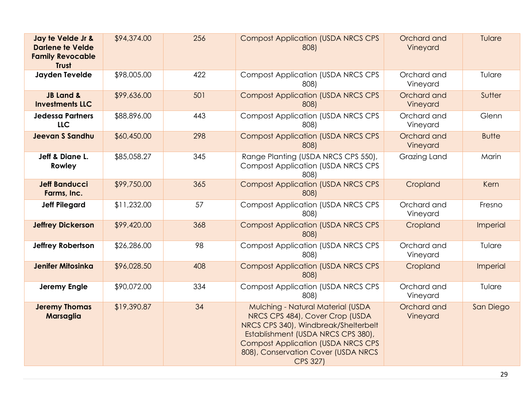| Jay te Velde Jr &<br><b>Darlene te Velde</b><br><b>Family Revocable</b><br><b>Trust</b> | \$94,374.00 | 256 | <b>Compost Application (USDA NRCS CPS</b><br>808)                                                                                                                                                                                                         | Orchard and<br>Vineyard | Tulare       |
|-----------------------------------------------------------------------------------------|-------------|-----|-----------------------------------------------------------------------------------------------------------------------------------------------------------------------------------------------------------------------------------------------------------|-------------------------|--------------|
| Jayden Tevelde                                                                          | \$98,005.00 | 422 | <b>Compost Application (USDA NRCS CPS)</b><br>808)                                                                                                                                                                                                        | Orchard and<br>Vineyard | Tulare       |
| <b>JB Land &amp;</b><br><b>Investments LLC</b>                                          | \$99,636.00 | 501 | <b>Compost Application (USDA NRCS CPS)</b><br>808)                                                                                                                                                                                                        | Orchard and<br>Vineyard | Sutter       |
| <b>Jedessa Partners</b><br><b>LLC</b>                                                   | \$88,896.00 | 443 | <b>Compost Application (USDA NRCS CPS)</b><br>808)                                                                                                                                                                                                        | Orchard and<br>Vineyard | Glenn        |
| <b>Jeevan S Sandhu</b>                                                                  | \$60,450.00 | 298 | <b>Compost Application (USDA NRCS CPS</b><br>808)                                                                                                                                                                                                         | Orchard and<br>Vineyard | <b>Butte</b> |
| Jeff & Diane L.<br>Rowley                                                               | \$85,058.27 | 345 | Range Planting (USDA NRCS CPS 550),<br><b>Compost Application (USDA NRCS CPS</b><br>808)                                                                                                                                                                  | Grazing Land            | Marin        |
| <b>Jeff Banducci</b><br>Farms, Inc.                                                     | \$99,750.00 | 365 | <b>Compost Application (USDA NRCS CPS)</b><br>808)                                                                                                                                                                                                        | Cropland                | Kern         |
| <b>Jeff Pilegard</b>                                                                    | \$11,232.00 | 57  | <b>Compost Application (USDA NRCS CPS</b><br>808)                                                                                                                                                                                                         | Orchard and<br>Vineyard | Fresno       |
| <b>Jeffrey Dickerson</b>                                                                | \$99,420.00 | 368 | <b>Compost Application (USDA NRCS CPS</b><br>808)                                                                                                                                                                                                         | Cropland                | Imperial     |
| Jeffrey Robertson                                                                       | \$26,286.00 | 98  | <b>Compost Application (USDA NRCS CPS</b><br>808)                                                                                                                                                                                                         | Orchard and<br>Vineyard | Tulare       |
| <b>Jenifer Mitosinka</b>                                                                | \$96,028.50 | 408 | <b>Compost Application (USDA NRCS CPS</b><br>808)                                                                                                                                                                                                         | Cropland                | Imperial     |
| <b>Jeremy Engle</b>                                                                     | \$90,072.00 | 334 | <b>Compost Application (USDA NRCS CPS</b><br>808)                                                                                                                                                                                                         | Orchard and<br>Vineyard | Tulare       |
| <b>Jeremy Thomas</b><br><b>Marsaglia</b>                                                | \$19,390.87 | 34  | Mulching - Natural Material (USDA<br>NRCS CPS 484), Cover Crop (USDA<br>NRCS CPS 340), Windbreak/Shelterbelt<br>Establishment (USDA NRCS CPS 380),<br><b>Compost Application (USDA NRCS CPS</b><br>808), Conservation Cover (USDA NRCS<br><b>CPS 327)</b> | Orchard and<br>Vineyard | San Diego    |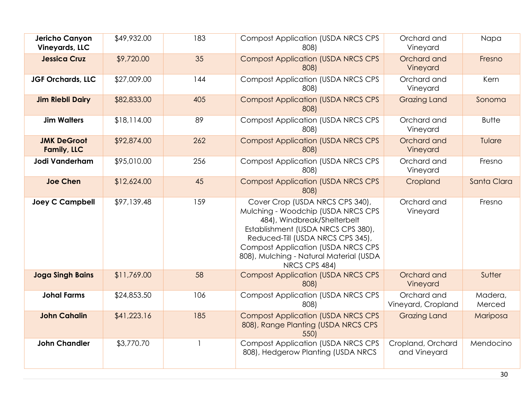| Jericho Canyon<br><b>Vineyards, LLC</b>  | \$49,932.00 | 183 | <b>Compost Application (USDA NRCS CPS</b><br>808)                                                                                                                                                                                                                                         | Orchard and<br>Vineyard           | Napa              |
|------------------------------------------|-------------|-----|-------------------------------------------------------------------------------------------------------------------------------------------------------------------------------------------------------------------------------------------------------------------------------------------|-----------------------------------|-------------------|
| <b>Jessica Cruz</b>                      | \$9,720.00  | 35  | <b>Compost Application (USDA NRCS CPS</b><br>808)                                                                                                                                                                                                                                         | Orchard and<br>Vineyard           | Fresno            |
| JGF Orchards, LLC                        | \$27,009.00 | 144 | <b>Compost Application (USDA NRCS CPS)</b><br>808)                                                                                                                                                                                                                                        | Orchard and<br>Vineyard           | Kern              |
| <b>Jim Riebli Dairy</b>                  | \$82,833.00 | 405 | <b>Compost Application (USDA NRCS CPS</b><br>808)                                                                                                                                                                                                                                         | <b>Grazing Land</b>               | Sonoma            |
| <b>Jim Walters</b>                       | \$18,114.00 | 89  | <b>Compost Application (USDA NRCS CPS</b><br>808)                                                                                                                                                                                                                                         | Orchard and<br>Vineyard           | <b>Butte</b>      |
| <b>JMK DeGroot</b><br><b>Family, LLC</b> | \$92,874.00 | 262 | <b>Compost Application (USDA NRCS CPS</b><br>808)                                                                                                                                                                                                                                         | Orchard and<br>Vineyard           | Tulare            |
| Jodi Vanderham                           | \$95,010.00 | 256 | <b>Compost Application (USDA NRCS CPS</b><br>808)                                                                                                                                                                                                                                         | Orchard and<br>Vineyard           | Fresno            |
| <b>Joe Chen</b>                          | \$12,624.00 | 45  | <b>Compost Application (USDA NRCS CPS</b><br>808)                                                                                                                                                                                                                                         | Cropland                          | Santa Clara       |
| <b>Joey C Campbell</b>                   | \$97,139.48 | 159 | Cover Crop (USDA NRCS CPS 340),<br>Mulching - Woodchip (USDA NRCS CPS<br>484), Windbreak/Shelterbelt<br>Establishment (USDA NRCS CPS 380),<br>Reduced-Till (USDA NRCS CPS 345),<br><b>Compost Application (USDA NRCS CPS)</b><br>808), Mulching - Natural Material (USDA<br>NRCS CPS 484) | Orchard and<br>Vineyard           | Fresno            |
| <b>Joga Singh Bains</b>                  | \$11,769.00 | 58  | <b>Compost Application (USDA NRCS CPS</b><br>808)                                                                                                                                                                                                                                         | Orchard and<br>Vineyard           | Sutter            |
| <b>Johal Farms</b>                       | \$24,853.50 | 106 | <b>Compost Application (USDA NRCS CPS)</b><br>808)                                                                                                                                                                                                                                        | Orchard and<br>Vineyard, Cropland | Madera,<br>Merced |
| <b>John Cahalin</b>                      | \$41,223.16 | 185 | <b>Compost Application (USDA NRCS CPS</b><br>808), Range Planting (USDA NRCS CPS<br>550)                                                                                                                                                                                                  | <b>Grazing Land</b>               | Mariposa          |
| <b>John Chandler</b>                     | \$3,770.70  |     | <b>Compost Application (USDA NRCS CPS</b><br>808), Hedgerow Planting (USDA NRCS                                                                                                                                                                                                           | Cropland, Orchard<br>and Vineyard | Mendocino         |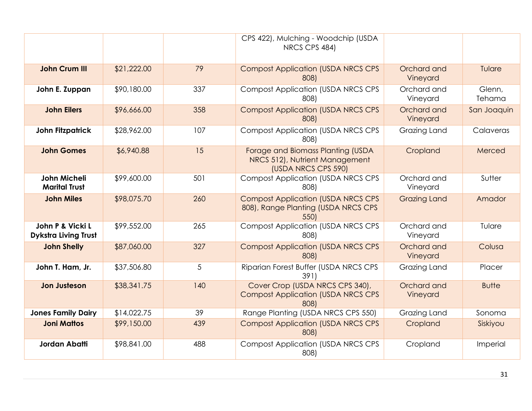|                                                 |             |     | CPS 422), Mulching - Woodchip (USDA<br>NRCS CPS 484)                                       |                         |                  |
|-------------------------------------------------|-------------|-----|--------------------------------------------------------------------------------------------|-------------------------|------------------|
| <b>John Crum III</b>                            | \$21,222.00 | 79  | <b>Compost Application (USDA NRCS CPS</b><br>808)                                          | Orchard and<br>Vineyard | Tulare           |
| John E. Zuppan                                  | \$90,180.00 | 337 | <b>Compost Application (USDA NRCS CPS</b><br>808)                                          | Orchard and<br>Vineyard | Glenn,<br>Tehama |
| <b>John Eilers</b>                              | \$96,666.00 | 358 | <b>Compost Application (USDA NRCS CPS</b><br>808)                                          | Orchard and<br>Vineyard | San Joaquin      |
| <b>John Fitzpatrick</b>                         | \$28,962.00 | 107 | <b>Compost Application (USDA NRCS CPS</b><br>808)                                          | Grazing Land            | Calaveras        |
| <b>John Gomes</b>                               | \$6,940.88  | 15  | Forage and Biomass Planting (USDA<br>NRCS 512), Nutrient Management<br>(USDA NRCS CPS 590) | Cropland                | Merced           |
| John Micheli<br><b>Marital Trust</b>            | \$99,600.00 | 501 | <b>Compost Application (USDA NRCS CPS</b><br>808)                                          | Orchard and<br>Vineyard | Sutter           |
| <b>John Miles</b>                               | \$98,075.70 | 260 | <b>Compost Application (USDA NRCS CPS</b><br>808), Range Planting (USDA NRCS CPS<br>550)   | <b>Grazing Land</b>     | Amador           |
| John P & Vicki L<br><b>Dykstra Living Trust</b> | \$99,552.00 | 265 | <b>Compost Application (USDA NRCS CPS</b><br>808)                                          | Orchard and<br>Vineyard | Tulare           |
| <b>John Shelly</b>                              | \$87,060.00 | 327 | <b>Compost Application (USDA NRCS CPS</b><br>808)                                          | Orchard and<br>Vineyard | Colusa           |
| John T. Ham, Jr.                                | \$37,506.80 | 5   | Riparian Forest Buffer (USDA NRCS CPS<br>391                                               | Grazing Land            | Placer           |
| <b>Jon Justeson</b>                             | \$38,341.75 | 140 | Cover Crop (USDA NRCS CPS 340),<br><b>Compost Application (USDA NRCS CPS</b><br>808)       | Orchard and<br>Vineyard | <b>Butte</b>     |
| <b>Jones Family Dairy</b>                       | \$14,022.75 | 39  | Range Planting (USDA NRCS CPS 550)                                                         | Grazing Land            | Sonoma           |
| <b>Joni Mattos</b>                              | \$99,150.00 | 439 | <b>Compost Application (USDA NRCS CPS</b><br>808)                                          | Cropland                | Siskiyou         |
| <b>Jordan Abatti</b>                            | \$98,841.00 | 488 | <b>Compost Application (USDA NRCS CPS</b><br>808)                                          | Cropland                | Imperial         |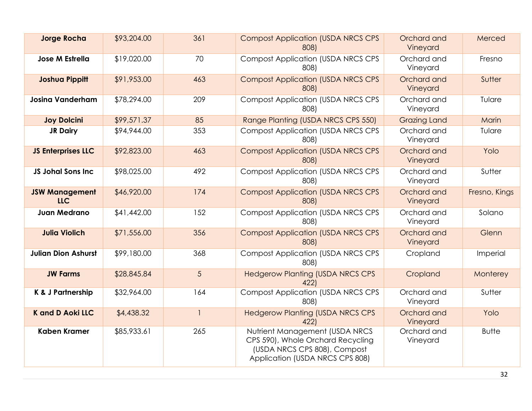| <b>Jorge Rocha</b>                  | \$93,204.00 | 361                      | <b>Compost Application (USDA NRCS CPS</b><br>808)                                                                                      | Orchard and<br>Vineyard | Merced        |
|-------------------------------------|-------------|--------------------------|----------------------------------------------------------------------------------------------------------------------------------------|-------------------------|---------------|
| <b>Jose M Estrella</b>              | \$19,020.00 | 70                       | <b>Compost Application (USDA NRCS CPS</b><br>808)                                                                                      | Orchard and<br>Vineyard | Fresno        |
| <b>Joshua Pippitt</b>               | \$91,953.00 | 463                      | <b>Compost Application (USDA NRCS CPS</b><br>808)                                                                                      | Orchard and<br>Vineyard | Sutter        |
| <b>Josina Vanderham</b>             | \$78,294.00 | 209                      | <b>Compost Application (USDA NRCS CPS)</b><br>808)                                                                                     | Orchard and<br>Vineyard | Tulare        |
| <b>Joy Dolcini</b>                  | \$99,571.37 | 85                       | Range Planting (USDA NRCS CPS 550)                                                                                                     | <b>Grazing Land</b>     | Marin         |
| <b>JR Dairy</b>                     | \$94,944.00 | 353                      | <b>Compost Application (USDA NRCS CPS</b><br>808)                                                                                      | Orchard and<br>Vineyard | Tulare        |
| <b>JS Enterprises LLC</b>           | \$92,823.00 | 463                      | <b>Compost Application (USDA NRCS CPS</b><br>808)                                                                                      | Orchard and<br>Vineyard | Yolo          |
| <b>JS Johal Sons Inc</b>            | \$98,025.00 | 492                      | <b>Compost Application (USDA NRCS CPS</b><br>808)                                                                                      | Orchard and<br>Vineyard | Sutter        |
| <b>JSW Management</b><br><b>LLC</b> | \$46,920.00 | 174                      | <b>Compost Application (USDA NRCS CPS</b><br>808)                                                                                      | Orchard and<br>Vineyard | Fresno, Kings |
| <b>Juan Medrano</b>                 | \$41,442.00 | 152                      | <b>Compost Application (USDA NRCS CPS</b><br>808)                                                                                      | Orchard and<br>Vineyard | Solano        |
| <b>Julia Violich</b>                | \$71,556.00 | 356                      | <b>Compost Application (USDA NRCS CPS</b><br>808)                                                                                      | Orchard and<br>Vineyard | Glenn         |
| <b>Julian Dion Ashurst</b>          | \$99,180.00 | 368                      | <b>Compost Application (USDA NRCS CPS</b><br>808)                                                                                      | Cropland                | Imperial      |
| <b>JW Farms</b>                     | \$28,845.84 | 5                        | <b>Hedgerow Planting (USDA NRCS CPS</b><br>422)                                                                                        | Cropland                | Monterey      |
| K & J Partnership                   | \$32,964.00 | 164                      | <b>Compost Application (USDA NRCS CPS</b><br>808)                                                                                      | Orchard and<br>Vineyard | Sutter        |
| <b>K</b> and D Aoki LLC             | \$4,438.32  | $\overline{\phantom{a}}$ | <b>Hedgerow Planting (USDA NRCS CPS</b><br>422                                                                                         | Orchard and<br>Vineyard | Yolo          |
| <b>Kaben Kramer</b>                 | \$85,933.61 | 265                      | Nutrient Management (USDA NRCS<br>CPS 590), Whole Orchard Recycling<br>(USDA NRCS CPS 808), Compost<br>Application (USDA NRCS CPS 808) | Orchard and<br>Vineyard | <b>Butte</b>  |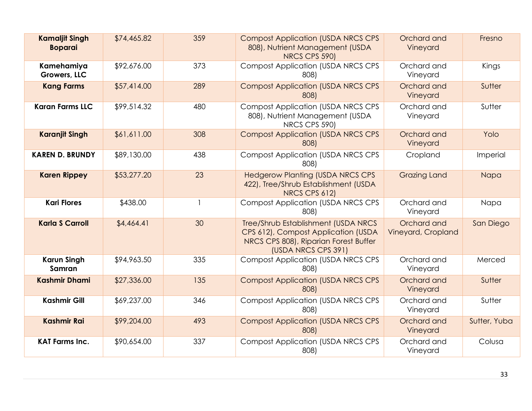| <b>Kamaljit Singh</b><br><b>Boparai</b> | \$74,465.82 | 359 | <b>Compost Application (USDA NRCS CPS</b><br>808), Nutrient Management (USDA<br>NRCS CPS 590)                                              | Orchard and<br>Vineyard           | Fresno       |
|-----------------------------------------|-------------|-----|--------------------------------------------------------------------------------------------------------------------------------------------|-----------------------------------|--------------|
| Kamehamiya<br>Growers, LLC              | \$92,676.00 | 373 | <b>Compost Application (USDA NRCS CPS</b><br>808)                                                                                          | Orchard and<br>Vineyard           | Kings        |
| <b>Kang Farms</b>                       | \$57,414.00 | 289 | <b>Compost Application (USDA NRCS CPS</b><br>808)                                                                                          | Orchard and<br>Vineyard           | Sutter       |
| <b>Karan Farms LLC</b>                  | \$99,514.32 | 480 | <b>Compost Application (USDA NRCS CPS</b><br>808), Nutrient Management (USDA<br>NRCS CPS 590)                                              | Orchard and<br>Vineyard           | Sutter       |
| <b>Karanjit Singh</b>                   | \$61,611.00 | 308 | <b>Compost Application (USDA NRCS CPS</b><br>808)                                                                                          | Orchard and<br>Vineyard           | Yolo         |
| <b>KAREN D. BRUNDY</b>                  | \$89,130.00 | 438 | <b>Compost Application (USDA NRCS CPS</b><br>808)                                                                                          | Cropland                          | Imperial     |
| <b>Karen Rippey</b>                     | \$53,277.20 | 23  | <b>Hedgerow Planting (USDA NRCS CPS</b><br>422), Tree/Shrub Establishment (USDA<br>NRCS CPS 612)                                           | <b>Grazing Land</b>               | Napa         |
| <b>Kari Flores</b>                      | \$438.00    |     | <b>Compost Application (USDA NRCS CPS</b><br>808)                                                                                          | Orchard and<br>Vineyard           | Napa         |
| <b>Karla S Carroll</b>                  | \$4,464.4]  | 30  | Tree/Shrub Establishment (USDA NRCS<br>CPS 612), Compost Application (USDA<br>NRCS CPS 808), Riparian Forest Buffer<br>(USDA NRCS CPS 391) | Orchard and<br>Vineyard, Cropland | San Diego    |
| <b>Karun Singh</b><br>Samran            | \$94,963.50 | 335 | <b>Compost Application (USDA NRCS CPS</b><br>808)                                                                                          | Orchard and<br>Vineyard           | Merced       |
| <b>Kashmir Dhami</b>                    | \$27,336.00 | 135 | <b>Compost Application (USDA NRCS CPS</b><br>808)                                                                                          | Orchard and<br>Vineyard           | Sutter       |
| <b>Kashmir Gill</b>                     | \$69,237.00 | 346 | <b>Compost Application (USDA NRCS CPS</b><br>808)                                                                                          | Orchard and<br>Vineyard           | Sutter       |
| <b>Kashmir Rai</b>                      | \$99,204.00 | 493 | <b>Compost Application (USDA NRCS CPS</b><br>808)                                                                                          | Orchard and<br>Vineyard           | Sutter, Yuba |
| <b>KAT Farms Inc.</b>                   | \$90,654.00 | 337 | <b>Compost Application (USDA NRCS CPS</b><br>808)                                                                                          | Orchard and<br>Vineyard           | Colusa       |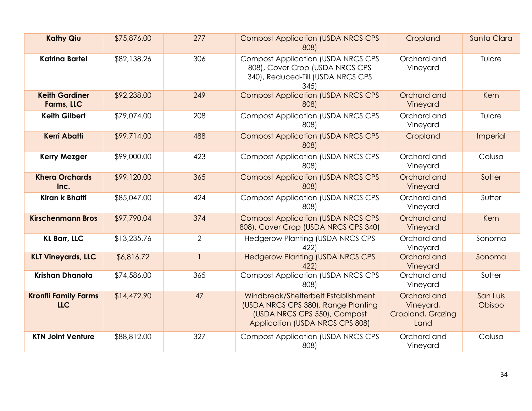| <b>Kathy Qiu</b>                          | \$75,876.00 | 277            | <b>Compost Application (USDA NRCS CPS</b><br>808)                                                                                             | Cropland                                              | Santa Clara        |
|-------------------------------------------|-------------|----------------|-----------------------------------------------------------------------------------------------------------------------------------------------|-------------------------------------------------------|--------------------|
| <b>Katrina Bartel</b>                     | \$82,138.26 | 306            | <b>Compost Application (USDA NRCS CPS</b><br>808), Cover Crop (USDA NRCS CPS<br>340), Reduced-Till (USDA NRCS CPS<br>345                      | Orchard and<br>Vineyard                               | Tulare             |
| <b>Keith Gardiner</b><br>Farms, LLC       | \$92,238.00 | 249            | <b>Compost Application (USDA NRCS CPS</b><br>808)                                                                                             | Orchard and<br>Vineyard                               | Kern               |
| <b>Keith Gilbert</b>                      | \$79,074.00 | 208            | <b>Compost Application (USDA NRCS CPS</b><br>808)                                                                                             | Orchard and<br>Vineyard                               | Tulare             |
| <b>Kerri Abatti</b>                       | \$99,714.00 | 488            | <b>Compost Application (USDA NRCS CPS</b><br>808)                                                                                             | Cropland                                              | Imperial           |
| <b>Kerry Mezger</b>                       | \$99,000.00 | 423            | <b>Compost Application (USDA NRCS CPS</b><br>808)                                                                                             | Orchard and<br>Vineyard                               | Colusa             |
| <b>Khera Orchards</b><br>Inc.             | \$99,120.00 | 365            | <b>Compost Application (USDA NRCS CPS</b><br>808)                                                                                             | Orchard and<br>Vineyard                               | Sutter             |
| Kiran k Bhatti                            | \$85,047.00 | 424            | <b>Compost Application (USDA NRCS CPS</b><br>808)                                                                                             | Orchard and<br>Vineyard                               | Sutter             |
| <b>Kirschenmann Bros</b>                  | \$97,790.04 | 374            | <b>Compost Application (USDA NRCS CPS</b><br>808), Cover Crop (USDA NRCS CPS 340)                                                             | Orchard and<br>Vineyard                               | Kern               |
| <b>KL Barr, LLC</b>                       | \$13,235.76 | $\overline{2}$ | <b>Hedgerow Planting (USDA NRCS CPS</b><br>422)                                                                                               | Orchard and<br>Vineyard                               | Sonoma             |
| <b>KLT Vineyards, LLC</b>                 | \$6,816.72  | $\mathbf{1}$   | <b>Hedgerow Planting (USDA NRCS CPS</b><br>422                                                                                                | Orchard and<br>Vineyard                               | Sonoma             |
| Krishan Dhanota                           | \$74,586.00 | 365            | <b>Compost Application (USDA NRCS CPS</b><br>808)                                                                                             | Orchard and<br>Vineyard                               | Sutter             |
| <b>Kronfli Family Farms</b><br><b>LLC</b> | \$14,472.90 | 47             | Windbreak/Shelterbelt Establishment<br>(USDA NRCS CPS 380), Range Planting<br>(USDA NRCS CPS 550), Compost<br>Application (USDA NRCS CPS 808) | Orchard and<br>Vineyard,<br>Cropland, Grazing<br>Land | San Luis<br>Obispo |
| <b>KTN Joint Venture</b>                  | \$88,812.00 | 327            | <b>Compost Application (USDA NRCS CPS</b><br>808)                                                                                             | Orchard and<br>Vineyard                               | Colusa             |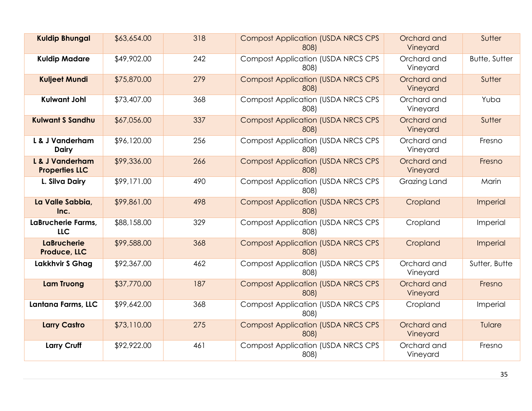| <b>Kuldip Bhungal</b>                    | \$63,654.00 | 318 | <b>Compost Application (USDA NRCS CPS</b><br>808) | Orchard and<br>Vineyard | Sutter               |
|------------------------------------------|-------------|-----|---------------------------------------------------|-------------------------|----------------------|
| <b>Kuldip Madare</b>                     | \$49,902.00 | 242 | <b>Compost Application (USDA NRCS CPS</b><br>808) | Orchard and<br>Vineyard | <b>Butte, Sutter</b> |
| <b>Kuljeet Mundi</b>                     | \$75,870.00 | 279 | <b>Compost Application (USDA NRCS CPS</b><br>808) | Orchard and<br>Vineyard | Sutter               |
| <b>Kulwant Johl</b>                      | \$73,407.00 | 368 | <b>Compost Application (USDA NRCS CPS</b><br>808) | Orchard and<br>Vineyard | Yuba                 |
| <b>Kulwant S Sandhu</b>                  | \$67,056.00 | 337 | <b>Compost Application (USDA NRCS CPS</b><br>808) | Orchard and<br>Vineyard | Sutter               |
| L & J Vanderham<br><b>Dairy</b>          | \$96,120.00 | 256 | <b>Compost Application (USDA NRCS CPS</b><br>808) | Orchard and<br>Vineyard | Fresno               |
| L & J Vanderham<br><b>Properties LLC</b> | \$99,336.00 | 266 | <b>Compost Application (USDA NRCS CPS</b><br>808) | Orchard and<br>Vineyard | Fresno               |
| L. Silva Dairy                           | \$99,171.00 | 490 | <b>Compost Application (USDA NRCS CPS</b><br>808) | Grazing Land            | Marin                |
| La Valle Sabbia,<br>Inc.                 | \$99,861.00 | 498 | <b>Compost Application (USDA NRCS CPS</b><br>808) | Cropland                | Imperial             |
| LaBrucherie Farms,<br><b>LLC</b>         | \$88,158.00 | 329 | <b>Compost Application (USDA NRCS CPS</b><br>808) | Cropland                | Imperial             |
| <b>LaBrucherie</b><br>Produce, LLC       | \$99,588.00 | 368 | <b>Compost Application (USDA NRCS CPS</b><br>808) | Cropland                | Imperial             |
| Lakkhvir S Ghag                          | \$92,367.00 | 462 | <b>Compost Application (USDA NRCS CPS</b><br>808) | Orchard and<br>Vineyard | Sutter, Butte        |
| <b>Lam Truong</b>                        | \$37,770.00 | 187 | <b>Compost Application (USDA NRCS CPS</b><br>8081 | Orchard and<br>Vineyard | Fresno               |
| Lantana Farms, LLC                       | \$99,642.00 | 368 | <b>Compost Application (USDA NRCS CPS</b><br>808) | Cropland                | Imperial             |
| <b>Larry Castro</b>                      | \$73,110.00 | 275 | <b>Compost Application (USDA NRCS CPS</b><br>808) | Orchard and<br>Vineyard | Tulare               |
| <b>Larry Cruff</b>                       | \$92,922.00 | 461 | <b>Compost Application (USDA NRCS CPS</b><br>808) | Orchard and<br>Vineyard | Fresno               |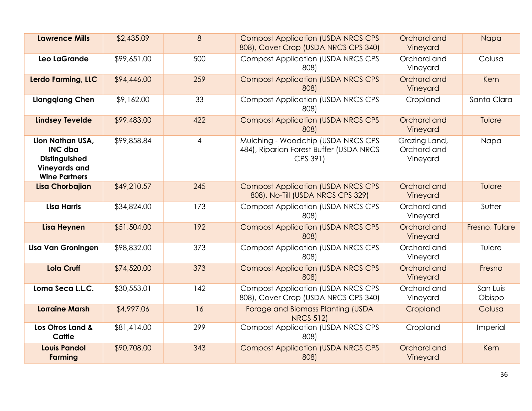| <b>Lawrence Mills</b>                                                                               | \$2,435.09  | 8              | <b>Compost Application (USDA NRCS CPS)</b><br>808), Cover Crop (USDA NRCS CPS 340)        | Orchard and<br>Vineyard                  | Napa               |
|-----------------------------------------------------------------------------------------------------|-------------|----------------|-------------------------------------------------------------------------------------------|------------------------------------------|--------------------|
| Leo LaGrande                                                                                        | \$99,651.00 | 500            | <b>Compost Application (USDA NRCS CPS)</b><br>808)                                        | Orchard and<br>Vineyard                  | Colusa             |
| Lerdo Farming, LLC                                                                                  | \$94,446.00 | 259            | <b>Compost Application (USDA NRCS CPS)</b><br>808)                                        | Orchard and<br>Vineyard                  | Kern               |
| <b>Liangqiang Chen</b>                                                                              | \$9,162.00  | 33             | <b>Compost Application (USDA NRCS CPS</b><br>808)                                         | Cropland                                 | Santa Clara        |
| <b>Lindsey Tevelde</b>                                                                              | \$99,483.00 | 422            | <b>Compost Application (USDA NRCS CPS</b><br>808)                                         | Orchard and<br>Vineyard                  | Tulare             |
| Lion Nathan USA.<br><b>INC dba</b><br>Distinguished<br><b>Vineyards and</b><br><b>Wine Partners</b> | \$99,858.84 | $\overline{4}$ | Mulching - Woodchip (USDA NRCS CPS<br>484), Riparian Forest Buffer (USDA NRCS<br>CPS 391) | Grazing Land,<br>Orchard and<br>Vineyard | Napa               |
| <b>Lisa Chorbajian</b>                                                                              | \$49,210.57 | 245            | <b>Compost Application (USDA NRCS CPS</b><br>808), No-Till (USDA NRCS CPS 329)            | Orchard and<br>Vineyard                  | Tulare             |
| <b>Lisa Harris</b>                                                                                  | \$34,824.00 | 173            | <b>Compost Application (USDA NRCS CPS</b><br>808)                                         | Orchard and<br>Vineyard                  | Sutter             |
| <b>Lisa Heynen</b>                                                                                  | \$51,504.00 | 192            | <b>Compost Application (USDA NRCS CPS</b><br>808)                                         | Orchard and<br>Vineyard                  | Fresno, Tulare     |
| Lisa Van Groningen                                                                                  | \$98,832.00 | 373            | <b>Compost Application (USDA NRCS CPS</b><br>808)                                         | Orchard and<br>Vineyard                  | Tulare             |
| <b>Lola Cruff</b>                                                                                   | \$74,520.00 | 373            | <b>Compost Application (USDA NRCS CPS</b><br>808)                                         | Orchard and<br>Vineyard                  | Fresno             |
| Loma Seca L.L.C.                                                                                    | \$30,553.01 | 142            | <b>Compost Application (USDA NRCS CPS)</b><br>808), Cover Crop (USDA NRCS CPS 340)        | Orchard and<br>Vineyard                  | San Luis<br>Obispo |
| <b>Lorraine Marsh</b>                                                                               | \$4,997.06  | 16             | Forage and Biomass Planting (USDA<br><b>NRCS 512)</b>                                     | Cropland                                 | Colusa             |
| Los Otros Land &<br>Cattle                                                                          | \$81,414.00 | 299            | <b>Compost Application (USDA NRCS CPS</b><br>808)                                         | Cropland                                 | Imperial           |
| <b>Louis Pandol</b><br><b>Farming</b>                                                               | \$90,708.00 | 343            | <b>Compost Application (USDA NRCS CPS</b><br>808)                                         | Orchard and<br>Vineyard                  | Kern               |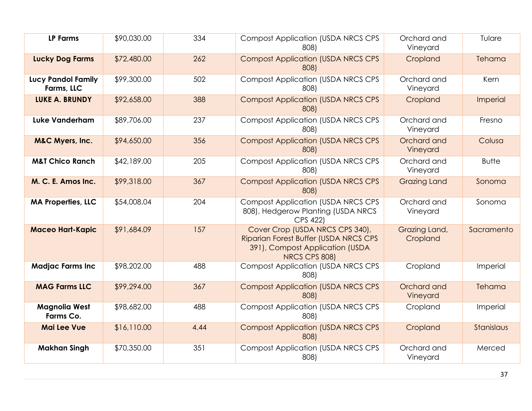| <b>LP Farms</b>                         | \$90,030.00 | 334  | <b>Compost Application (USDA NRCS CPS</b><br>808)                                                                            | Orchard and<br>Vineyard   | Tulare       |
|-----------------------------------------|-------------|------|------------------------------------------------------------------------------------------------------------------------------|---------------------------|--------------|
| <b>Lucky Dog Farms</b>                  | \$72,480.00 | 262  | <b>Compost Application (USDA NRCS CPS</b><br>808)                                                                            | Cropland                  | Tehama       |
| <b>Lucy Pandol Family</b><br>Farms, LLC | \$99,300.00 | 502  | <b>Compost Application (USDA NRCS CPS</b><br>808)                                                                            | Orchard and<br>Vineyard   | Kern         |
| <b>LUKE A. BRUNDY</b>                   | \$92,658.00 | 388  | <b>Compost Application (USDA NRCS CPS</b><br>808)                                                                            | Cropland                  | Imperial     |
| <b>Luke Vanderham</b>                   | \$89,706.00 | 237  | <b>Compost Application (USDA NRCS CPS</b><br>808)                                                                            | Orchard and<br>Vineyard   | Fresno       |
| <b>M&amp;C Myers, Inc.</b>              | \$94,650.00 | 356  | <b>Compost Application (USDA NRCS CPS</b><br>808)                                                                            | Orchard and<br>Vineyard   | Colusa       |
| <b>M&amp;T Chico Ranch</b>              | \$42,189.00 | 205  | <b>Compost Application (USDA NRCS CPS</b><br>808)                                                                            | Orchard and<br>Vineyard   | <b>Butte</b> |
| M. C. E. Amos Inc.                      | \$99,318.00 | 367  | <b>Compost Application (USDA NRCS CPS</b><br>808)                                                                            | <b>Grazing Land</b>       | Sonoma       |
| <b>MA Properties, LLC</b>               | \$54,008.04 | 204  | <b>Compost Application (USDA NRCS CPS</b><br>808), Hedgerow Planting (USDA NRCS<br>CPS 422)                                  | Orchard and<br>Vineyard   | Sonoma       |
| <b>Maceo Hart-Kapic</b>                 | \$91,684.09 | 157  | Cover Crop (USDA NRCS CPS 340),<br>Riparian Forest Buffer (USDA NRCS CPS<br>391), Compost Application (USDA<br>NRCS CPS 808) | Grazing Land,<br>Cropland | Sacramento   |
| <b>Madjac Farms Inc</b>                 | \$98,202.00 | 488  | <b>Compost Application (USDA NRCS CPS)</b><br>808)                                                                           | Cropland                  | Imperial     |
| <b>MAG Farms LLC</b>                    | \$99,294.00 | 367  | <b>Compost Application (USDA NRCS CPS</b><br>808)                                                                            | Orchard and<br>Vineyard   | Tehama       |
| <b>Magnolia West</b><br>Farms Co.       | \$98,682.00 | 488  | <b>Compost Application (USDA NRCS CPS</b><br>808)                                                                            | Cropland                  | Imperial     |
| <b>Mai Lee Vue</b>                      | \$16,110.00 | 4.44 | <b>Compost Application (USDA NRCS CPS</b><br>808)                                                                            | Cropland                  | Stanislaus   |
| <b>Makhan Singh</b>                     | \$70,350.00 | 351  | <b>Compost Application (USDA NRCS CPS</b><br>808)                                                                            | Orchard and<br>Vineyard   | Merced       |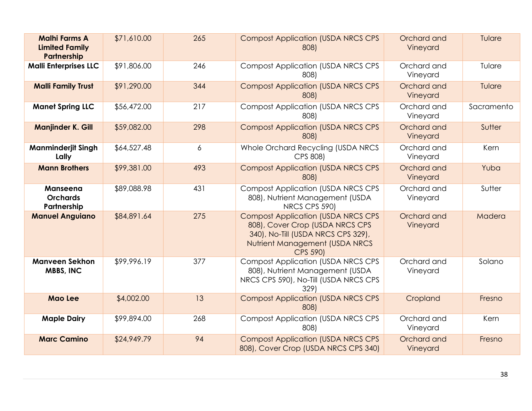| <b>Malhi Farms A</b><br><b>Limited Family</b><br>Partnership | \$71,610.00 | 265 | <b>Compost Application (USDA NRCS CPS</b><br>808)                                                                                                                       | Orchard and<br>Vineyard | Tulare     |
|--------------------------------------------------------------|-------------|-----|-------------------------------------------------------------------------------------------------------------------------------------------------------------------------|-------------------------|------------|
| <b>Malli Enterprises LLC</b>                                 | \$91,806.00 | 246 | <b>Compost Application (USDA NRCS CPS</b><br>808)                                                                                                                       | Orchard and<br>Vineyard | Tulare     |
| <b>Malli Family Trust</b>                                    | \$91,290.00 | 344 | <b>Compost Application (USDA NRCS CPS</b><br>808)                                                                                                                       | Orchard and<br>Vineyard | Tulare     |
| <b>Manet Spring LLC</b>                                      | \$56,472.00 | 217 | <b>Compost Application (USDA NRCS CPS</b><br>808)                                                                                                                       | Orchard and<br>Vineyard | Sacramento |
| <b>Manjinder K. Gill</b>                                     | \$59,082.00 | 298 | <b>Compost Application (USDA NRCS CPS</b><br>808)                                                                                                                       | Orchard and<br>Vineyard | Sutter     |
| <b>Manminderjit Singh</b><br>Lally                           | \$64,527.48 | 6   | Whole Orchard Recycling (USDA NRCS<br>CPS 808)                                                                                                                          | Orchard and<br>Vineyard | Kern       |
| <b>Mann Brothers</b>                                         | \$99,381.00 | 493 | <b>Compost Application (USDA NRCS CPS</b><br>808)                                                                                                                       | Orchard and<br>Vineyard | Yuba       |
| <b>Manseena</b><br><b>Orchards</b><br>Partnership            | \$89,088.98 | 431 | <b>Compost Application (USDA NRCS CPS</b><br>808), Nutrient Management (USDA<br>NRCS CPS 590)                                                                           | Orchard and<br>Vineyard | Sutter     |
| <b>Manuel Anguiano</b>                                       | \$84,891.64 | 275 | <b>Compost Application (USDA NRCS CPS</b><br>808), Cover Crop (USDA NRCS CPS<br>340), No-Till (USDA NRCS CPS 329),<br>Nutrient Management (USDA NRCS<br><b>CPS 590)</b> | Orchard and<br>Vineyard | Madera     |
| <b>Manveen Sekhon</b><br><b>MBBS, INC</b>                    | \$99,996.19 | 377 | <b>Compost Application (USDA NRCS CPS</b><br>808), Nutrient Management (USDA<br>NRCS CPS 590), No-Till (USDA NRCS CPS<br>329)                                           | Orchard and<br>Vineyard | Solano     |
| <b>Mao Lee</b>                                               | \$4,002.00  | 13  | <b>Compost Application (USDA NRCS CPS</b><br>808)                                                                                                                       | Cropland                | Fresno     |
| <b>Maple Dairy</b>                                           | \$99,894.00 | 268 | <b>Compost Application (USDA NRCS CPS</b><br>808)                                                                                                                       | Orchard and<br>Vineyard | Kern       |
| <b>Marc Camino</b>                                           | \$24,949.79 | 94  | <b>Compost Application (USDA NRCS CPS)</b><br>808), Cover Crop (USDA NRCS CPS 340)                                                                                      | Orchard and<br>Vineyard | Fresno     |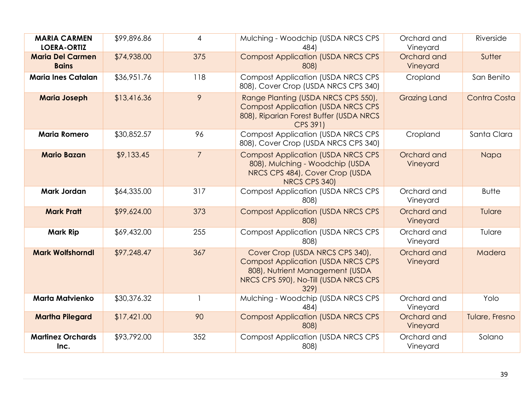| <b>MARIA CARMEN</b><br><b>LOERA-ORTIZ</b> | \$99,896.86 | 4              | Mulching - Woodchip (USDA NRCS CPS<br>484)                                                                                                                        | Orchard and<br>Vineyard | Riverside      |
|-------------------------------------------|-------------|----------------|-------------------------------------------------------------------------------------------------------------------------------------------------------------------|-------------------------|----------------|
| <b>Maria Del Carmen</b><br><b>Bains</b>   | \$74,938.00 | 375            | <b>Compost Application (USDA NRCS CPS</b><br>808)                                                                                                                 | Orchard and<br>Vineyard | Sutter         |
| <b>Maria Ines Catalan</b>                 | \$36,951.76 | 118            | <b>Compost Application (USDA NRCS CPS</b><br>808), Cover Crop (USDA NRCS CPS 340)                                                                                 | Cropland                | San Benito     |
| <b>Maria Joseph</b>                       | \$13,416.36 | 9              | Range Planting (USDA NRCS CPS 550),<br><b>Compost Application (USDA NRCS CPS)</b><br>808), Riparian Forest Buffer (USDA NRCS<br>CPS 391)                          | <b>Grazing Land</b>     | Contra Costa   |
| <b>Maria Romero</b>                       | \$30,852.57 | 96             | <b>Compost Application (USDA NRCS CPS</b><br>808), Cover Crop (USDA NRCS CPS 340)                                                                                 | Cropland                | Santa Clara    |
| <b>Mario Bazan</b>                        | \$9,133.45  | $\overline{7}$ | <b>Compost Application (USDA NRCS CPS)</b><br>808), Mulching - Woodchip (USDA<br>NRCS CPS 484), Cover Crop (USDA<br>NRCS CPS 340)                                 | Orchard and<br>Vineyard | Napa           |
| <b>Mark Jordan</b>                        | \$64,335.00 | 317            | <b>Compost Application (USDA NRCS CPS</b><br>808)                                                                                                                 | Orchard and<br>Vineyard | <b>Butte</b>   |
| <b>Mark Pratt</b>                         | \$99,624.00 | 373            | <b>Compost Application (USDA NRCS CPS</b><br>808)                                                                                                                 | Orchard and<br>Vineyard | Tulare         |
| <b>Mark Rip</b>                           | \$69,432.00 | 255            | <b>Compost Application (USDA NRCS CPS</b><br>808)                                                                                                                 | Orchard and<br>Vineyard | Tulare         |
| <b>Mark Wolfshorndl</b>                   | \$97,248.47 | 367            | Cover Crop (USDA NRCS CPS 340),<br><b>Compost Application (USDA NRCS CPS)</b><br>808), Nutrient Management (USDA<br>NRCS CPS 590), No-Till (USDA NRCS CPS<br>329) | Orchard and<br>Vineyard | Madera         |
| <b>Marta Matvienko</b>                    | \$30,376.32 |                | Mulching - Woodchip (USDA NRCS CPS<br>484)                                                                                                                        | Orchard and<br>Vineyard | Yolo           |
| <b>Martha Pilegard</b>                    | \$17,421.00 | 90             | <b>Compost Application (USDA NRCS CPS</b><br>808)                                                                                                                 | Orchard and<br>Vineyard | Tulare, Fresno |
| <b>Martinez Orchards</b><br>Inc.          | \$93,792.00 | 352            | <b>Compost Application (USDA NRCS CPS)</b><br>808)                                                                                                                | Orchard and<br>Vineyard | Solano         |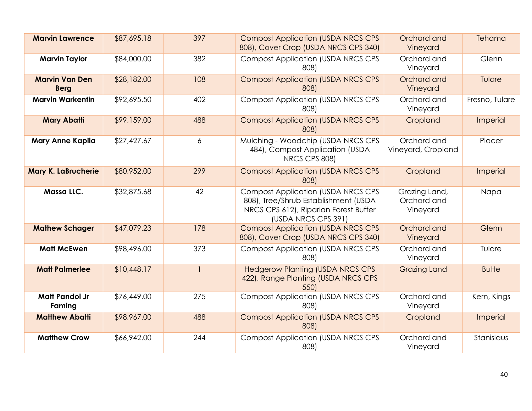| <b>Marvin Lawrence</b>               | \$87,695.18 | 397          | <b>Compost Application (USDA NRCS CPS</b><br>808), Cover Crop (USDA NRCS CPS 340)                                                                  | Orchard and<br>Vineyard                  | Tehama         |
|--------------------------------------|-------------|--------------|----------------------------------------------------------------------------------------------------------------------------------------------------|------------------------------------------|----------------|
| <b>Marvin Taylor</b>                 | \$84,000.00 | 382          | <b>Compost Application (USDA NRCS CPS)</b><br>808)                                                                                                 | Orchard and<br>Vineyard                  | Glenn          |
| <b>Marvin Van Den</b><br><b>Berg</b> | \$28,182.00 | 108          | <b>Compost Application (USDA NRCS CPS)</b><br>808)                                                                                                 | Orchard and<br>Vineyard                  | Tulare         |
| <b>Marvin Warkentin</b>              | \$92,695.50 | 402          | <b>Compost Application (USDA NRCS CPS</b><br>808)                                                                                                  | Orchard and<br>Vineyard                  | Fresno, Tulare |
| <b>Mary Abatti</b>                   | \$99,159.00 | 488          | <b>Compost Application (USDA NRCS CPS</b><br>808)                                                                                                  | Cropland                                 | Imperial       |
| <b>Mary Anne Kapila</b>              | \$27,427.67 | 6            | Mulching - Woodchip (USDA NRCS CPS<br>484), Compost Application (USDA<br>NRCS CPS 808)                                                             | Orchard and<br>Vineyard, Cropland        | Placer         |
| <b>Mary K. LaBrucherie</b>           | \$80,952.00 | 299          | <b>Compost Application (USDA NRCS CPS</b><br>808)                                                                                                  | Cropland                                 | Imperial       |
| Massa LLC.                           | \$32,875.68 | 42           | <b>Compost Application (USDA NRCS CPS)</b><br>808), Tree/Shrub Establishment (USDA<br>NRCS CPS 612), Riparian Forest Buffer<br>(USDA NRCS CPS 391) | Grazing Land,<br>Orchard and<br>Vineyard | Napa           |
| <b>Mathew Schager</b>                | \$47,079.23 | 178          | <b>Compost Application (USDA NRCS CPS</b><br>808), Cover Crop (USDA NRCS CPS 340)                                                                  | Orchard and<br>Vineyard                  | Glenn          |
| <b>Matt McEwen</b>                   | \$98,496.00 | 373          | <b>Compost Application (USDA NRCS CPS)</b><br>808)                                                                                                 | Orchard and<br>Vineyard                  | Tulare         |
| <b>Matt Palmerlee</b>                | \$10,448.17 | $\mathbf{1}$ | <b>Hedgerow Planting (USDA NRCS CPS</b><br>422), Range Planting (USDA NRCS CPS<br>550)                                                             | <b>Grazing Land</b>                      | <b>Butte</b>   |
| <b>Matt Pandol Jr</b><br>Faming      | \$76,449.00 | 275          | <b>Compost Application (USDA NRCS CPS</b><br>808)                                                                                                  | Orchard and<br>Vineyard                  | Kern, Kings    |
| <b>Matthew Abatti</b>                | \$98,967.00 | 488          | <b>Compost Application (USDA NRCS CPS</b><br>808)                                                                                                  | Cropland                                 | Imperial       |
| <b>Matthew Crow</b>                  | \$66,942.00 | 244          | <b>Compost Application (USDA NRCS CPS)</b><br>808)                                                                                                 | Orchard and<br>Vineyard                  | Stanislaus     |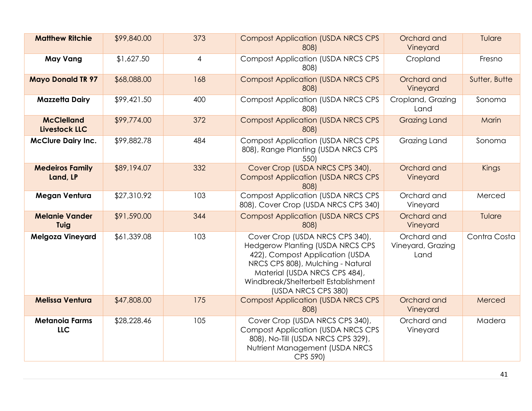| <b>Matthew Ritchie</b>              | \$99,840.00 | 373            | <b>Compost Application (USDA NRCS CPS</b><br>808)                                                                                                                                                                                                 | Orchard and<br>Vineyard                  | Tulare        |
|-------------------------------------|-------------|----------------|---------------------------------------------------------------------------------------------------------------------------------------------------------------------------------------------------------------------------------------------------|------------------------------------------|---------------|
| <b>May Vang</b>                     | \$1,627.50  | $\overline{4}$ | <b>Compost Application (USDA NRCS CPS)</b><br>808)                                                                                                                                                                                                | Cropland                                 | Fresno        |
| <b>Mayo Donald TR 97</b>            | \$68,088.00 | 168            | <b>Compost Application (USDA NRCS CPS)</b><br>808)                                                                                                                                                                                                | Orchard and<br>Vineyard                  | Sutter, Butte |
| <b>Mazzetta Dairy</b>               | \$99,421.50 | 400            | <b>Compost Application (USDA NRCS CPS</b><br>808)                                                                                                                                                                                                 | Cropland, Grazing<br>Land                | Sonoma        |
| <b>McClelland</b><br>Livestock LLC  | \$99,774.00 | 372            | <b>Compost Application (USDA NRCS CPS)</b><br>808)                                                                                                                                                                                                | <b>Grazing Land</b>                      | Marin         |
| <b>McClure Dairy Inc.</b>           | \$99,882.78 | 484            | <b>Compost Application (USDA NRCS CPS)</b><br>808), Range Planting (USDA NRCS CPS<br>550)                                                                                                                                                         | Grazing Land                             | Sonoma        |
| <b>Medeiros Family</b><br>Land, LP  | \$89,194.07 | 332            | Cover Crop (USDA NRCS CPS 340),<br><b>Compost Application (USDA NRCS CPS</b><br>808)                                                                                                                                                              | Orchard and<br>Vineyard                  | <b>Kings</b>  |
| <b>Megan Ventura</b>                | \$27,310.92 | 103            | <b>Compost Application (USDA NRCS CPS)</b><br>808), Cover Crop (USDA NRCS CPS 340)                                                                                                                                                                | Orchard and<br>Vineyard                  | Merced        |
| <b>Melanie Vander</b><br>Tuig       | \$91,590.00 | 344            | <b>Compost Application (USDA NRCS CPS)</b><br>808)                                                                                                                                                                                                | Orchard and<br>Vineyard                  | Tulare        |
| <b>Melgoza Vineyard</b>             | \$61,339.08 | 103            | Cover Crop (USDA NRCS CPS 340),<br><b>Hedgerow Planting (USDA NRCS CPS</b><br>422), Compost Application (USDA<br>NRCS CPS 808), Mulching - Natural<br>Material (USDA NRCS CPS 484),<br>Windbreak/Shelterbelt Establishment<br>(USDA NRCS CPS 380) | Orchard and<br>Vineyard, Grazing<br>Land | Contra Costa  |
| <b>Melissa Ventura</b>              | \$47,808.00 | 175            | <b>Compost Application (USDA NRCS CPS)</b><br>808)                                                                                                                                                                                                | Orchard and<br>Vineyard                  | Merced        |
| <b>Metanoia Farms</b><br><b>LLC</b> | \$28,228.46 | 105            | Cover Crop (USDA NRCS CPS 340),<br><b>Compost Application (USDA NRCS CPS</b><br>808), No-Till (USDA NRCS CPS 329),<br>Nutrient Management (USDA NRCS<br>CPS 590)                                                                                  | Orchard and<br>Vineyard                  | Madera        |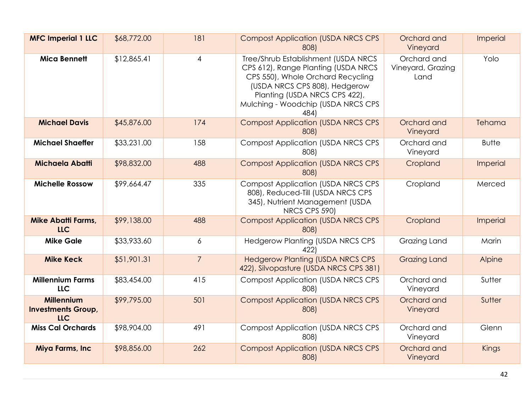| <b>MFC Imperial 1 LLC</b>                             | \$68,772.00 | 181            | <b>Compost Application (USDA NRCS CPS</b><br>808)                                                                                                                                                                               | Orchard and<br>Vineyard                  | Imperial     |
|-------------------------------------------------------|-------------|----------------|---------------------------------------------------------------------------------------------------------------------------------------------------------------------------------------------------------------------------------|------------------------------------------|--------------|
| <b>Mica Bennett</b>                                   | \$12,865.41 | 4              | Tree/Shrub Establishment (USDA NRCS<br>CPS 612), Range Planting (USDA NRCS<br>CPS 550), Whole Orchard Recycling<br>(USDA NRCS CPS 808), Hedgerow<br>Planting (USDA NRCS CPS 422),<br>Mulching - Woodchip (USDA NRCS CPS<br>484) | Orchard and<br>Vineyard, Grazing<br>Land | Yolo         |
| <b>Michael Davis</b>                                  | \$45,876.00 | 174            | <b>Compost Application (USDA NRCS CPS</b><br>808)                                                                                                                                                                               | Orchard and<br>Vineyard                  | Tehama       |
| <b>Michael Shaeffer</b>                               | \$33,231.00 | 158            | <b>Compost Application (USDA NRCS CPS</b><br>808)                                                                                                                                                                               | Orchard and<br>Vineyard                  | <b>Butte</b> |
| Michaela Abatti                                       | \$98,832.00 | 488            | <b>Compost Application (USDA NRCS CPS</b><br>808)                                                                                                                                                                               | Cropland                                 | Imperial     |
| <b>Michelle Rossow</b>                                | \$99,664.47 | 335            | <b>Compost Application (USDA NRCS CPS)</b><br>808), Reduced-Till (USDA NRCS CPS<br>345), Nutrient Management (USDA<br>NRCS CPS 590)                                                                                             | Cropland                                 | Merced       |
| <b>Mike Abatti Farms,</b><br>LLC                      | \$99,138.00 | 488            | <b>Compost Application (USDA NRCS CPS</b><br>808)                                                                                                                                                                               | Cropland                                 | Imperial     |
| <b>Mike Gale</b>                                      | \$33,933.60 | 6              | <b>Hedgerow Planting (USDA NRCS CPS</b><br>422)                                                                                                                                                                                 | Grazing Land                             | Marin        |
| <b>Mike Keck</b>                                      | \$51,901.31 | $\overline{7}$ | <b>Hedgerow Planting (USDA NRCS CPS</b><br>422), Silvopasture (USDA NRCS CPS 381)                                                                                                                                               | <b>Grazing Land</b>                      | Alpine       |
| <b>Millennium Farms</b><br>LLC                        | \$83,454.00 | 415            | <b>Compost Application (USDA NRCS CPS</b><br>808)                                                                                                                                                                               | Orchard and<br>Vineyard                  | Sutter       |
| <b>Millennium</b><br><b>Investments Group,</b><br>LLC | \$99,795.00 | 501            | <b>Compost Application (USDA NRCS CPS</b><br>808)                                                                                                                                                                               | Orchard and<br>Vineyard                  | Sutter       |
| <b>Miss Cal Orchards</b>                              | \$98,904.00 | 491            | <b>Compost Application (USDA NRCS CPS</b><br>808)                                                                                                                                                                               | Orchard and<br>Vineyard                  | Glenn        |
| Miya Farms, Inc                                       | \$98,856.00 | 262            | <b>Compost Application (USDA NRCS CPS</b><br>808)                                                                                                                                                                               | Orchard and<br>Vineyard                  | Kings        |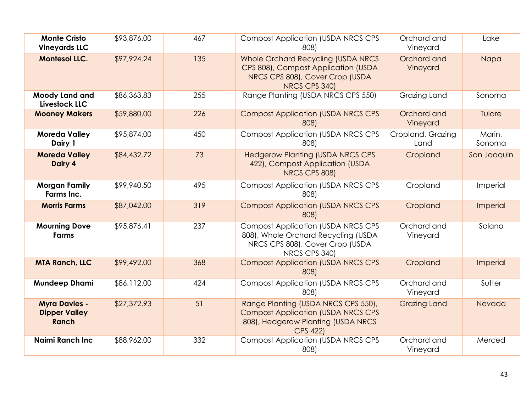| <b>Monte Cristo</b><br><b>Vineyards LLC</b>           | \$93,876.00 | 467 | <b>Compost Application (USDA NRCS CPS</b><br>808)                                                                                         | Orchard and<br>Vineyard   | Lake             |
|-------------------------------------------------------|-------------|-----|-------------------------------------------------------------------------------------------------------------------------------------------|---------------------------|------------------|
| <b>Montesol LLC.</b>                                  | \$97,924.24 | 135 | Whole Orchard Recycling (USDA NRCS<br>CPS 808), Compost Application (USDA<br>NRCS CPS 808), Cover Crop (USDA<br>NRCS CPS 340)             | Orchard and<br>Vineyard   | Napa             |
| <b>Moody Land and</b><br>Livestock LLC                | \$86,363.83 | 255 | Range Planting (USDA NRCS CPS 550)                                                                                                        | Grazing Land              | Sonoma           |
| <b>Mooney Makers</b>                                  | \$59,880.00 | 226 | <b>Compost Application (USDA NRCS CPS</b><br>808)                                                                                         | Orchard and<br>Vineyard   | Tulare           |
| <b>Moreda Valley</b><br>Dairy 1                       | \$95,874.00 | 450 | <b>Compost Application (USDA NRCS CPS</b><br>808)                                                                                         | Cropland, Grazing<br>Land | Marin,<br>Sonoma |
| <b>Moreda Valley</b><br>Dairy 4                       | \$84,432.72 | 73  | <b>Hedgerow Planting (USDA NRCS CPS</b><br>422), Compost Application (USDA<br>NRCS CPS 808)                                               | Cropland                  | San Joaquin      |
| <b>Morgan Family</b><br>Farms Inc.                    | \$99,940.50 | 495 | <b>Compost Application (USDA NRCS CPS</b><br>808)                                                                                         | Cropland                  | Imperial         |
| <b>Morris Farms</b>                                   | \$87,042.00 | 319 | <b>Compost Application (USDA NRCS CPS</b><br>808)                                                                                         | Cropland                  | Imperial         |
| <b>Mourning Dove</b><br>Farms                         | \$95,876.41 | 237 | <b>Compost Application (USDA NRCS CPS</b><br>808), Whole Orchard Recycling (USDA<br>NRCS CPS 808), Cover Crop (USDA<br>NRCS CPS 340)      | Orchard and<br>Vineyard   | Solano           |
| <b>MTA Ranch, LLC</b>                                 | \$99,492.00 | 368 | <b>Compost Application (USDA NRCS CPS</b><br>808)                                                                                         | Cropland                  | Imperial         |
| <b>Mundeep Dhami</b>                                  | \$86,112.00 | 424 | <b>Compost Application (USDA NRCS CPS</b><br>808)                                                                                         | Orchard and<br>Vineyard   | Sutter           |
| <b>Myra Davies -</b><br><b>Dipper Valley</b><br>Ranch | \$27,372.93 | 51  | Range Planting (USDA NRCS CPS 550),<br><b>Compost Application (USDA NRCS CPS</b><br>808), Hedgerow Planting (USDA NRCS<br><b>CPS 422)</b> | <b>Grazing Land</b>       | Nevada           |
| <b>Naimi Ranch Inc.</b>                               | \$88,962.00 | 332 | <b>Compost Application (USDA NRCS CPS</b><br>808)                                                                                         | Orchard and<br>Vineyard   | Merced           |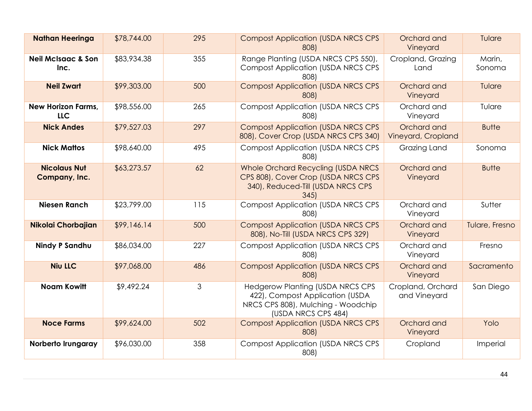| <b>Nathan Heeringa</b>                  | \$78,744.00 | 295            | <b>Compost Application (USDA NRCS CPS</b><br>808)                                                                                       | Orchard and<br>Vineyard           | Tulare           |
|-----------------------------------------|-------------|----------------|-----------------------------------------------------------------------------------------------------------------------------------------|-----------------------------------|------------------|
| <b>Neil McIsaac &amp; Son</b><br>Inc.   | \$83,934.38 | 355            | Range Planting (USDA NRCS CPS 550),<br><b>Compost Application (USDA NRCS CPS)</b><br>808)                                               | Cropland, Grazing<br>Land         | Marin,<br>Sonoma |
| <b>Neil Zwart</b>                       | \$99,303.00 | 500            | <b>Compost Application (USDA NRCS CPS</b><br>808)                                                                                       | Orchard and<br>Vineyard           | Tulare           |
| <b>New Horizon Farms,</b><br><b>LLC</b> | \$98,556.00 | 265            | <b>Compost Application (USDA NRCS CPS</b><br>808)                                                                                       | Orchard and<br>Vineyard           | Tulare           |
| <b>Nick Andes</b>                       | \$79,527.03 | 297            | <b>Compost Application (USDA NRCS CPS</b><br>808), Cover Crop (USDA NRCS CPS 340)                                                       | Orchard and<br>Vineyard, Cropland | <b>Butte</b>     |
| <b>Nick Mattos</b>                      | \$98,640.00 | 495            | <b>Compost Application (USDA NRCS CPS</b><br>808)                                                                                       | Grazing Land                      | Sonoma           |
| <b>Nicolaus Nut</b><br>Company, Inc.    | \$63,273.57 | 62             | Whole Orchard Recycling (USDA NRCS<br>CPS 808), Cover Crop (USDA NRCS CPS<br>340), Reduced-Till (USDA NRCS CPS<br>345                   | Orchard and<br>Vineyard           | <b>Butte</b>     |
| <b>Niesen Ranch</b>                     | \$23,799.00 | 115            | <b>Compost Application (USDA NRCS CPS</b><br>808)                                                                                       | Orchard and<br>Vineyard           | Sutter           |
| Nikolai Chorbajian                      | \$99,146.14 | 500            | <b>Compost Application (USDA NRCS CPS)</b><br>808), No-Till (USDA NRCS CPS 329)                                                         | Orchard and<br>Vineyard           | Tulare, Fresno   |
| <b>Nindy P Sandhu</b>                   | \$86,034.00 | 227            | <b>Compost Application (USDA NRCS CPS)</b><br>808)                                                                                      | Orchard and<br>Vineyard           | Fresno           |
| <b>Niu LLC</b>                          | \$97,068.00 | 486            | <b>Compost Application (USDA NRCS CPS</b><br>808)                                                                                       | Orchard and<br>Vineyard           | Sacramento       |
| <b>Noam Kowitt</b>                      | \$9,492.24  | $\mathfrak{Z}$ | <b>Hedgerow Planting (USDA NRCS CPS</b><br>422), Compost Application (USDA<br>NRCS CPS 808), Mulching - Woodchip<br>(USDA NRCS CPS 484) | Cropland, Orchard<br>and Vineyard | San Diego        |
| <b>Noce Farms</b>                       | \$99,624.00 | 502            | <b>Compost Application (USDA NRCS CPS</b><br>808)                                                                                       | Orchard and<br>Vineyard           | Yolo             |
| Norberto Irungaray                      | \$96,030.00 | 358            | <b>Compost Application (USDA NRCS CPS</b><br>808)                                                                                       | Cropland                          | Imperial         |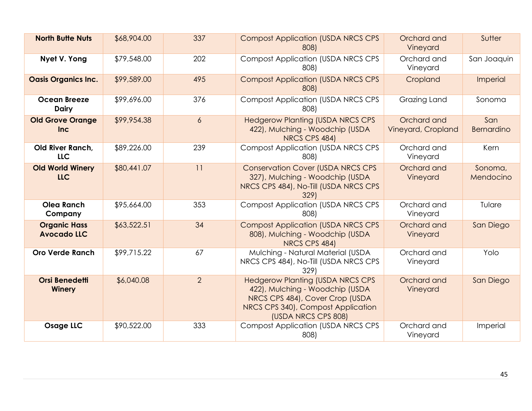| <b>North Butte Nuts</b>                   | \$68,904.00 | 337            | <b>Compost Application (USDA NRCS CPS</b><br>808)                                                                                                                          | Orchard and<br>Vineyard           | Sutter               |
|-------------------------------------------|-------------|----------------|----------------------------------------------------------------------------------------------------------------------------------------------------------------------------|-----------------------------------|----------------------|
| Nyet V. Yong                              | \$79,548.00 | 202            | <b>Compost Application (USDA NRCS CPS</b><br>808)                                                                                                                          | Orchard and<br>Vineyard           | San Joaquin          |
| <b>Oasis Organics Inc.</b>                | \$99,589.00 | 495            | <b>Compost Application (USDA NRCS CPS</b><br>808)                                                                                                                          | Cropland                          | Imperial             |
| <b>Ocean Breeze</b><br><b>Dairy</b>       | \$99,696.00 | 376            | <b>Compost Application (USDA NRCS CPS</b><br>808)                                                                                                                          | Grazing Land                      | Sonoma               |
| <b>Old Grove Orange</b><br>Inc            | \$99,954.38 | $\overline{6}$ | <b>Hedgerow Planting (USDA NRCS CPS</b><br>422), Mulching - Woodchip (USDA<br>NRCS CPS 484)                                                                                | Orchard and<br>Vineyard, Cropland | San<br>Bernardino    |
| Old River Ranch,<br><b>LLC</b>            | \$89,226.00 | 239            | <b>Compost Application (USDA NRCS CPS)</b><br>808)                                                                                                                         | Orchard and<br>Vineyard           | Kern                 |
| <b>Old World Winery</b><br><b>LLC</b>     | \$80,441.07 | 11             | <b>Conservation Cover (USDA NRCS CPS</b><br>327), Mulching - Woodchip (USDA<br>NRCS CPS 484), No-Till (USDA NRCS CPS<br>329)                                               | Orchard and<br>Vineyard           | Sonoma,<br>Mendocino |
| <b>Olea Ranch</b><br>Company              | \$95,664.00 | 353            | <b>Compost Application (USDA NRCS CPS</b><br>808)                                                                                                                          | Orchard and<br>Vineyard           | Tulare               |
| <b>Organic Hass</b><br><b>Avocado LLC</b> | \$63,522.51 | 34             | <b>Compost Application (USDA NRCS CPS</b><br>808), Mulching - Woodchip (USDA<br>NRCS CPS 484)                                                                              | Orchard and<br>Vineyard           | San Diego            |
| <b>Oro Verde Ranch</b>                    | \$99,715.22 | 67             | Mulching - Natural Material (USDA<br>NRCS CPS 484), No-Till (USDA NRCS CPS<br>329)                                                                                         | Orchard and<br>Vineyard           | Yolo                 |
| <b>Orsi Benedetti</b><br><b>Winery</b>    | \$6,040.08  | $\overline{2}$ | <b>Hedgerow Planting (USDA NRCS CPS</b><br>422), Mulching - Woodchip (USDA<br>NRCS CPS 484), Cover Crop (USDA<br>NRCS CPS 340), Compost Application<br>(USDA NRCS CPS 808) | Orchard and<br>Vineyard           | San Diego            |
| <b>Osage LLC</b>                          | \$90,522.00 | 333            | <b>Compost Application (USDA NRCS CPS)</b><br>808)                                                                                                                         | Orchard and<br>Vineyard           | Imperial             |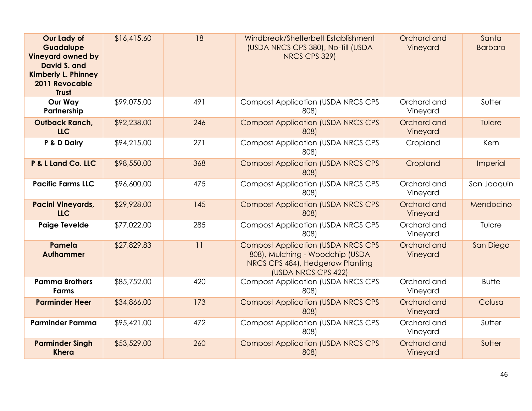| Our Lady of<br>Guadalupe<br><b>Vineyard owned by</b><br>David S. and<br><b>Kimberly L. Phinney</b><br>2011 Revocable<br><b>Trust</b> | \$16,415.60 | 18  | Windbreak/Shelterbelt Establishment<br>(USDA NRCS CPS 380), No-Till (USDA<br>NRCS CPS 329)                                              | Orchard and<br>Vineyard | Santa<br><b>Barbara</b> |
|--------------------------------------------------------------------------------------------------------------------------------------|-------------|-----|-----------------------------------------------------------------------------------------------------------------------------------------|-------------------------|-------------------------|
| <b>Our Way</b><br>Partnership                                                                                                        | \$99,075.00 | 491 | <b>Compost Application (USDA NRCS CPS</b><br>808)                                                                                       | Orchard and<br>Vineyard | Sutter                  |
| <b>Outback Ranch,</b><br><b>LLC</b>                                                                                                  | \$92,238.00 | 246 | <b>Compost Application (USDA NRCS CPS)</b><br>808)                                                                                      | Orchard and<br>Vineyard | Tulare                  |
| P & D Dairy                                                                                                                          | \$94,215.00 | 271 | <b>Compost Application (USDA NRCS CPS</b><br>808)                                                                                       | Cropland                | Kern                    |
| P & L Land Co. LLC                                                                                                                   | \$98,550.00 | 368 | <b>Compost Application (USDA NRCS CPS</b><br>808)                                                                                       | Cropland                | Imperial                |
| <b>Pacific Farms LLC</b>                                                                                                             | \$96,600.00 | 475 | <b>Compost Application (USDA NRCS CPS)</b><br>808)                                                                                      | Orchard and<br>Vineyard | San Joaquin             |
| <b>Pacini Vineyards,</b><br><b>LLC</b>                                                                                               | \$29,928.00 | 145 | <b>Compost Application (USDA NRCS CPS</b><br>808)                                                                                       | Orchard and<br>Vineyard | Mendocino               |
| <b>Paige Tevelde</b>                                                                                                                 | \$77,022.00 | 285 | <b>Compost Application (USDA NRCS CPS</b><br>808)                                                                                       | Orchard and<br>Vineyard | Tulare                  |
| Pamela<br><b>Aufhammer</b>                                                                                                           | \$27,829.83 | 11  | <b>Compost Application (USDA NRCS CPS</b><br>808), Mulching - Woodchip (USDA<br>NRCS CPS 484), Hedgerow Planting<br>(USDA NRCS CPS 422) | Orchard and<br>Vineyard | San Diego               |
| <b>Pamma Brothers</b><br><b>Farms</b>                                                                                                | \$85,752.00 | 420 | <b>Compost Application (USDA NRCS CPS</b><br>808)                                                                                       | Orchard and<br>Vineyard | <b>Butte</b>            |
| <b>Parminder Heer</b>                                                                                                                | \$34,866.00 | 173 | <b>Compost Application (USDA NRCS CPS</b><br>808)                                                                                       | Orchard and<br>Vineyard | Colusa                  |
| <b>Parminder Pamma</b>                                                                                                               | \$95,421.00 | 472 | <b>Compost Application (USDA NRCS CPS</b><br>808)                                                                                       | Orchard and<br>Vineyard | Sutter                  |
| <b>Parminder Singh</b><br><b>Khera</b>                                                                                               | \$53,529.00 | 260 | <b>Compost Application (USDA NRCS CPS</b><br>808)                                                                                       | Orchard and<br>Vineyard | Sutter                  |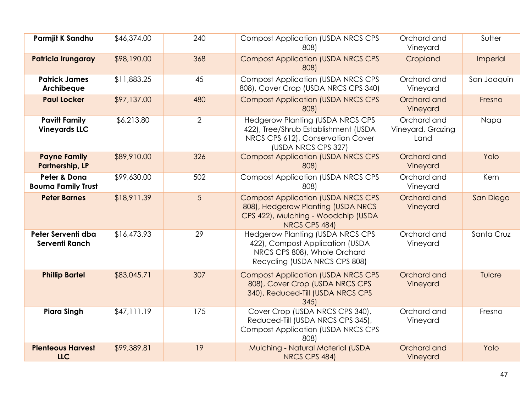| Parmjit K Sandhu                              | \$46,374.00 | 240            | <b>Compost Application (USDA NRCS CPS</b><br>808)                                                                                           | Orchard and<br>Vineyard                  | Sutter      |
|-----------------------------------------------|-------------|----------------|---------------------------------------------------------------------------------------------------------------------------------------------|------------------------------------------|-------------|
| Patricia Irungaray                            | \$98,190.00 | 368            | <b>Compost Application (USDA NRCS CPS</b><br>808)                                                                                           | Cropland                                 | Imperial    |
| <b>Patrick James</b><br>Archibeque            | \$11,883.25 | 45             | <b>Compost Application (USDA NRCS CPS</b><br>808), Cover Crop (USDA NRCS CPS 340)                                                           | Orchard and<br>Vineyard                  | San Joaquin |
| <b>Paul Locker</b>                            | \$97,137.00 | 480            | <b>Compost Application (USDA NRCS CPS</b><br>808)                                                                                           | Orchard and<br>Vineyard                  | Fresno      |
| <b>Pavitt Family</b><br><b>Vineyards LLC</b>  | \$6,213.80  | $\overline{2}$ | <b>Hedgerow Planting (USDA NRCS CPS</b><br>422), Tree/Shrub Establishment (USDA<br>NRCS CPS 612), Conservation Cover<br>(USDA NRCS CPS 327) | Orchard and<br>Vineyard, Grazing<br>Land | Napa        |
| <b>Payne Family</b><br><b>Partnership, LP</b> | \$89,910.00 | 326            | <b>Compost Application (USDA NRCS CPS</b><br>808)                                                                                           | Orchard and<br>Vineyard                  | Yolo        |
| Peter & Dona<br><b>Bouma Family Trust</b>     | \$99,630.00 | 502            | <b>Compost Application (USDA NRCS CPS</b><br>808)                                                                                           | Orchard and<br>Vineyard                  | Kern        |
| <b>Peter Barnes</b>                           | \$18,911.39 | 5              | <b>Compost Application (USDA NRCS CPS</b><br>808), Hedgerow Planting (USDA NRCS<br>CPS 422), Mulching - Woodchip (USDA<br>NRCS CPS 484)     | Orchard and<br>Vineyard                  | San Diego   |
| Peter Serventi dba<br>Serventi Ranch          | \$16,473.93 | 29             | <b>Hedgerow Planting (USDA NRCS CPS</b><br>422), Compost Application (USDA<br>NRCS CPS 808), Whole Orchard<br>Recycling (USDA NRCS CPS 808) | Orchard and<br>Vineyard                  | Santa Cruz  |
| <b>Phillip Bartel</b>                         | \$83,045.71 | 307            | <b>Compost Application (USDA NRCS CPS</b><br>808), Cover Crop (USDA NRCS CPS<br>340), Reduced-Till (USDA NRCS CPS<br>345                    | Orchard and<br>Vineyard                  | Tulare      |
| <b>Piara Singh</b>                            | \$47,111.19 | 175            | Cover Crop (USDA NRCS CPS 340),<br>Reduced-Till (USDA NRCS CPS 345),<br><b>Compost Application (USDA NRCS CPS</b><br>808)                   | Orchard and<br>Vineyard                  | Fresno      |
| <b>Plenteous Harvest</b><br><b>LLC</b>        | \$99,389.81 | 19             | Mulching - Natural Material (USDA<br>NRCS CPS 484)                                                                                          | Orchard and<br>Vineyard                  | Yolo        |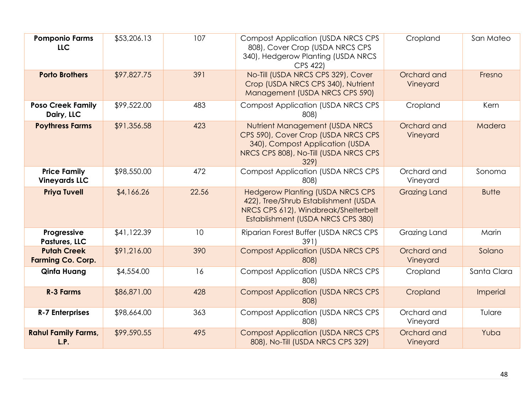| <b>Pomponio Farms</b><br><b>LLC</b>            | \$53,206.13 | 107   | <b>Compost Application (USDA NRCS CPS</b><br>808), Cover Crop (USDA NRCS CPS<br>340), Hedgerow Planting (USDA NRCS<br>CPS 422)                               | Cropland                | San Mateo    |
|------------------------------------------------|-------------|-------|--------------------------------------------------------------------------------------------------------------------------------------------------------------|-------------------------|--------------|
| <b>Porto Brothers</b>                          | \$97,827.75 | 391   | No-Till (USDA NRCS CPS 329), Cover<br>Crop (USDA NRCS CPS 340), Nutrient<br>Management (USDA NRCS CPS 590)                                                   | Orchard and<br>Vineyard | Fresno       |
| <b>Poso Creek Family</b><br>Dairy, LLC         | \$99,522.00 | 483   | <b>Compost Application (USDA NRCS CPS</b><br>808)                                                                                                            | Cropland                | Kern         |
| <b>Poythress Farms</b>                         | \$91,356.58 | 423   | Nutrient Management (USDA NRCS<br>CPS 590), Cover Crop (USDA NRCS CPS<br>340), Compost Application (USDA<br>NRCS CPS 808), No-Till (USDA NRCS CPS<br>329)    | Orchard and<br>Vineyard | Madera       |
| <b>Price Family</b><br><b>Vineyards LLC</b>    | \$98,550.00 | 472   | <b>Compost Application (USDA NRCS CPS</b><br>808)                                                                                                            | Orchard and<br>Vineyard | Sonoma       |
| <b>Priya Tuvell</b>                            | \$4,166.26  | 22.56 | <b>Hedgerow Planting (USDA NRCS CPS</b><br>422), Tree/Shrub Establishment (USDA<br>NRCS CPS 612), Windbreak/Shelterbelt<br>Establishment (USDA NRCS CPS 380) | <b>Grazing Land</b>     | <b>Butte</b> |
| Progressive<br>Pastures, LLC                   | \$41,122.39 | 10    | Riparian Forest Buffer (USDA NRCS CPS<br>391)                                                                                                                | Grazing Land            | Marin        |
| <b>Putah Creek</b><br><b>Farming Co. Corp.</b> | \$91,216.00 | 390   | <b>Compost Application (USDA NRCS CPS</b><br>808)                                                                                                            | Orchard and<br>Vineyard | Solano       |
| Qinfa Huang                                    | \$4,554.00  | 16    | <b>Compost Application (USDA NRCS CPS</b><br>808)                                                                                                            | Cropland                | Santa Clara  |
| <b>R-3 Farms</b>                               | \$86,871.00 | 428   | <b>Compost Application (USDA NRCS CPS</b><br>808)                                                                                                            | Cropland                | Imperial     |
| <b>R-7 Enterprises</b>                         | \$98,664.00 | 363   | <b>Compost Application (USDA NRCS CPS</b><br>808)                                                                                                            | Orchard and<br>Vineyard | Tulare       |
| <b>Rahul Family Farms,</b><br>L.P.             | \$99,590.55 | 495   | <b>Compost Application (USDA NRCS CPS</b><br>808), No-Till (USDA NRCS CPS 329)                                                                               | Orchard and<br>Vineyard | Yuba         |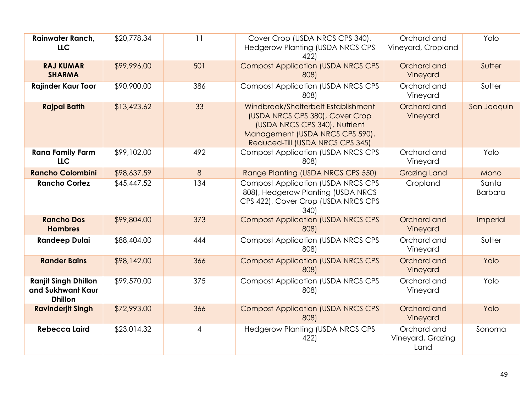| Rainwater Ranch,<br><b>LLC</b>                                     | \$20,778.34 | 11             | Cover Crop (USDA NRCS CPS 340),<br><b>Hedgerow Planting (USDA NRCS CPS</b><br>422)                                                                                             | Orchard and<br>Vineyard, Cropland        | Yolo                    |
|--------------------------------------------------------------------|-------------|----------------|--------------------------------------------------------------------------------------------------------------------------------------------------------------------------------|------------------------------------------|-------------------------|
| <b>RAJ KUMAR</b><br><b>SHARMA</b>                                  | \$99,996.00 | 501            | <b>Compost Application (USDA NRCS CPS</b><br>808)                                                                                                                              | Orchard and<br>Vineyard                  | Sutter                  |
| <b>Rajinder Kaur Toor</b>                                          | \$90,900.00 | 386            | <b>Compost Application (USDA NRCS CPS</b><br>808)                                                                                                                              | Orchard and<br>Vineyard                  | Sutter                  |
| <b>Rajpal Batth</b>                                                | \$13,423.62 | 33             | Windbreak/Shelterbelt Establishment<br>(USDA NRCS CPS 380), Cover Crop<br>(USDA NRCS CPS 340), Nutrient<br>Management (USDA NRCS CPS 590),<br>Reduced-Till (USDA NRCS CPS 345) | Orchard and<br>Vineyard                  | San Joaquin             |
| <b>Rana Family Farm</b><br><b>LLC</b>                              | \$99,102.00 | 492            | <b>Compost Application (USDA NRCS CPS</b><br>808)                                                                                                                              | Orchard and<br>Vineyard                  | Yolo                    |
| <b>Rancho Colombini</b>                                            | \$98,637.59 | 8              | Range Planting (USDA NRCS CPS 550)                                                                                                                                             | <b>Grazing Land</b>                      | Mono                    |
| <b>Rancho Cortez</b>                                               | \$45,447.52 | 134            | <b>Compost Application (USDA NRCS CPS</b><br>808), Hedgerow Planting (USDA NRCS<br>CPS 422), Cover Crop (USDA NRCS CPS<br>340)                                                 | Cropland                                 | Santa<br><b>Barbara</b> |
| <b>Rancho Dos</b><br><b>Hombres</b>                                | \$99,804.00 | 373            | <b>Compost Application (USDA NRCS CPS</b><br>808)                                                                                                                              | Orchard and<br>Vineyard                  | Imperial                |
| <b>Randeep Dulai</b>                                               | \$88,404.00 | 444            | <b>Compost Application (USDA NRCS CPS</b><br>808)                                                                                                                              | Orchard and<br>Vineyard                  | Sutter                  |
| <b>Rander Bains</b>                                                | \$98,142.00 | 366            | <b>Compost Application (USDA NRCS CPS)</b><br>808)                                                                                                                             | Orchard and<br>Vineyard                  | Yolo                    |
| <b>Ranjit Singh Dhillon</b><br>and Sukhwant Kaur<br><b>Dhillon</b> | \$99,570.00 | 375            | <b>Compost Application (USDA NRCS CPS</b><br>808)                                                                                                                              | Orchard and<br>Vineyard                  | Yolo                    |
| <b>Ravinderjit Singh</b>                                           | \$72,993.00 | 366            | <b>Compost Application (USDA NRCS CPS</b><br>808)                                                                                                                              | Orchard and<br>Vineyard                  | Yolo                    |
| <b>Rebecca Laird</b>                                               | \$23,014.32 | $\overline{4}$ | <b>Hedgerow Planting (USDA NRCS CPS</b><br>422)                                                                                                                                | Orchard and<br>Vineyard, Grazing<br>Land | Sonoma                  |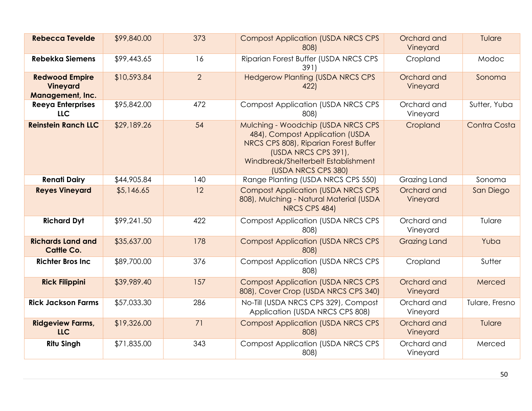| <b>Rebecca Tevelde</b>                                       | \$99,840.00 | 373            | <b>Compost Application (USDA NRCS CPS</b><br>808)                                                                                                                                                    | Orchard and<br>Vineyard | Tulare         |
|--------------------------------------------------------------|-------------|----------------|------------------------------------------------------------------------------------------------------------------------------------------------------------------------------------------------------|-------------------------|----------------|
| <b>Rebekka Siemens</b>                                       | \$99,443.65 | 16             | Riparian Forest Buffer (USDA NRCS CPS<br>391)                                                                                                                                                        | Cropland                | Modoc          |
| <b>Redwood Empire</b><br><b>Vineyard</b><br>Management, Inc. | \$10,593.84 | $\overline{2}$ | <b>Hedgerow Planting (USDA NRCS CPS</b><br>422)                                                                                                                                                      | Orchard and<br>Vineyard | Sonoma         |
| <b>Reeya Enterprises</b><br><b>LLC</b>                       | \$95,842.00 | 472            | <b>Compost Application (USDA NRCS CPS)</b><br>808)                                                                                                                                                   | Orchard and<br>Vineyard | Sutter, Yuba   |
| <b>Reinstein Ranch LLC</b>                                   | \$29,189.26 | 54             | Mulching - Woodchip (USDA NRCS CPS<br>484), Compost Application (USDA<br>NRCS CPS 808), Riparian Forest Buffer<br>(USDA NRCS CPS 391),<br>Windbreak/Shelterbelt Establishment<br>(USDA NRCS CPS 380) | Cropland                | Contra Costa   |
| <b>Renati Dairy</b>                                          | \$44,905.84 | 140            | Range Planting (USDA NRCS CPS 550)                                                                                                                                                                   | Grazing Land            | Sonoma         |
| <b>Reyes Vineyard</b>                                        | \$5,146.65  | 12             | <b>Compost Application (USDA NRCS CPS)</b><br>808), Mulching - Natural Material (USDA<br>NRCS CPS 484)                                                                                               | Orchard and<br>Vineyard | San Diego      |
| <b>Richard Dyt</b>                                           | \$99,241.50 | 422            | <b>Compost Application (USDA NRCS CPS)</b><br>808)                                                                                                                                                   | Orchard and<br>Vineyard | Tulare         |
| <b>Richards Land and</b><br><b>Cattle Co.</b>                | \$35,637.00 | 178            | <b>Compost Application (USDA NRCS CPS</b><br>808)                                                                                                                                                    | <b>Grazing Land</b>     | Yuba           |
| <b>Richter Bros Inc</b>                                      | \$89,700.00 | 376            | <b>Compost Application (USDA NRCS CPS)</b><br>808)                                                                                                                                                   | Cropland                | Sutter         |
| <b>Rick Filippini</b>                                        | \$39,989.40 | 157            | <b>Compost Application (USDA NRCS CPS)</b><br>808), Cover Crop (USDA NRCS CPS 340)                                                                                                                   | Orchard and<br>Vineyard | Merced         |
| <b>Rick Jackson Farms</b>                                    | \$57,033.30 | 286            | No-Till (USDA NRCS CPS 329), Compost<br>Application (USDA NRCS CPS 808)                                                                                                                              | Orchard and<br>Vineyard | Tulare, Fresno |
| <b>Ridgeview Farms,</b><br><b>LLC</b>                        | \$19,326.00 | 71             | <b>Compost Application (USDA NRCS CPS</b><br>808)                                                                                                                                                    | Orchard and<br>Vineyard | Tulare         |
| <b>Ritu Singh</b>                                            | \$71,835.00 | 343            | <b>Compost Application (USDA NRCS CPS)</b><br>808)                                                                                                                                                   | Orchard and<br>Vineyard | Merced         |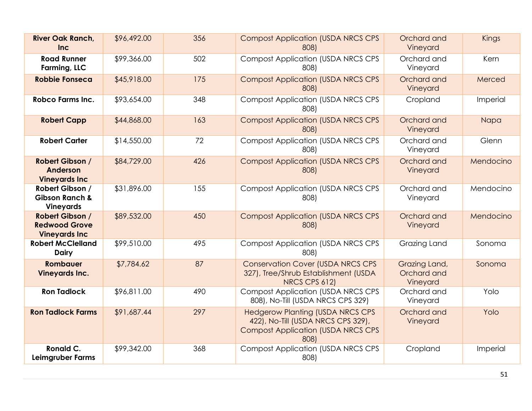| <b>River Oak Ranch,</b><br><b>Inc</b>                            | \$96,492.00 | 356 | <b>Compost Application (USDA NRCS CPS</b><br>808)                                                                                  | Orchard and<br>Vineyard                  | Kings     |
|------------------------------------------------------------------|-------------|-----|------------------------------------------------------------------------------------------------------------------------------------|------------------------------------------|-----------|
| <b>Road Runner</b><br>Farming, LLC                               | \$99,366.00 | 502 | <b>Compost Application (USDA NRCS CPS</b><br>808)                                                                                  | Orchard and<br>Vineyard                  | Kern      |
| <b>Robbie Fonseca</b>                                            | \$45,918.00 | 175 | <b>Compost Application (USDA NRCS CPS</b><br>808)                                                                                  | Orchard and<br>Vineyard                  | Merced    |
| <b>Robco Farms Inc.</b>                                          | \$93,654.00 | 348 | <b>Compost Application (USDA NRCS CPS)</b><br>808)                                                                                 | Cropland                                 | Imperial  |
| <b>Robert Capp</b>                                               | \$44,868.00 | 163 | <b>Compost Application (USDA NRCS CPS</b><br>808)                                                                                  | Orchard and<br>Vineyard                  | Napa      |
| <b>Robert Carter</b>                                             | \$14,550.00 | 72  | <b>Compost Application (USDA NRCS CPS</b><br>808)                                                                                  | Orchard and<br>Vineyard                  | Glenn     |
| Robert Gibson /<br>Anderson<br><b>Vineyards Inc</b>              | \$84,729.00 | 426 | <b>Compost Application (USDA NRCS CPS</b><br>808)                                                                                  | Orchard and<br>Vineyard                  | Mendocino |
| Robert Gibson /<br><b>Gibson Ranch &amp;</b><br><b>Vineyards</b> | \$31,896.00 | 155 | <b>Compost Application (USDA NRCS CPS</b><br>808)                                                                                  | Orchard and<br>Vineyard                  | Mendocino |
| Robert Gibson /<br><b>Redwood Grove</b><br><b>Vineyards Inc</b>  | \$89,532.00 | 450 | <b>Compost Application (USDA NRCS CPS</b><br>808)                                                                                  | Orchard and<br>Vineyard                  | Mendocino |
| <b>Robert McClelland</b><br><b>Dairy</b>                         | \$99,510.00 | 495 | <b>Compost Application (USDA NRCS CPS</b><br>808)                                                                                  | Grazing Land                             | Sonoma    |
| <b>Rombauer</b><br><b>Vineyards Inc.</b>                         | \$7,784.62  | 87  | <b>Conservation Cover (USDA NRCS CPS</b><br>327), Tree/Shrub Establishment (USDA<br>NRCS CPS 612)                                  | Grazing Land,<br>Orchard and<br>Vineyard | Sonoma    |
| <b>Ron Tadlock</b>                                               | \$96,811.00 | 490 | <b>Compost Application (USDA NRCS CPS</b><br>808), No-Till (USDA NRCS CPS 329)                                                     | Orchard and<br>Vineyard                  | Yolo      |
| <b>Ron Tadlock Farms</b>                                         | \$91,687.44 | 297 | <b>Hedgerow Planting (USDA NRCS CPS</b><br>422), No-Till (USDA NRCS CPS 329),<br><b>Compost Application (USDA NRCS CPS</b><br>808) | Orchard and<br>Vineyard                  | Yolo      |
| Ronald C.<br>Leimgruber Farms                                    | \$99,342.00 | 368 | <b>Compost Application (USDA NRCS CPS</b><br>808)                                                                                  | Cropland                                 | Imperial  |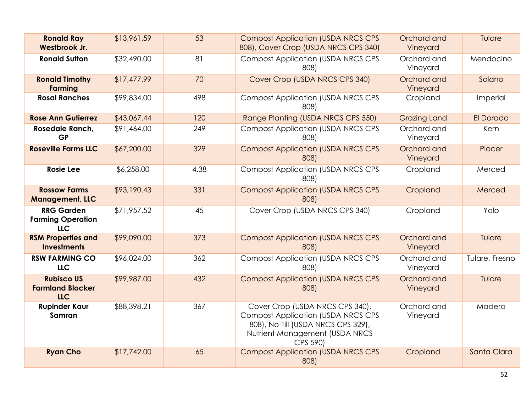| <b>Ronald Ray</b><br>Westbrook Jr.                          | \$13,961.59 | 53   | <b>Compost Application (USDA NRCS CPS</b><br>808), Cover Crop (USDA NRCS CPS 340)                                                                                 | Orchard and<br>Vineyard | Tulare         |
|-------------------------------------------------------------|-------------|------|-------------------------------------------------------------------------------------------------------------------------------------------------------------------|-------------------------|----------------|
| <b>Ronald Sutton</b>                                        | \$32,490.00 | 81   | <b>Compost Application (USDA NRCS CPS)</b><br>808)                                                                                                                | Orchard and<br>Vineyard | Mendocino      |
| <b>Ronald Timothy</b><br><b>Farming</b>                     | \$17,477.99 | 70   | Cover Crop (USDA NRCS CPS 340)                                                                                                                                    | Orchard and<br>Vineyard | Solano         |
| <b>Rosal Ranches</b>                                        | \$99,834.00 | 498  | <b>Compost Application (USDA NRCS CPS)</b><br>808)                                                                                                                | Cropland                | Imperial       |
| <b>Rose Ann Gutierrez</b>                                   | \$43,067.44 | 120  | Range Planting (USDA NRCS CPS 550)                                                                                                                                | <b>Grazing Land</b>     | El Dorado      |
| Rosedale Ranch,<br><b>GP</b>                                | \$91,464.00 | 249  | <b>Compost Application (USDA NRCS CPS</b><br>808)                                                                                                                 | Orchard and<br>Vineyard | Kern           |
| <b>Roseville Farms LLC</b>                                  | \$67,200.00 | 329  | <b>Compost Application (USDA NRCS CPS</b><br>808)                                                                                                                 | Orchard and<br>Vineyard | Placer         |
| <b>Rosie Lee</b>                                            | \$6,258.00  | 4.38 | <b>Compost Application (USDA NRCS CPS</b><br>808)                                                                                                                 | Cropland                | Merced         |
| <b>Rossow Farms</b><br><b>Management, LLC</b>               | \$93,190.43 | 331  | <b>Compost Application (USDA NRCS CPS</b><br>808)                                                                                                                 | Cropland                | Merced         |
| <b>RRG Garden</b><br><b>Farming Operation</b><br><b>LLC</b> | \$71,957.52 | 45   | Cover Crop (USDA NRCS CPS 340)                                                                                                                                    | Cropland                | Yolo           |
| <b>RSM Properties and</b><br><b>Investments</b>             | \$99,090.00 | 373  | <b>Compost Application (USDA NRCS CPS</b><br>808)                                                                                                                 | Orchard and<br>Vineyard | Tulare         |
| <b>RSW FARMING CO</b><br><b>LLC</b>                         | \$96,024.00 | 362  | <b>Compost Application (USDA NRCS CPS</b><br>808)                                                                                                                 | Orchard and<br>Vineyard | Tulare, Fresno |
| <b>Rubisco US</b><br><b>Farmland Blocker</b><br><b>LLC</b>  | \$99,987.00 | 432  | <b>Compost Application (USDA NRCS CPS</b><br>808)                                                                                                                 | Orchard and<br>Vineyard | Tulare         |
| <b>Rupinder Kaur</b><br>Samran                              | \$88,398.21 | 367  | Cover Crop (USDA NRCS CPS 340),<br><b>Compost Application (USDA NRCS CPS)</b><br>808), No-Till (USDA NRCS CPS 329),<br>Nutrient Management (USDA NRCS<br>CPS 590) | Orchard and<br>Vineyard | Madera         |
| <b>Ryan Cho</b>                                             | \$17,742.00 | 65   | <b>Compost Application (USDA NRCS CPS</b><br>808)                                                                                                                 | Cropland                | Santa Clara    |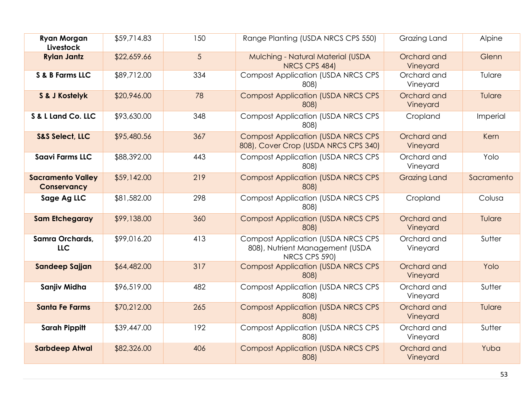| <b>Ryan Morgan</b><br>Livestock         | \$59,714.83 | 150 | Range Planting (USDA NRCS CPS 550)                                                            | Grazing Land            | Alpine     |
|-----------------------------------------|-------------|-----|-----------------------------------------------------------------------------------------------|-------------------------|------------|
| <b>Rylan Jantz</b>                      | \$22,659.66 | 5   | Mulching - Natural Material (USDA<br>NRCS CPS 484)                                            | Orchard and<br>Vineyard | Glenn      |
| S & B Farms LLC                         | \$89,712.00 | 334 | <b>Compost Application (USDA NRCS CPS</b><br>808)                                             | Orchard and<br>Vineyard | Tulare     |
| S & J Kostelyk                          | \$20,946.00 | 78  | <b>Compost Application (USDA NRCS CPS</b><br>808)                                             | Orchard and<br>Vineyard | Tulare     |
| S & L Land Co. LLC                      | \$93,630.00 | 348 | <b>Compost Application (USDA NRCS CPS)</b><br>808)                                            | Cropland                | Imperial   |
| <b>S&amp;S Select, LLC</b>              | \$95,480.56 | 367 | <b>Compost Application (USDA NRCS CPS</b><br>808), Cover Crop (USDA NRCS CPS 340)             | Orchard and<br>Vineyard | Kern       |
| <b>Saavi Farms LLC</b>                  | \$88,392.00 | 443 | <b>Compost Application (USDA NRCS CPS</b><br>808)                                             | Orchard and<br>Vineyard | Yolo       |
| <b>Sacramento Valley</b><br>Conservancy | \$59,142.00 | 219 | <b>Compost Application (USDA NRCS CPS</b><br>808)                                             | <b>Grazing Land</b>     | Sacramento |
| Sage Ag LLC                             | \$81,582.00 | 298 | <b>Compost Application (USDA NRCS CPS</b><br>808)                                             | Cropland                | Colusa     |
| <b>Sam Etchegaray</b>                   | \$99,138.00 | 360 | <b>Compost Application (USDA NRCS CPS)</b><br>808)                                            | Orchard and<br>Vineyard | Tulare     |
| Samra Orchards,<br><b>LLC</b>           | \$99,016.20 | 413 | <b>Compost Application (USDA NRCS CPS</b><br>808), Nutrient Management (USDA<br>NRCS CPS 590) | Orchard and<br>Vineyard | Sutter     |
| Sandeep Sajjan                          | \$64,482.00 | 317 | <b>Compost Application (USDA NRCS CPS</b><br>808)                                             | Orchard and<br>Vineyard | Yolo       |
| Sanjiv Midha                            | \$96,519.00 | 482 | <b>Compost Application (USDA NRCS CPS</b><br>808)                                             | Orchard and<br>Vineyard | Sutter     |
| <b>Santa Fe Farms</b>                   | \$70,212.00 | 265 | <b>Compost Application (USDA NRCS CPS</b><br>808)                                             | Orchard and<br>Vineyard | Tulare     |
| <b>Sarah Pippitt</b>                    | \$39,447.00 | 192 | <b>Compost Application (USDA NRCS CPS</b><br>808)                                             | Orchard and<br>Vineyard | Sutter     |
| <b>Sarbdeep Atwal</b>                   | \$82,326.00 | 406 | <b>Compost Application (USDA NRCS CPS</b><br>808)                                             | Orchard and<br>Vineyard | Yuba       |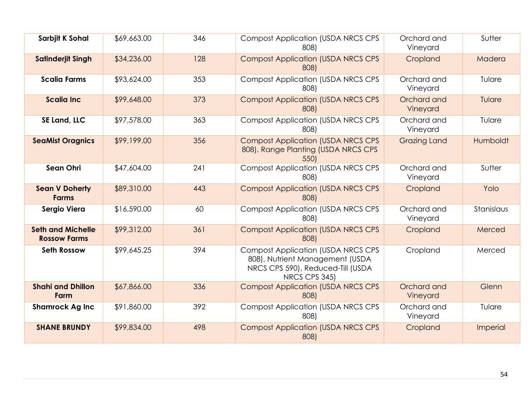| Sarbjit K Sohal                                 | \$69,663.00 | 346 | <b>Compost Application (USDA NRCS CPS</b><br>808)                                                                                   | Orchard and<br>Vineyard | Sutter     |
|-------------------------------------------------|-------------|-----|-------------------------------------------------------------------------------------------------------------------------------------|-------------------------|------------|
| <b>Satinderjit Singh</b>                        | \$34,236.00 | 128 | <b>Compost Application (USDA NRCS CPS</b><br>808)                                                                                   | Cropland                | Madera     |
| <b>Scalia Farms</b>                             | \$93,624.00 | 353 | <b>Compost Application (USDA NRCS CPS</b><br>808)                                                                                   | Orchard and<br>Vineyard | Tulare     |
| <b>Scalia Inc.</b>                              | \$99,648.00 | 373 | <b>Compost Application (USDA NRCS CPS</b><br>808)                                                                                   | Orchard and<br>Vineyard | Tulare     |
| SE Land, LLC                                    | \$97,578.00 | 363 | <b>Compost Application (USDA NRCS CPS</b><br>808)                                                                                   | Orchard and<br>Vineyard | Tulare     |
| <b>SeaMist Oragnics</b>                         | \$99,199.00 | 356 | <b>Compost Application (USDA NRCS CPS)</b><br>808), Range Planting (USDA NRCS CPS<br>550)                                           | <b>Grazing Land</b>     | Humboldt   |
| Sean Ohri                                       | \$47,604.00 | 241 | <b>Compost Application (USDA NRCS CPS</b><br>808)                                                                                   | Orchard and<br>Vineyard | Sutter     |
| <b>Sean V Doherty</b><br><b>Farms</b>           | \$89,310.00 | 443 | <b>Compost Application (USDA NRCS CPS</b><br>808)                                                                                   | Cropland                | Yolo       |
| Sergio Viera                                    | \$16,590.00 | 60  | <b>Compost Application (USDA NRCS CPS</b><br>808)                                                                                   | Orchard and<br>Vineyard | Stanislaus |
| <b>Seth and Michelle</b><br><b>Rossow Farms</b> | \$99,312.00 | 361 | <b>Compost Application (USDA NRCS CPS</b><br>808)                                                                                   | Cropland                | Merced     |
| <b>Seth Rossow</b>                              | \$99,645.25 | 394 | <b>Compost Application (USDA NRCS CPS)</b><br>808), Nutrient Management (USDA<br>NRCS CPS 590), Reduced-Till (USDA<br>NRCS CPS 345) | Cropland                | Merced     |
| <b>Shahi and Dhillon</b><br>Farm                | \$67,866.00 | 336 | <b>Compost Application (USDA NRCS CPS</b><br>808)                                                                                   | Orchard and<br>Vineyard | Glenn      |
| <b>Shamrock Ag Inc</b>                          | \$91,860.00 | 392 | <b>Compost Application (USDA NRCS CPS)</b><br>808)                                                                                  | Orchard and<br>Vineyard | Tulare     |
| <b>SHANE BRUNDY</b>                             | \$99,834.00 | 498 | <b>Compost Application (USDA NRCS CPS</b><br>808)                                                                                   | Cropland                | Imperial   |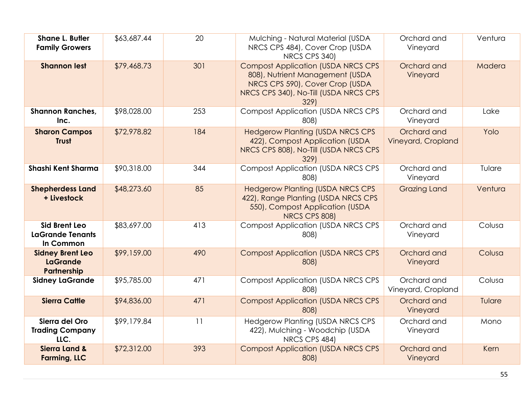| <b>Shane L. Butler</b><br><b>Family Growers</b>              | \$63,687.44 | 20  | Mulching - Natural Material (USDA<br>NRCS CPS 484), Cover Crop (USDA<br>NRCS CPS 340)                                                                            | Orchard and<br>Vineyard           | Ventura |
|--------------------------------------------------------------|-------------|-----|------------------------------------------------------------------------------------------------------------------------------------------------------------------|-----------------------------------|---------|
| <b>Shannon lest</b>                                          | \$79,468.73 | 301 | <b>Compost Application (USDA NRCS CPS</b><br>808), Nutrient Management (USDA<br>NRCS CPS 590), Cover Crop (USDA<br>NRCS CPS 340), No-Till (USDA NRCS CPS<br>329) | Orchard and<br>Vineyard           | Madera  |
| <b>Shannon Ranches,</b><br>Inc.                              | \$98,028.00 | 253 | <b>Compost Application (USDA NRCS CPS</b><br>808)                                                                                                                | Orchard and<br>Vineyard           | Lake    |
| <b>Sharon Campos</b><br><b>Trust</b>                         | \$72,978.82 | 184 | <b>Hedgerow Planting (USDA NRCS CPS</b><br>422), Compost Application (USDA<br>NRCS CPS 808), No-Till (USDA NRCS CPS<br>329)                                      | Orchard and<br>Vineyard, Cropland | Yolo    |
| <b>Shashi Kent Sharma</b>                                    | \$90,318.00 | 344 | <b>Compost Application (USDA NRCS CPS</b><br>808)                                                                                                                | Orchard and<br>Vineyard           | Tulare  |
| <b>Shepherdess Land</b><br>+ Livestock                       | \$48,273.60 | 85  | <b>Hedgerow Planting (USDA NRCS CPS</b><br>422), Range Planting (USDA NRCS CPS<br>550), Compost Application (USDA<br>NRCS CPS 808)                               | <b>Grazing Land</b>               | Ventura |
| <b>Sid Brent Leo</b><br><b>LaGrande Tenants</b><br>In Common | \$83,697.00 | 413 | <b>Compost Application (USDA NRCS CPS</b><br>808)                                                                                                                | Orchard and<br>Vineyard           | Colusa  |
| <b>Sidney Brent Leo</b><br><b>LaGrande</b><br>Partnership    | \$99,159.00 | 490 | <b>Compost Application (USDA NRCS CPS</b><br>808)                                                                                                                | Orchard and<br>Vineyard           | Colusa  |
| <b>Sidney LaGrande</b>                                       | \$95,785.00 | 471 | <b>Compost Application (USDA NRCS CPS</b><br>808)                                                                                                                | Orchard and<br>Vineyard, Cropland | Colusa  |
| <b>Sierra Cattle</b>                                         | \$94,836.00 | 471 | <b>Compost Application (USDA NRCS CPS</b><br>808)                                                                                                                | Orchard and<br>Vineyard           | Tulare  |
| Sierra del Oro<br><b>Trading Company</b><br>LLC.             | \$99,179.84 | 11  | <b>Hedgerow Planting (USDA NRCS CPS</b><br>422), Mulching - Woodchip (USDA<br>NRCS CPS 484)                                                                      | Orchard and<br>Vineyard           | Mono    |
| <b>Sierra Land &amp;</b><br><b>Farming, LLC</b>              | \$72,312.00 | 393 | <b>Compost Application (USDA NRCS CPS</b><br>808)                                                                                                                | Orchard and<br>Vineyard           | Kern    |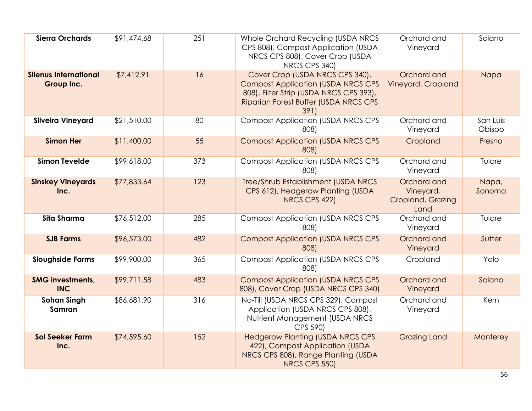| <b>Sierra Orchards</b>                     | \$91,474.68 | 251 | Whole Orchard Recycling (USDA NRCS<br>CPS 808), Compost Application (USDA<br>NRCS CPS 808), Cover Crop (USDA<br>NRCS CPS 340)                                            | Orchard and<br>Vineyard                               | Solano             |
|--------------------------------------------|-------------|-----|--------------------------------------------------------------------------------------------------------------------------------------------------------------------------|-------------------------------------------------------|--------------------|
| <b>Silenus International</b><br>Group Inc. | \$7,412.91  | 16  | Cover Crop (USDA NRCS CPS 340),<br><b>Compost Application (USDA NRCS CPS</b><br>808), Filter Strip (USDA NRCS CPS 393),<br>Riparian Forest Buffer (USDA NRCS CPS<br>391) | Orchard and<br>Vineyard, Cropland                     | Napa               |
| <b>Silveira Vineyard</b>                   | \$21,510.00 | 80  | <b>Compost Application (USDA NRCS CPS</b><br>808)                                                                                                                        | Orchard and<br>Vineyard                               | San Luis<br>Obispo |
| <b>Simon Her</b>                           | \$11,400.00 | 55  | <b>Compost Application (USDA NRCS CPS</b><br>808)                                                                                                                        | Cropland                                              | Fresno             |
| <b>Simon Tevelde</b>                       | \$99,618.00 | 373 | <b>Compost Application (USDA NRCS CPS</b><br>808)                                                                                                                        | Orchard and<br>Vineyard                               | Tulare             |
| <b>Sinskey Vineyards</b><br>Inc.           | \$77,833.64 | 123 | Tree/Shrub Establishment (USDA NRCS<br>CPS 612), Hedgerow Planting (USDA<br>NRCS CPS 422)                                                                                | Orchard and<br>Vineyard,<br>Cropland, Grazing<br>Land | Napa,<br>Sonoma    |
| Sita Sharma                                | \$76,512.00 | 285 | <b>Compost Application (USDA NRCS CPS)</b><br>808)                                                                                                                       | Orchard and<br>Vineyard                               | Tulare             |
| <b>SJB Farms</b>                           | \$96,573.00 | 482 | <b>Compost Application (USDA NRCS CPS</b><br>808)                                                                                                                        | Orchard and<br>Vineyard                               | Sutter             |
| <b>Sloughside Farms</b>                    | \$99,900.00 | 365 | <b>Compost Application (USDA NRCS CPS</b><br>808)                                                                                                                        | Cropland                                              | Yolo               |
| <b>SMG investments,</b><br><b>INC</b>      | \$99,711.58 | 483 | <b>Compost Application (USDA NRCS CPS</b><br>808), Cover Crop (USDA NRCS CPS 340)                                                                                        | Orchard and<br>Vineyard                               | Solano             |
| <b>Sohan Singh</b><br>Samran               | \$86,681.90 | 316 | No-Till (USDA NRCS CPS 329), Compost<br>Application (USDA NRCS CPS 808),<br>Nutrient Management (USDA NRCS<br>CPS 590)                                                   | Orchard and<br>Vineyard                               | Kern               |
| <b>Sol Seeker Farm</b><br>Inc.             | \$74,595.60 | 152 | <b>Hedgerow Planting (USDA NRCS CPS</b><br>422), Compost Application (USDA<br>NRCS CPS 808), Range Planting (USDA<br>NRCS CPS 550)                                       | <b>Grazing Land</b>                                   | Monterey           |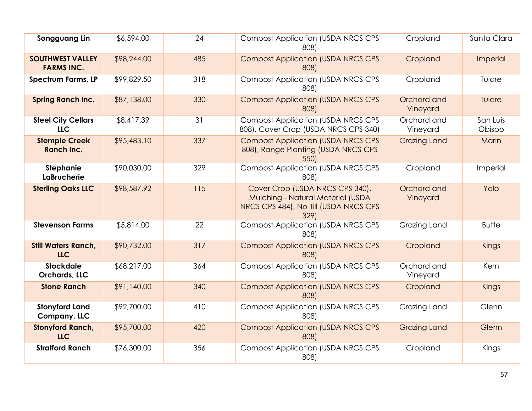| Songguang Lin                                | \$6,594.00  | 24  | <b>Compost Application (USDA NRCS CPS</b><br>808)                                                                     | Cropland                | Santa Clara        |
|----------------------------------------------|-------------|-----|-----------------------------------------------------------------------------------------------------------------------|-------------------------|--------------------|
| <b>SOUTHWEST VALLEY</b><br><b>FARMS INC.</b> | \$98,244.00 | 485 | <b>Compost Application (USDA NRCS CPS)</b><br>808)                                                                    | Cropland                | Imperial           |
| <b>Spectrum Farms, LP</b>                    | \$99,829.50 | 318 | <b>Compost Application (USDA NRCS CPS)</b><br>808)                                                                    | Cropland                | Tulare             |
| <b>Spring Ranch Inc.</b>                     | \$87,138.00 | 330 | <b>Compost Application (USDA NRCS CPS</b><br>808)                                                                     | Orchard and<br>Vineyard | Tulare             |
| <b>Steel City Cellars</b><br><b>LLC</b>      | \$8,417.39  | 31  | <b>Compost Application (USDA NRCS CPS</b><br>808), Cover Crop (USDA NRCS CPS 340)                                     | Orchard and<br>Vineyard | San Luis<br>Obispo |
| <b>Stemple Creek</b><br><b>Ranch Inc.</b>    | \$95,483.10 | 337 | <b>Compost Application (USDA NRCS CPS)</b><br>808), Range Planting (USDA NRCS CPS<br>550)                             | <b>Grazing Land</b>     | Marin              |
| <b>Stephanie</b><br><b>LaBrucherie</b>       | \$90,030.00 | 329 | <b>Compost Application (USDA NRCS CPS</b><br>808)                                                                     | Cropland                | Imperial           |
| <b>Sterling Oaks LLC</b>                     | \$98,587.92 | 115 | Cover Crop (USDA NRCS CPS 340),<br>Mulching - Natural Material (USDA<br>NRCS CPS 484), No-Till (USDA NRCS CPS<br>329) | Orchard and<br>Vineyard | Yolo               |
| <b>Stevenson Farms</b>                       | \$5,814.00  | 22  | <b>Compost Application (USDA NRCS CPS</b><br>808)                                                                     | Grazing Land            | <b>Butte</b>       |
| <b>Still Waters Ranch,</b><br><b>LLC</b>     | \$90,732.00 | 317 | <b>Compost Application (USDA NRCS CPS)</b><br>808)                                                                    | Cropland                | Kings              |
| <b>Stockdale</b><br>Orchards, LLC            | \$68,217.00 | 364 | <b>Compost Application (USDA NRCS CPS)</b><br>808)                                                                    | Orchard and<br>Vineyard | Kern               |
| <b>Stone Ranch</b>                           | \$91,140.00 | 340 | <b>Compost Application (USDA NRCS CPS</b><br>808)                                                                     | Cropland                | Kings              |
| <b>Stonyford Land</b><br>Company, LLC        | \$92,700.00 | 410 | <b>Compost Application (USDA NRCS CPS</b><br>808)                                                                     | Grazing Land            | Glenn              |
| <b>Stonyford Ranch,</b><br><b>LLC</b>        | \$95,700.00 | 420 | <b>Compost Application (USDA NRCS CPS</b><br>808)                                                                     | <b>Grazing Land</b>     | Glenn              |
| <b>Stratford Ranch</b>                       | \$76,300.00 | 356 | <b>Compost Application (USDA NRCS CPS</b><br>808)                                                                     | Cropland                | Kings              |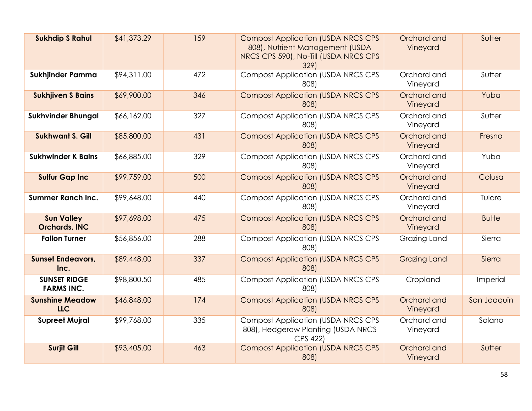| <b>Sukhdip S Rahul</b>                    | \$41,373.29 | 159 | <b>Compost Application (USDA NRCS CPS)</b><br>808), Nutrient Management (USDA<br>NRCS CPS 590), No-Till (USDA NRCS CPS<br>329) | Orchard and<br>Vineyard | Sutter       |
|-------------------------------------------|-------------|-----|--------------------------------------------------------------------------------------------------------------------------------|-------------------------|--------------|
| Sukhjinder Pamma                          | \$94,311.00 | 472 | <b>Compost Application (USDA NRCS CPS</b><br>808)                                                                              | Orchard and<br>Vineyard | Sutter       |
| <b>Sukhjiven S Bains</b>                  | \$69,900.00 | 346 | <b>Compost Application (USDA NRCS CPS</b><br>808)                                                                              | Orchard and<br>Vineyard | Yuba         |
| <b>Sukhvinder Bhungal</b>                 | \$66,162.00 | 327 | <b>Compost Application (USDA NRCS CPS</b><br>808)                                                                              | Orchard and<br>Vineyard | Sutter       |
| <b>Sukhwant S. Gill</b>                   | \$85,800.00 | 431 | <b>Compost Application (USDA NRCS CPS</b><br>808)                                                                              | Orchard and<br>Vineyard | Fresno       |
| <b>Sukhwinder K Bains</b>                 | \$66,885.00 | 329 | <b>Compost Application (USDA NRCS CPS</b><br>808)                                                                              | Orchard and<br>Vineyard | Yuba         |
| <b>Sulfur Gap Inc</b>                     | \$99,759.00 | 500 | <b>Compost Application (USDA NRCS CPS</b><br>808)                                                                              | Orchard and<br>Vineyard | Colusa       |
| <b>Summer Ranch Inc.</b>                  | \$99,648.00 | 440 | <b>Compost Application (USDA NRCS CPS</b><br>808)                                                                              | Orchard and<br>Vineyard | Tulare       |
| <b>Sun Valley</b><br><b>Orchards, INC</b> | \$97,698.00 | 475 | <b>Compost Application (USDA NRCS CPS</b><br>808)                                                                              | Orchard and<br>Vineyard | <b>Butte</b> |
| <b>Fallon Turner</b>                      | \$56,856.00 | 288 | <b>Compost Application (USDA NRCS CPS</b><br>808)                                                                              | Grazing Land            | Sierra       |
| <b>Sunset Endeavors,</b><br>Inc.          | \$89,448.00 | 337 | <b>Compost Application (USDA NRCS CPS</b><br>808)                                                                              | <b>Grazing Land</b>     | Sierra       |
| <b>SUNSET RIDGE</b><br><b>FARMS INC.</b>  | \$98,800.50 | 485 | <b>Compost Application (USDA NRCS CPS</b><br>808)                                                                              | Cropland                | Imperial     |
| <b>Sunshine Meadow</b><br><b>LLC</b>      | \$46,848.00 | 174 | <b>Compost Application (USDA NRCS CPS</b><br>808)                                                                              | Orchard and<br>Vineyard | San Joaquin  |
| <b>Supreet Mujral</b>                     | \$99,768.00 | 335 | <b>Compost Application (USDA NRCS CPS)</b><br>808), Hedgerow Planting (USDA NRCS<br>CPS 422)                                   | Orchard and<br>Vineyard | Solano       |
| <b>Surjit Gill</b>                        | \$93,405.00 | 463 | <b>Compost Application (USDA NRCS CPS</b><br>808)                                                                              | Orchard and<br>Vineyard | Sutter       |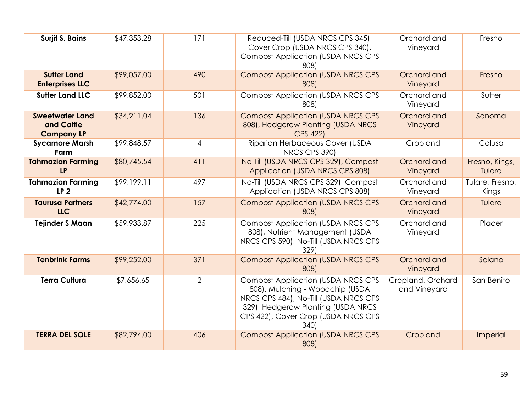| <b>Surjit S. Bains</b>                                    | \$47,353.28 | 171            | Reduced-Till (USDA NRCS CPS 345),<br>Cover Crop (USDA NRCS CPS 340),<br><b>Compost Application (USDA NRCS CPS</b><br>808)                                                                                   | Orchard and<br>Vineyard           | Fresno                   |
|-----------------------------------------------------------|-------------|----------------|-------------------------------------------------------------------------------------------------------------------------------------------------------------------------------------------------------------|-----------------------------------|--------------------------|
| <b>Sutter Land</b><br><b>Enterprises LLC</b>              | \$99,057.00 | 490            | <b>Compost Application (USDA NRCS CPS</b><br>808)                                                                                                                                                           | Orchard and<br>Vineyard           | Fresno                   |
| <b>Sutter Land LLC</b>                                    | \$99,852.00 | 501            | <b>Compost Application (USDA NRCS CPS</b><br>808)                                                                                                                                                           | Orchard and<br>Vineyard           | Sutter                   |
| <b>Sweetwater Land</b><br>and Cattle<br><b>Company LP</b> | \$34,211.04 | 136            | <b>Compost Application (USDA NRCS CPS</b><br>808), Hedgerow Planting (USDA NRCS<br><b>CPS 422)</b>                                                                                                          | Orchard and<br>Vineyard           | Sonoma                   |
| <b>Sycamore Marsh</b><br>Farm                             | \$99,848.57 | $\overline{4}$ | Riparian Herbaceous Cover (USDA<br>NRCS CPS 390)                                                                                                                                                            | Cropland                          | Colusa                   |
| <b>Tahmazian Farming</b><br><b>LP</b>                     | \$80,745.54 | 411            | No-Till (USDA NRCS CPS 329), Compost<br>Application (USDA NRCS CPS 808)                                                                                                                                     | Orchard and<br>Vineyard           | Fresno, Kings,<br>Tulare |
| <b>Tahmazian Farming</b><br>LP <sub>2</sub>               | \$99,199.11 | 497            | No-Till (USDA NRCS CPS 329), Compost<br>Application (USDA NRCS CPS 808)                                                                                                                                     | Orchard and<br>Vineyard           | Tulare, Fresno,<br>Kings |
| <b>Taurusa Partners</b><br>LLC                            | \$42,774.00 | 157            | <b>Compost Application (USDA NRCS CPS</b><br>808)                                                                                                                                                           | Orchard and<br>Vineyard           | Tulare                   |
| <b>Tejinder S Maan</b>                                    | \$59,933.87 | 225            | <b>Compost Application (USDA NRCS CPS)</b><br>808), Nutrient Management (USDA<br>NRCS CPS 590), No-Till (USDA NRCS CPS<br>329)                                                                              | Orchard and<br>Vineyard           | Placer                   |
| <b>Tenbrink Farms</b>                                     | \$99,252.00 | 371            | <b>Compost Application (USDA NRCS CPS</b><br>808)                                                                                                                                                           | Orchard and<br>Vineyard           | Solano                   |
| <b>Terra Cultura</b>                                      | \$7,656.65  | 2              | <b>Compost Application (USDA NRCS CPS)</b><br>808), Mulching - Woodchip (USDA<br>NRCS CPS 484), No-Till (USDA NRCS CPS<br>329), Hedgerow Planting (USDA NRCS<br>CPS 422), Cover Crop (USDA NRCS CPS<br>340) | Cropland, Orchard<br>and Vineyard | San Benito               |
| <b>TERRA DEL SOLE</b>                                     | \$82,794.00 | 406            | <b>Compost Application (USDA NRCS CPS)</b><br>808)                                                                                                                                                          | Cropland                          | Imperial                 |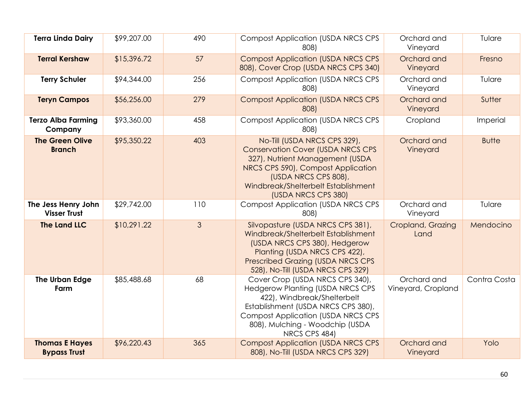| <b>Terra Linda Dairy</b>                     | \$99,207.00 | 490 | <b>Compost Application (USDA NRCS CPS</b><br>808)                                                                                                                                                                                                | Orchard and<br>Vineyard           | Tulare       |
|----------------------------------------------|-------------|-----|--------------------------------------------------------------------------------------------------------------------------------------------------------------------------------------------------------------------------------------------------|-----------------------------------|--------------|
| <b>Terral Kershaw</b>                        | \$15,396.72 | 57  | <b>Compost Application (USDA NRCS CPS</b><br>808), Cover Crop (USDA NRCS CPS 340)                                                                                                                                                                | Orchard and<br>Vineyard           | Fresno       |
| <b>Terry Schuler</b>                         | \$94,344.00 | 256 | <b>Compost Application (USDA NRCS CPS</b><br>808)                                                                                                                                                                                                | Orchard and<br>Vineyard           | Tulare       |
| <b>Teryn Campos</b>                          | \$56,256.00 | 279 | <b>Compost Application (USDA NRCS CPS</b><br>808)                                                                                                                                                                                                | Orchard and<br>Vineyard           | Sutter       |
| <b>Terzo Alba Farming</b><br>Company         | \$93,360.00 | 458 | <b>Compost Application (USDA NRCS CPS</b><br>808)                                                                                                                                                                                                | Cropland                          | Imperial     |
| <b>The Green Olive</b><br><b>Branch</b>      | \$95,350.22 | 403 | No-Till (USDA NRCS CPS 329),<br><b>Conservation Cover (USDA NRCS CPS</b><br>327), Nutrient Management (USDA<br>NRCS CPS 590), Compost Application<br>(USDA NRCS CPS 808),<br>Windbreak/Shelterbelt Establishment<br>(USDA NRCS CPS 380)          | Orchard and<br>Vineyard           | <b>Butte</b> |
| The Jess Henry John<br><b>Visser Trust</b>   | \$29,742.00 | 110 | <b>Compost Application (USDA NRCS CPS</b><br>808)                                                                                                                                                                                                | Orchard and<br>Vineyard           | Tulare       |
| <b>The Land LLC</b>                          | \$10,291.22 | 3   | Silvopasture (USDA NRCS CPS 381),<br>Windbreak/Shelterbelt Establishment<br>(USDA NRCS CPS 380), Hedgerow<br>Planting (USDA NRCS CPS 422),<br><b>Prescribed Grazing (USDA NRCS CPS</b><br>528), No-Till (USDA NRCS CPS 329)                      | Cropland, Grazing<br>Land         | Mendocino    |
| The Urban Edge<br>Farm                       | \$85,488.68 | 68  | Cover Crop (USDA NRCS CPS 340),<br><b>Hedgerow Planting (USDA NRCS CPS</b><br>422), Windbreak/Shelterbelt<br>Establishment (USDA NRCS CPS 380),<br><b>Compost Application (USDA NRCS CPS</b><br>808), Mulching - Woodchip (USDA<br>NRCS CPS 484) | Orchard and<br>Vineyard, Cropland | Contra Costa |
| <b>Thomas E Hayes</b><br><b>Bypass Trust</b> | \$96,220.43 | 365 | <b>Compost Application (USDA NRCS CPS</b><br>808), No-Till (USDA NRCS CPS 329)                                                                                                                                                                   | Orchard and<br>Vineyard           | Yolo         |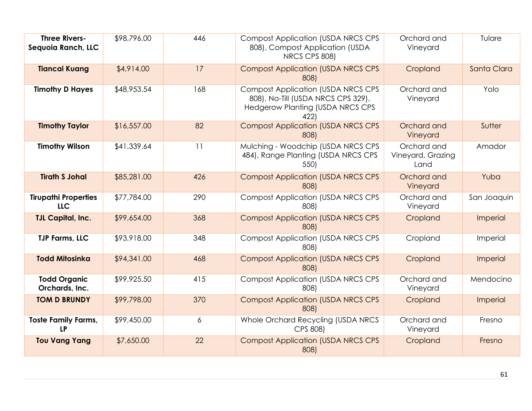| <b>Three Rivers-</b><br>Sequoia Ranch, LLC | \$98,796.00 | 446            | <b>Compost Application (USDA NRCS CPS</b><br>808), Compost Application (USDA<br>NRCS CPS 808)                                      | Orchard and<br>Vineyard                  | Tulare      |
|--------------------------------------------|-------------|----------------|------------------------------------------------------------------------------------------------------------------------------------|------------------------------------------|-------------|
| <b>Tiancai Kuang</b>                       | \$4,914.00  | 17             | <b>Compost Application (USDA NRCS CPS</b><br>808)                                                                                  | Cropland                                 | Santa Clara |
| <b>Timothy D Hayes</b>                     | \$48,953.54 | 168            | <b>Compost Application (USDA NRCS CPS</b><br>808), No-Till (USDA NRCS CPS 329),<br><b>Hedgerow Planting (USDA NRCS CPS</b><br>422) | Orchard and<br>Vineyard                  | Yolo        |
| <b>Timothy Taylor</b>                      | \$16,557.00 | 82             | <b>Compost Application (USDA NRCS CPS</b><br>808)                                                                                  | Orchard and<br>Vineyard                  | Sutter      |
| <b>Timothy Wilson</b>                      | \$41,339.64 | 11             | Mulching - Woodchip (USDA NRCS CPS<br>484), Range Planting (USDA NRCS CPS<br>550)                                                  | Orchard and<br>Vineyard, Grazing<br>Land | Amador      |
| <b>Tirath S Johal</b>                      | \$85,281.00 | 426            | <b>Compost Application (USDA NRCS CPS</b><br>808)                                                                                  | Orchard and<br>Vineyard                  | Yuba        |
| <b>Tirupathi Properties</b><br><b>LLC</b>  | \$77,784.00 | 290            | <b>Compost Application (USDA NRCS CPS</b><br>808)                                                                                  | Orchard and<br>Vineyard                  | San Joaquin |
| <b>TJL Capital, Inc.</b>                   | \$99,654.00 | 368            | <b>Compost Application (USDA NRCS CPS</b><br>808)                                                                                  | Cropland                                 | Imperial    |
| <b>TJP Farms, LLC</b>                      | \$93,918.00 | 348            | <b>Compost Application (USDA NRCS CPS</b><br>808)                                                                                  | Cropland                                 | Imperial    |
| <b>Todd Mitosinka</b>                      | \$94,341.00 | 468            | <b>Compost Application (USDA NRCS CPS</b><br>808)                                                                                  | Cropland                                 | Imperial    |
| <b>Todd Organic</b><br>Orchards, Inc.      | \$99,925.50 | 415            | <b>Compost Application (USDA NRCS CPS</b><br>808)                                                                                  | Orchard and<br>Vineyard                  | Mendocino   |
| <b>TOM D BRUNDY</b>                        | \$99,798.00 | 370            | <b>Compost Application (USDA NRCS CPS</b><br>808)                                                                                  | Cropland                                 | Imperial    |
| <b>Toste Family Farms,</b><br><b>LP</b>    | \$99,450.00 | $\overline{6}$ | Whole Orchard Recycling (USDA NRCS<br>CPS 808)                                                                                     | Orchard and<br>Vineyard                  | Fresno      |
| <b>Tou Vang Yang</b>                       | \$7,650.00  | 22             | <b>Compost Application (USDA NRCS CPS</b><br>808)                                                                                  | Cropland                                 | Fresno      |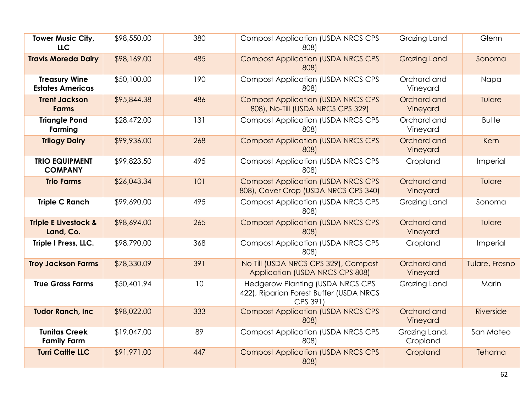| Tower Music City,<br><b>LLC</b>                 | \$98,550.00 | 380 | <b>Compost Application (USDA NRCS CPS</b><br>808)                                              | Grazing Land              | Glenn          |
|-------------------------------------------------|-------------|-----|------------------------------------------------------------------------------------------------|---------------------------|----------------|
| <b>Travis Moreda Dairy</b>                      | \$98,169.00 | 485 | <b>Compost Application (USDA NRCS CPS</b><br>808)                                              | <b>Grazing Land</b>       | Sonoma         |
| <b>Treasury Wine</b><br><b>Estates Americas</b> | \$50,100.00 | 190 | <b>Compost Application (USDA NRCS CPS</b><br>808)                                              | Orchard and<br>Vineyard   | Napa           |
| <b>Trent Jackson</b><br><b>Farms</b>            | \$95,844.38 | 486 | <b>Compost Application (USDA NRCS CPS</b><br>808), No-Till (USDA NRCS CPS 329)                 | Orchard and<br>Vineyard   | Tulare         |
| <b>Triangle Pond</b><br>Farming                 | \$28,472.00 | 131 | <b>Compost Application (USDA NRCS CPS</b><br>808)                                              | Orchard and<br>Vineyard   | <b>Butte</b>   |
| <b>Trilogy Dairy</b>                            | \$99,936.00 | 268 | <b>Compost Application (USDA NRCS CPS)</b><br>808)                                             | Orchard and<br>Vineyard   | Kern           |
| <b>TRIO EQUIPMENT</b><br><b>COMPANY</b>         | \$99,823.50 | 495 | <b>Compost Application (USDA NRCS CPS)</b><br>808)                                             | Cropland                  | Imperial       |
| <b>Trio Farms</b>                               | \$26,043.34 | 101 | <b>Compost Application (USDA NRCS CPS)</b><br>808), Cover Crop (USDA NRCS CPS 340)             | Orchard and<br>Vineyard   | Tulare         |
| <b>Triple C Ranch</b>                           | \$99,690.00 | 495 | <b>Compost Application (USDA NRCS CPS</b><br>808)                                              | Grazing Land              | Sonoma         |
| <b>Triple E Livestock &amp;</b><br>Land, Co.    | \$98,694.00 | 265 | <b>Compost Application (USDA NRCS CPS)</b><br>808)                                             | Orchard and<br>Vineyard   | Tulare         |
| Triple I Press, LLC.                            | \$98,790.00 | 368 | <b>Compost Application (USDA NRCS CPS</b><br>808)                                              | Cropland                  | Imperial       |
| <b>Troy Jackson Farms</b>                       | \$78,330.09 | 391 | No-Till (USDA NRCS CPS 329), Compost<br>Application (USDA NRCS CPS 808)                        | Orchard and<br>Vineyard   | Tulare, Fresno |
| <b>True Grass Farms</b>                         | \$50,401.94 | 10  | <b>Hedgerow Planting (USDA NRCS CPS</b><br>422), Riparian Forest Buffer (USDA NRCS<br>CPS 391) | Grazing Land              | Marin          |
| <b>Tudor Ranch, Inc.</b>                        | \$98,022.00 | 333 | <b>Compost Application (USDA NRCS CPS</b><br>808)                                              | Orchard and<br>Vineyard   | Riverside      |
| <b>Tunitas Creek</b><br><b>Family Farm</b>      | \$19,047.00 | 89  | <b>Compost Application (USDA NRCS CPS</b><br>808)                                              | Grazing Land,<br>Cropland | San Mateo      |
| <b>Turri Cattle LLC</b>                         | \$91,971.00 | 447 | <b>Compost Application (USDA NRCS CPS</b><br>808)                                              | Cropland                  | Tehama         |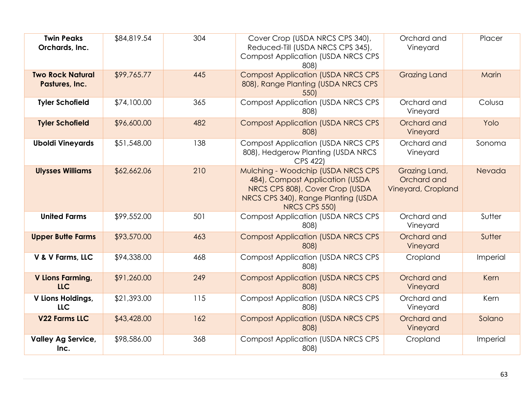| <b>Twin Peaks</b><br>Orchards, Inc.       | \$84,819.54 | 304 | Cover Crop (USDA NRCS CPS 340),<br>Reduced-Till (USDA NRCS CPS 345),<br><b>Compost Application (USDA NRCS CPS</b><br>808)                                        | Orchard and<br>Vineyard                            | Placer   |
|-------------------------------------------|-------------|-----|------------------------------------------------------------------------------------------------------------------------------------------------------------------|----------------------------------------------------|----------|
| <b>Two Rock Natural</b><br>Pastures, Inc. | \$99,765.77 | 445 | <b>Compost Application (USDA NRCS CPS)</b><br>808), Range Planting (USDA NRCS CPS<br>550)                                                                        | <b>Grazing Land</b>                                | Marin    |
| <b>Tyler Schofield</b>                    | \$74,100.00 | 365 | <b>Compost Application (USDA NRCS CPS</b><br>808)                                                                                                                | Orchard and<br>Vineyard                            | Colusa   |
| <b>Tyler Schofield</b>                    | \$96,600.00 | 482 | <b>Compost Application (USDA NRCS CPS)</b><br>808)                                                                                                               | Orchard and<br>Vineyard                            | Yolo     |
| <b>Uboldi Vineyards</b>                   | \$51,548.00 | 138 | <b>Compost Application (USDA NRCS CPS</b><br>808), Hedgerow Planting (USDA NRCS<br>CPS 422)                                                                      | Orchard and<br>Vineyard                            | Sonoma   |
| <b>Ulysses Williams</b>                   | \$62,662.06 | 210 | Mulching - Woodchip (USDA NRCS CPS<br>484), Compost Application (USDA<br>NRCS CPS 808), Cover Crop (USDA<br>NRCS CPS 340), Range Planting (USDA<br>NRCS CPS 550) | Grazing Land,<br>Orchard and<br>Vineyard, Cropland | Nevada   |
| <b>United Farms</b>                       | \$99,552.00 | 501 | <b>Compost Application (USDA NRCS CPS</b><br>808)                                                                                                                | Orchard and<br>Vineyard                            | Sutter   |
| <b>Upper Butte Farms</b>                  | \$93,570.00 | 463 | <b>Compost Application (USDA NRCS CPS</b><br>808)                                                                                                                | Orchard and<br>Vineyard                            | Sutter   |
| V & V Farms, LLC                          | \$94,338.00 | 468 | <b>Compost Application (USDA NRCS CPS</b><br>808)                                                                                                                | Cropland                                           | Imperial |
| <b>V Lions Farming,</b><br><b>LLC</b>     | \$91,260.00 | 249 | <b>Compost Application (USDA NRCS CPS</b><br>808)                                                                                                                | Orchard and<br>Vineyard                            | Kern     |
| V Lions Holdings,<br>LLC                  | \$21,393.00 | 115 | <b>Compost Application (USDA NRCS CPS</b><br>808)                                                                                                                | Orchard and<br>Vineyard                            | Kern     |
| V22 Farms LLC                             | \$43,428.00 | 162 | <b>Compost Application (USDA NRCS CPS</b><br>808)                                                                                                                | Orchard and<br>Vineyard                            | Solano   |
| <b>Valley Ag Service,</b><br>Inc.         | \$98,586.00 | 368 | <b>Compost Application (USDA NRCS CPS</b><br>808)                                                                                                                | Cropland                                           | Imperial |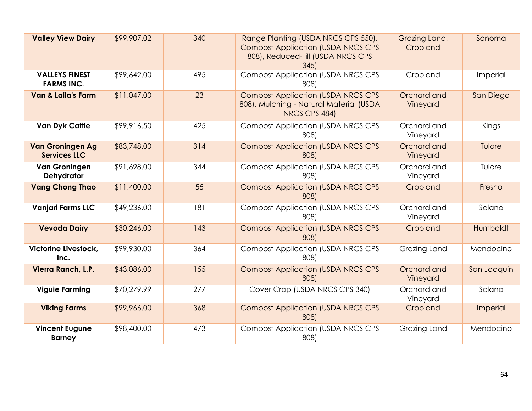| <b>Valley View Dairy</b>                       | \$99,907.02 | 340 | Range Planting (USDA NRCS CPS 550),<br><b>Compost Application (USDA NRCS CPS</b><br>808), Reduced-Till (USDA NRCS CPS<br>345 | Grazing Land,<br>Cropland | Sonoma      |
|------------------------------------------------|-------------|-----|------------------------------------------------------------------------------------------------------------------------------|---------------------------|-------------|
| <b>VALLEYS FINEST</b><br><b>FARMS INC.</b>     | \$99,642.00 | 495 | <b>Compost Application (USDA NRCS CPS</b><br>808)                                                                            | Cropland                  | Imperial    |
| <b>Van &amp; Laila's Farm</b>                  | \$11,047.00 | 23  | <b>Compost Application (USDA NRCS CPS</b><br>808), Mulching - Natural Material (USDA<br>NRCS CPS 484)                        | Orchard and<br>Vineyard   | San Diego   |
| <b>Van Dyk Cattle</b>                          | \$99,916.50 | 425 | <b>Compost Application (USDA NRCS CPS</b><br>808)                                                                            | Orchard and<br>Vineyard   | Kings       |
| <b>Van Groningen Ag</b><br><b>Services LLC</b> | \$83,748.00 | 314 | <b>Compost Application (USDA NRCS CPS</b><br>808)                                                                            | Orchard and<br>Vineyard   | Tulare      |
| <b>Van Groningen</b><br><b>Dehydrator</b>      | \$91,698.00 | 344 | <b>Compost Application (USDA NRCS CPS</b><br>808)                                                                            | Orchard and<br>Vineyard   | Tulare      |
| <b>Vang Chong Thao</b>                         | \$11,400.00 | 55  | <b>Compost Application (USDA NRCS CPS</b><br>808)                                                                            | Cropland                  | Fresno      |
| <b>Vanjari Farms LLC</b>                       | \$49,236.00 | 181 | <b>Compost Application (USDA NRCS CPS</b><br>808)                                                                            | Orchard and<br>Vineyard   | Solano      |
| <b>Vevoda Dairy</b>                            | \$30,246.00 | 143 | <b>Compost Application (USDA NRCS CPS</b><br>808)                                                                            | Cropland                  | Humboldt    |
| Victorine Livestock,<br>Inc.                   | \$99,930.00 | 364 | <b>Compost Application (USDA NRCS CPS</b><br>808)                                                                            | Grazing Land              | Mendocino   |
| Vierra Ranch, L.P.                             | \$43,086.00 | 155 | <b>Compost Application (USDA NRCS CPS</b><br>808)                                                                            | Orchard and<br>Vineyard   | San Joaquin |
| <b>Viguie Farming</b>                          | \$70,279.99 | 277 | Cover Crop (USDA NRCS CPS 340)                                                                                               | Orchard and<br>Vineyard   | Solano      |
| <b>Viking Farms</b>                            | \$99,966.00 | 368 | <b>Compost Application (USDA NRCS CPS</b><br>808)                                                                            | Cropland                  | Imperial    |
| <b>Vincent Eugune</b><br><b>Barney</b>         | \$98,400.00 | 473 | <b>Compost Application (USDA NRCS CPS</b><br>808)                                                                            | Grazing Land              | Mendocino   |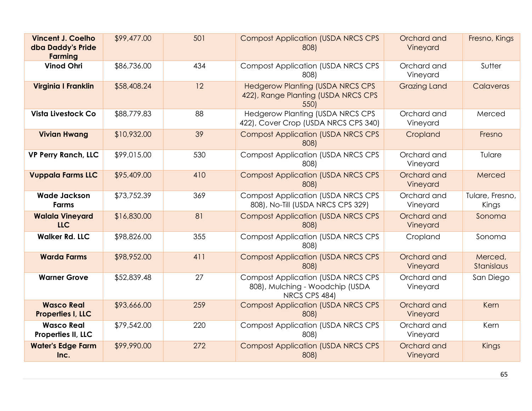| <b>Vincent J. Coelho</b><br>dba Daddy's Pride<br><b>Farming</b> | \$99,477.00 | 501 | <b>Compost Application (USDA NRCS CPS</b><br>808)                                             | Orchard and<br>Vineyard | Fresno, Kings            |
|-----------------------------------------------------------------|-------------|-----|-----------------------------------------------------------------------------------------------|-------------------------|--------------------------|
| <b>Vinod Ohri</b>                                               | \$86,736.00 | 434 | <b>Compost Application (USDA NRCS CPS</b><br>808)                                             | Orchard and<br>Vineyard | Sutter                   |
| Virginia I Franklin                                             | \$58,408.24 | 12  | <b>Hedgerow Planting (USDA NRCS CPS</b><br>422), Range Planting (USDA NRCS CPS<br>550)        | <b>Grazing Land</b>     | Calaveras                |
| <b>Vista Livestock Co</b>                                       | \$88,779.83 | 88  | <b>Hedgerow Planting (USDA NRCS CPS</b><br>422), Cover Crop (USDA NRCS CPS 340)               | Orchard and<br>Vineyard | Merced                   |
| <b>Vivian Hwang</b>                                             | \$10,932.00 | 39  | <b>Compost Application (USDA NRCS CPS</b><br>808)                                             | Cropland                | Fresno                   |
| <b>VP Perry Ranch, LLC</b>                                      | \$99,015.00 | 530 | <b>Compost Application (USDA NRCS CPS</b><br>808)                                             | Orchard and<br>Vineyard | Tulare                   |
| <b>Vuppala Farms LLC</b>                                        | \$95,409.00 | 410 | <b>Compost Application (USDA NRCS CPS</b><br>808)                                             | Orchard and<br>Vineyard | Merced                   |
| <b>Wade Jackson</b><br><b>Farms</b>                             | \$73,752.39 | 369 | <b>Compost Application (USDA NRCS CPS</b><br>808), No-Till (USDA NRCS CPS 329)                | Orchard and<br>Vineyard | Tulare, Fresno,<br>Kings |
| <b>Walala Vineyard</b><br><b>LLC</b>                            | \$16,830.00 | 81  | <b>Compost Application (USDA NRCS CPS</b><br>808)                                             | Orchard and<br>Vineyard | Sonoma                   |
| <b>Walker Rd. LLC</b>                                           | \$98,826.00 | 355 | <b>Compost Application (USDA NRCS CPS</b><br>808)                                             | Cropland                | Sonoma                   |
| <b>Warda Farms</b>                                              | \$98,952.00 | 411 | <b>Compost Application (USDA NRCS CPS</b><br>808)                                             | Orchard and<br>Vineyard | Merced,<br>Stanislaus    |
| <b>Warner Grove</b>                                             | \$52,839.48 | 27  | <b>Compost Application (USDA NRCS CPS</b><br>808), Mulching - Woodchip (USDA<br>NRCS CPS 484) | Orchard and<br>Vineyard | San Diego                |
| <b>Wasco Real</b><br>Properties I, LLC                          | \$93,666.00 | 259 | <b>Compost Application (USDA NRCS CPS</b><br>808)                                             | Orchard and<br>Vineyard | Kern                     |
| <b>Wasco Real</b><br>Properties II, LLC                         | \$79,542.00 | 220 | <b>Compost Application (USDA NRCS CPS</b><br>808)                                             | Orchard and<br>Vineyard | Kern                     |
| <b>Water's Edge Farm</b><br>Inc.                                | \$99,990.00 | 272 | <b>Compost Application (USDA NRCS CPS</b><br>808)                                             | Orchard and<br>Vineyard | Kings                    |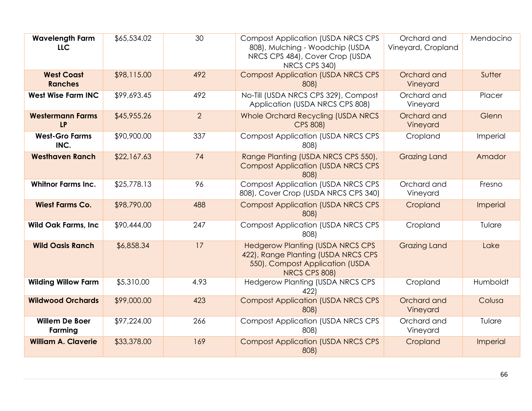| <b>Wavelength Farm</b><br><b>LLC</b> | \$65,534.02 | 30             | <b>Compost Application (USDA NRCS CPS</b><br>808), Mulching - Woodchip (USDA<br>NRCS CPS 484), Cover Crop (USDA<br>NRCS CPS 340)   | Orchard and<br>Vineyard, Cropland | Mendocino |
|--------------------------------------|-------------|----------------|------------------------------------------------------------------------------------------------------------------------------------|-----------------------------------|-----------|
| <b>West Coast</b><br><b>Ranches</b>  | \$98,115.00 | 492            | <b>Compost Application (USDA NRCS CPS</b><br>808)                                                                                  | Orchard and<br>Vineyard           | Sutter    |
| <b>West Wise Farm INC</b>            | \$99,693.45 | 492            | No-Till (USDA NRCS CPS 329), Compost<br>Application (USDA NRCS CPS 808)                                                            | Orchard and<br>Vineyard           | Placer    |
| <b>Westermann Farms</b><br><b>LP</b> | \$45,955.26 | $\overline{2}$ | Whole Orchard Recycling (USDA NRCS<br><b>CPS 808)</b>                                                                              | Orchard and<br>Vineyard           | Glenn     |
| <b>West-Gro Farms</b><br>INC.        | \$90,900.00 | 337            | <b>Compost Application (USDA NRCS CPS</b><br>808)                                                                                  | Cropland                          | Imperial  |
| <b>Westhaven Ranch</b>               | \$22,167.63 | 74             | Range Planting (USDA NRCS CPS 550),<br><b>Compost Application (USDA NRCS CPS</b><br>808)                                           | <b>Grazing Land</b>               | Amador    |
| <b>Whitnor Farms Inc.</b>            | \$25,778.13 | 96             | <b>Compost Application (USDA NRCS CPS</b><br>808), Cover Crop (USDA NRCS CPS 340)                                                  | Orchard and<br>Vineyard           | Fresno    |
| <b>Wiest Farms Co.</b>               | \$98,790.00 | 488            | <b>Compost Application (USDA NRCS CPS</b><br>808)                                                                                  | Cropland                          | Imperial  |
| <b>Wild Oak Farms, Inc.</b>          | \$90,444.00 | 247            | <b>Compost Application (USDA NRCS CPS</b><br>808)                                                                                  | Cropland                          | Tulare    |
| <b>Wild Oasis Ranch</b>              | \$6,858.34  | 17             | <b>Hedgerow Planting (USDA NRCS CPS</b><br>422), Range Planting (USDA NRCS CPS<br>550), Compost Application (USDA<br>NRCS CPS 808) | <b>Grazing Land</b>               | Lake      |
| <b>Wilding Willow Farm</b>           | \$5,310.00  | 4.93           | <b>Hedgerow Planting (USDA NRCS CPS</b><br>422)                                                                                    | Cropland                          | Humboldt  |
| <b>Wildwood Orchards</b>             | \$99,000.00 | 423            | <b>Compost Application (USDA NRCS CPS</b><br>808)                                                                                  | Orchard and<br>Vineyard           | Colusa    |
| <b>Willem De Boer</b><br>Farming     | \$97,224.00 | 266            | <b>Compost Application (USDA NRCS CPS</b><br>808)                                                                                  | Orchard and<br>Vineyard           | Tulare    |
| <b>William A. Claverie</b>           | \$33,378.00 | 169            | <b>Compost Application (USDA NRCS CPS</b><br>808)                                                                                  | Cropland                          | Imperial  |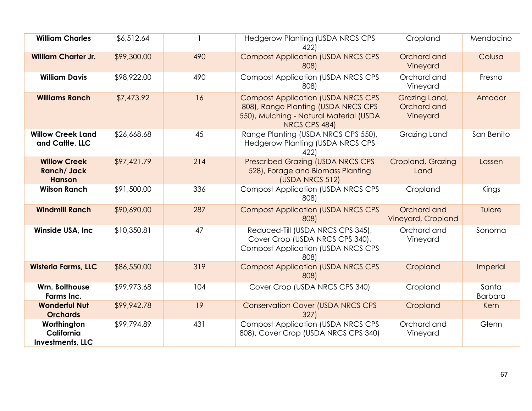| <b>William Charles</b>                                    | \$6,512.64  |     | <b>Hedgerow Planting (USDA NRCS CPS</b><br>422)                                                                                              | Cropland                                 | Mendocino               |
|-----------------------------------------------------------|-------------|-----|----------------------------------------------------------------------------------------------------------------------------------------------|------------------------------------------|-------------------------|
| <b>William Charter Jr.</b>                                | \$99,300.00 | 490 | <b>Compost Application (USDA NRCS CPS</b><br>808)                                                                                            | Orchard and<br>Vineyard                  | Colusa                  |
| <b>William Davis</b>                                      | \$98,922.00 | 490 | <b>Compost Application (USDA NRCS CPS</b><br>808)                                                                                            | Orchard and<br>Vineyard                  | Fresno                  |
| <b>Williams Ranch</b>                                     | \$7,473.92  | 16  | <b>Compost Application (USDA NRCS CPS</b><br>808), Range Planting (USDA NRCS CPS<br>550), Mulching - Natural Material (USDA<br>NRCS CPS 484) | Grazing Land,<br>Orchard and<br>Vineyard | Amador                  |
| <b>Willow Creek Land</b><br>and Cattle, LLC               | \$26,668.68 | 45  | Range Planting (USDA NRCS CPS 550),<br><b>Hedgerow Planting (USDA NRCS CPS</b><br>422)                                                       | Grazing Land                             | San Benito              |
| <b>Willow Creek</b><br><b>Ranch/Jack</b><br><b>Hanson</b> | \$97,421.79 | 214 | <b>Prescribed Grazing (USDA NRCS CPS</b><br>528), Forage and Biomass Planting<br>(USDA NRCS 512)                                             | Cropland, Grazing<br>Land                | Lassen                  |
| <b>Wilson Ranch</b>                                       | \$91,500.00 | 336 | <b>Compost Application (USDA NRCS CPS</b><br>808)                                                                                            | Cropland                                 | Kings                   |
| <b>Windmill Ranch</b>                                     | \$90,690.00 | 287 | <b>Compost Application (USDA NRCS CPS)</b><br>808)                                                                                           | Orchard and<br>Vineyard, Cropland        | Tulare                  |
| Winside USA, Inc.                                         | \$10,350.81 | 47  | Reduced-Till (USDA NRCS CPS 345),<br>Cover Crop (USDA NRCS CPS 340),<br><b>Compost Application (USDA NRCS CPS</b><br>808)                    | Orchard and<br>Vineyard                  | Sonoma                  |
| <b>Wisteria Farms, LLC</b>                                | \$86,550.00 | 319 | <b>Compost Application (USDA NRCS CPS</b><br>808)                                                                                            | Cropland                                 | Imperial                |
| Wm. Bolthouse<br><b>Farms Inc.</b>                        | \$99,973.68 | 104 | Cover Crop (USDA NRCS CPS 340)                                                                                                               | Cropland                                 | Santa<br><b>Barbara</b> |
| <b>Wonderful Nut</b><br><b>Orchards</b>                   | \$99,942.78 | 19  | <b>Conservation Cover (USDA NRCS CPS</b><br>327                                                                                              | Cropland                                 | Kern                    |
| Worthington<br>California<br><b>Investments, LLC</b>      | \$99,794.89 | 431 | <b>Compost Application (USDA NRCS CPS)</b><br>808), Cover Crop (USDA NRCS CPS 340)                                                           | Orchard and<br>Vineyard                  | Glenn                   |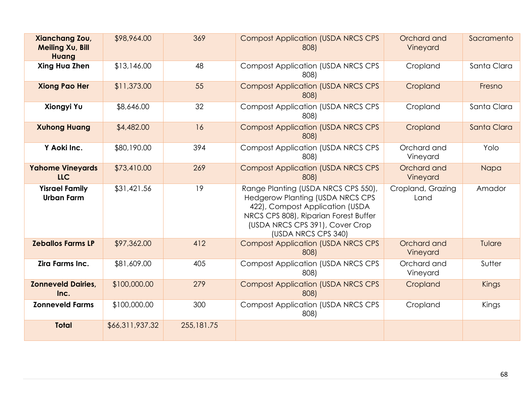| Xianchang Zou,<br><b>Meiling Xu, Bill</b><br>Huang | \$98,964.00  | 369 | <b>Compost Application (USDA NRCS CPS</b><br>808)                                                                 | Orchard and<br>Vineyard   | Sacramento   |
|----------------------------------------------------|--------------|-----|-------------------------------------------------------------------------------------------------------------------|---------------------------|--------------|
| Xing Hua Zhen                                      | \$13,146.00  | 48  | <b>Compost Application (USDA NRCS CPS</b><br>808)                                                                 | Cropland                  | Santa Clara  |
| <b>Xiong Pao Her</b>                               | \$11,373.00  | 55  | <b>Compost Application (USDA NRCS CPS</b><br>808)                                                                 | Cropland                  | Fresno       |
| Xiongyi Yu                                         | \$8,646.00   | 32  | <b>Compost Application (USDA NRCS CPS</b><br>808)                                                                 | Cropland                  | Santa Clara  |
| <b>Xuhong Huang</b>                                | \$4,482.00   | 16  | <b>Compost Application (USDA NRCS CPS</b><br>808)                                                                 | Cropland                  | Santa Clara  |
| Y Aoki Inc.                                        | \$80,190.00  | 394 | <b>Compost Application (USDA NRCS CPS</b><br>808)                                                                 | Orchard and<br>Vineyard   | Yolo         |
| <b>Yahome Vineyards</b><br><b>LLC</b>              | \$73,410.00  | 269 | <b>Compost Application (USDA NRCS CPS</b><br>808)                                                                 | Orchard and<br>Vineyard   | Napa         |
| <b>Yisrael Family</b><br><b>Urban Farm</b>         | \$31,421.56  | 19  | Range Planting (USDA NRCS CPS 550),<br><b>Hedgerow Planting (USDA NRCS CPS</b><br>422), Compost Application (USDA | Cropland, Grazing<br>Land | Amador       |
|                                                    |              |     | NRCS CPS 808), Riparian Forest Buffer<br>(USDA NRCS CPS 391), Cover Crop<br>(USDA NRCS CPS 340)                   |                           |              |
| <b>Zeballos Farms LP</b>                           | \$97,362.00  | 412 | <b>Compost Application (USDA NRCS CPS</b><br>808)                                                                 | Orchard and<br>Vineyard   | Tulare       |
| Zira Farms Inc.                                    | \$81,609.00  | 405 | <b>Compost Application (USDA NRCS CPS</b><br>808)                                                                 | Orchard and<br>Vineyard   | Sutter       |
| <b>Zonneveld Dairies,</b><br>Inc.                  | \$100,000.00 | 279 | <b>Compost Application (USDA NRCS CPS</b><br>808)                                                                 | Cropland                  | <b>Kings</b> |
| <b>Zonneveld Farms</b>                             | \$100,000.00 | 300 | <b>Compost Application (USDA NRCS CPS</b><br>808)                                                                 | Cropland                  | Kings        |